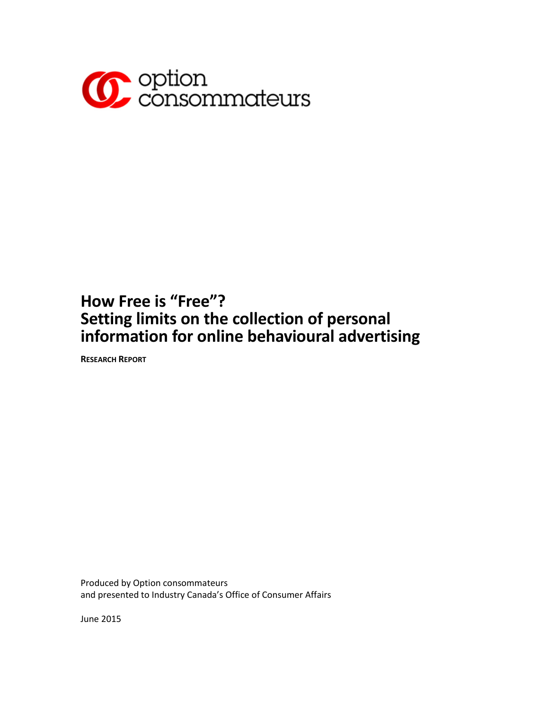

# **How Free is "Free"? Setting limits on the collection of personal information for online behavioural advertising**

**RESEARCH REPORT**

Produced by Option consommateurs and presented to Industry Canada's Office of Consumer Affairs

June 2015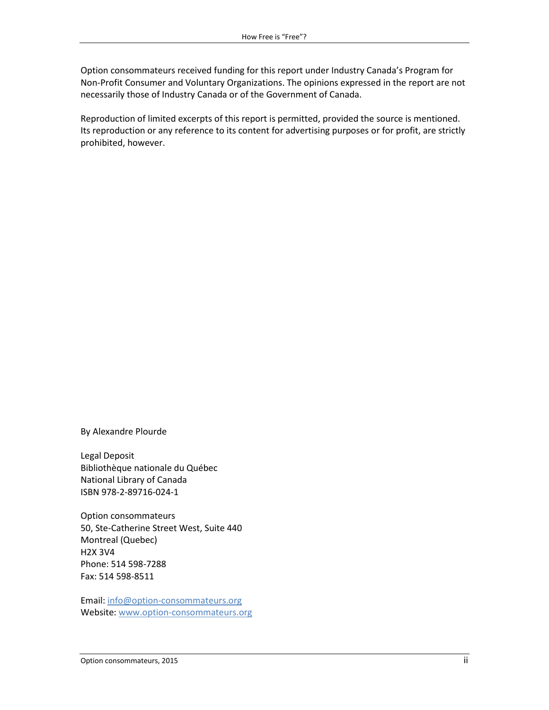Option consommateurs received funding for this report under Industry Canada's Program for Non-Profit Consumer and Voluntary Organizations. The opinions expressed in the report are not necessarily those of Industry Canada or of the Government of Canada.

Reproduction of limited excerpts of this report is permitted, provided the source is mentioned. Its reproduction or any reference to its content for advertising purposes or for profit, are strictly prohibited, however.

By Alexandre Plourde

Legal Deposit Bibliothèque nationale du Québec National Library of Canada ISBN 978-2-89716-024-1

Option consommateurs 50, Ste-Catherine Street West, Suite 440 Montreal (Quebec) H2X 3V4 Phone: 514 598-7288 Fax: 514 598-8511

Email: [info@option-consommateurs.org](mailto:info@option-consommateurs.org) Website: [www.option-consommateurs.org](http://www.option-consommateurs.org/)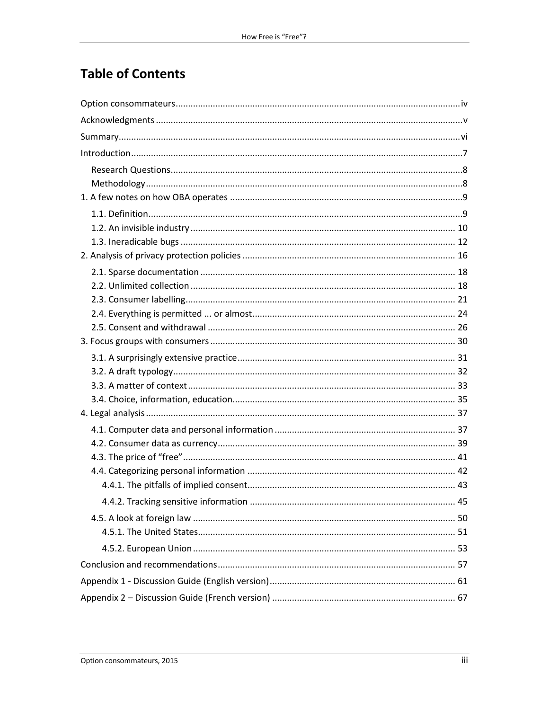## **Table of Contents**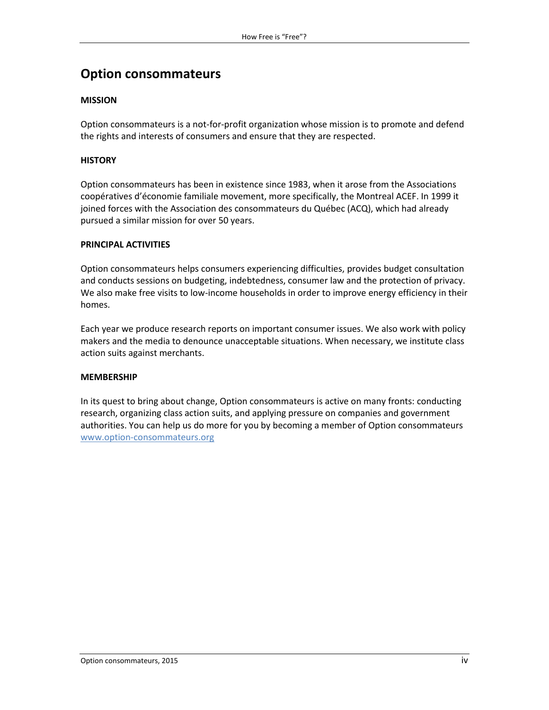## <span id="page-3-0"></span>**Option consommateurs**

#### **MISSION**

Option consommateurs is a not-for-profit organization whose mission is to promote and defend the rights and interests of consumers and ensure that they are respected.

#### **HISTORY**

Option consommateurs has been in existence since 1983, when it arose from the Associations coopératives d'économie familiale movement, more specifically, the Montreal ACEF. In 1999 it joined forces with the Association des consommateurs du Québec (ACQ), which had already pursued a similar mission for over 50 years.

#### **PRINCIPAL ACTIVITIES**

Option consommateurs helps consumers experiencing difficulties, provides budget consultation and conducts sessions on budgeting, indebtedness, consumer law and the protection of privacy. We also make free visits to low-income households in order to improve energy efficiency in their homes.

Each year we produce research reports on important consumer issues. We also work with policy makers and the media to denounce unacceptable situations. When necessary, we institute class action suits against merchants.

#### **MEMBERSHIP**

In its quest to bring about change, Option consommateurs is active on many fronts: conducting research, organizing class action suits, and applying pressure on companies and government authorities. You can help us do more for you by becoming a member of Option consommateurs [www.option-consommateurs.org](http://www.option-consommateurs.org/)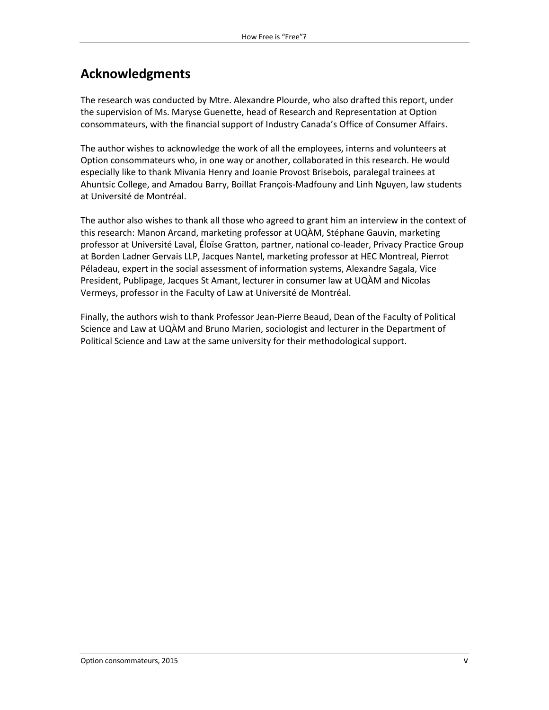## <span id="page-4-0"></span>**Acknowledgments**

The research was conducted by Mtre. Alexandre Plourde, who also drafted this report, under the supervision of Ms. Maryse Guenette, head of Research and Representation at Option consommateurs, with the financial support of Industry Canada's Office of Consumer Affairs.

The author wishes to acknowledge the work of all the employees, interns and volunteers at Option consommateurs who, in one way or another, collaborated in this research. He would especially like to thank Mivania Henry and Joanie Provost Brisebois, paralegal trainees at Ahuntsic College, and Amadou Barry, Boillat François-Madfouny and Linh Nguyen, law students at Université de Montréal.

The author also wishes to thank all those who agreed to grant him an interview in the context of this research: Manon Arcand, marketing professor at UQÀM, Stéphane Gauvin, marketing professor at Université Laval, Éloïse Gratton, partner, national co-leader, Privacy Practice Group at Borden Ladner Gervais LLP, Jacques Nantel, marketing professor at HEC Montreal, Pierrot Péladeau, expert in the social assessment of information systems, Alexandre Sagala, Vice President, Publipage, Jacques St Amant, lecturer in consumer law at UQÀM and Nicolas Vermeys, professor in the Faculty of Law at Université de Montréal.

Finally, the authors wish to thank Professor Jean-Pierre Beaud, Dean of the Faculty of Political Science and Law at UQÀM and Bruno Marien, sociologist and lecturer in the Department of Political Science and Law at the same university for their methodological support.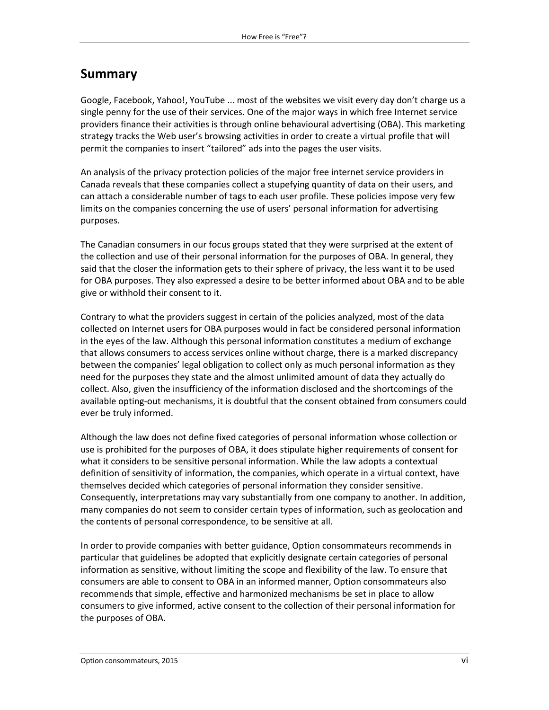## <span id="page-5-0"></span>**Summary**

Google, Facebook, Yahoo!, YouTube ... most of the websites we visit every day don't charge us a single penny for the use of their services. One of the major ways in which free Internet service providers finance their activities is through online behavioural advertising (OBA). This marketing strategy tracks the Web user's browsing activities in order to create a virtual profile that will permit the companies to insert "tailored" ads into the pages the user visits.

An analysis of the privacy protection policies of the major free internet service providers in Canada reveals that these companies collect a stupefying quantity of data on their users, and can attach a considerable number of tags to each user profile. These policies impose very few limits on the companies concerning the use of users' personal information for advertising purposes.

The Canadian consumers in our focus groups stated that they were surprised at the extent of the collection and use of their personal information for the purposes of OBA. In general, they said that the closer the information gets to their sphere of privacy, the less want it to be used for OBA purposes. They also expressed a desire to be better informed about OBA and to be able give or withhold their consent to it.

Contrary to what the providers suggest in certain of the policies analyzed, most of the data collected on Internet users for OBA purposes would in fact be considered personal information in the eyes of the law. Although this personal information constitutes a medium of exchange that allows consumers to access services online without charge, there is a marked discrepancy between the companies' legal obligation to collect only as much personal information as they need for the purposes they state and the almost unlimited amount of data they actually do collect. Also, given the insufficiency of the information disclosed and the shortcomings of the available opting-out mechanisms, it is doubtful that the consent obtained from consumers could ever be truly informed.

Although the law does not define fixed categories of personal information whose collection or use is prohibited for the purposes of OBA, it does stipulate higher requirements of consent for what it considers to be sensitive personal information. While the law adopts a contextual definition of sensitivity of information, the companies, which operate in a virtual context, have themselves decided which categories of personal information they consider sensitive. Consequently, interpretations may vary substantially from one company to another. In addition, many companies do not seem to consider certain types of information, such as geolocation and the contents of personal correspondence, to be sensitive at all.

In order to provide companies with better guidance, Option consommateurs recommends in particular that guidelines be adopted that explicitly designate certain categories of personal information as sensitive, without limiting the scope and flexibility of the law. To ensure that consumers are able to consent to OBA in an informed manner, Option consommateurs also recommends that simple, effective and harmonized mechanisms be set in place to allow consumers to give informed, active consent to the collection of their personal information for the purposes of OBA.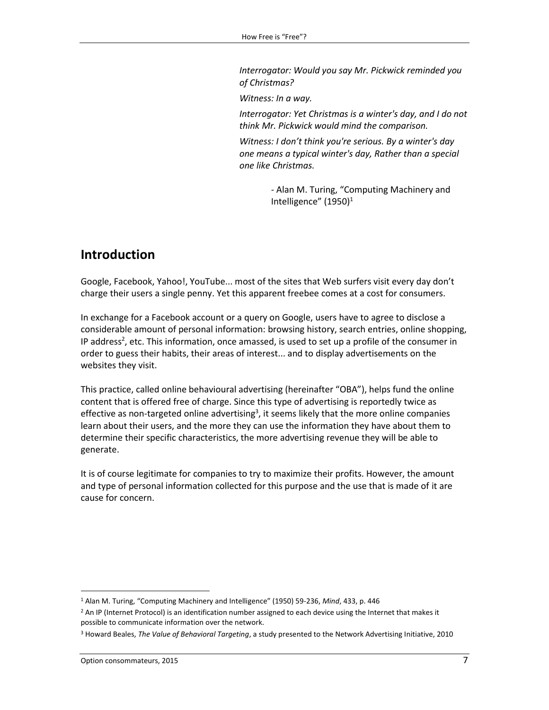*Interrogator: Would you say Mr. Pickwick reminded you of Christmas?*

*Witness: In a way.*

*Interrogator: Yet Christmas is a winter's day, and I do not think Mr. Pickwick would mind the comparison.*

*Witness: I don't think you're serious. By a winter's day one means a typical winter's day, Rather than a special one like Christmas.*

> - Alan M. Turing, "Computing Machinery and Intelligence"  $(1950)^1$

## <span id="page-6-0"></span>**Introduction**

Google, Facebook, Yahoo!, YouTube... most of the sites that Web surfers visit every day don't charge their users a single penny. Yet this apparent freebee comes at a cost for consumers.

In exchange for a Facebook account or a query on Google, users have to agree to disclose a considerable amount of personal information: browsing history, search entries, online shopping, IP address<sup>2</sup>, etc. This information, once amassed, is used to set up a profile of the consumer in order to guess their habits, their areas of interest... and to display advertisements on the websites they visit.

This practice, called online behavioural advertising (hereinafter "OBA"), helps fund the online content that is offered free of charge. Since this type of advertising is reportedly twice as effective as non-targeted online advertising<sup>3</sup>, it seems likely that the more online companies learn about their users, and the more they can use the information they have about them to determine their specific characteristics, the more advertising revenue they will be able to generate.

It is of course legitimate for companies to try to maximize their profits. However, the amount and type of personal information collected for this purpose and the use that is made of it are cause for concern.

<sup>1</sup> Alan M. Turing, "Computing Machinery and Intelligence" (1950) 59-236, *Mind*, 433, p. 446

 $<sup>2</sup>$  An IP (Internet Protocol) is an identification number assigned to each device using the Internet that makes it</sup> possible to communicate information over the network.

<sup>3</sup> Howard Beales, *The Value of Behavioral Targeting*, a study presented to the Network Advertising Initiative, 2010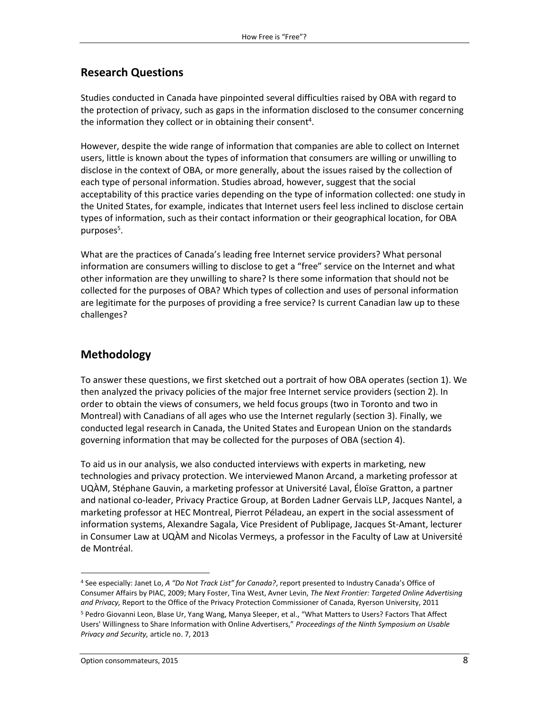#### <span id="page-7-0"></span>**Research Questions**

Studies conducted in Canada have pinpointed several difficulties raised by OBA with regard to the protection of privacy, such as gaps in the information disclosed to the consumer concerning the information they collect or in obtaining their consent<sup>4</sup>.

However, despite the wide range of information that companies are able to collect on Internet users, little is known about the types of information that consumers are willing or unwilling to disclose in the context of OBA, or more generally, about the issues raised by the collection of each type of personal information. Studies abroad, however, suggest that the social acceptability of this practice varies depending on the type of information collected: one study in the United States, for example, indicates that Internet users feel less inclined to disclose certain types of information, such as their contact information or their geographical location, for OBA purposes<sup>5</sup>.

What are the practices of Canada's leading free Internet service providers? What personal information are consumers willing to disclose to get a "free" service on the Internet and what other information are they unwilling to share? Is there some information that should not be collected for the purposes of OBA? Which types of collection and uses of personal information are legitimate for the purposes of providing a free service? Is current Canadian law up to these challenges?

#### <span id="page-7-1"></span>**Methodology**

To answer these questions, we first sketched out a portrait of how OBA operates (section 1). We then analyzed the privacy policies of the major free Internet service providers (section 2). In order to obtain the views of consumers, we held focus groups (two in Toronto and two in Montreal) with Canadians of all ages who use the Internet regularly (section 3). Finally, we conducted legal research in Canada, the United States and European Union on the standards governing information that may be collected for the purposes of OBA (section 4).

To aid us in our analysis, we also conducted interviews with experts in marketing, new technologies and privacy protection. We interviewed Manon Arcand, a marketing professor at UQÀM, Stéphane Gauvin, a marketing professor at Université Laval, Éloïse Gratton, a partner and national co-leader, Privacy Practice Group, at Borden Ladner Gervais LLP, Jacques Nantel, a marketing professor at HEC Montreal, Pierrot Péladeau, an expert in the social assessment of information systems, Alexandre Sagala, Vice President of Publipage, Jacques St-Amant, lecturer in Consumer Law at UQÀM and Nicolas Vermeys, a professor in the Faculty of Law at Université de Montréal.

l

<sup>4</sup> See especially: Janet Lo, *A "Do Not Track List" for Canada?*, report presented to Industry Canada's Office of Consumer Affairs by PIAC, 2009; Mary Foster, Tina West, Avner Levin, *The Next Frontier: Targeted Online Advertising and Privacy,* Report to the Office of the Privacy Protection Commissioner of Canada, Ryerson University, 2011

<sup>&</sup>lt;sup>5</sup> Pedro Giovanni Leon, Blase Ur, Yang Wang, Manya Sleeper, et al., "What Matters to Users? Factors That Affect Users' Willingness to Share Information with Online Advertisers," *Proceedings of the Ninth Symposium on Usable Privacy and Security,* article no. 7, 2013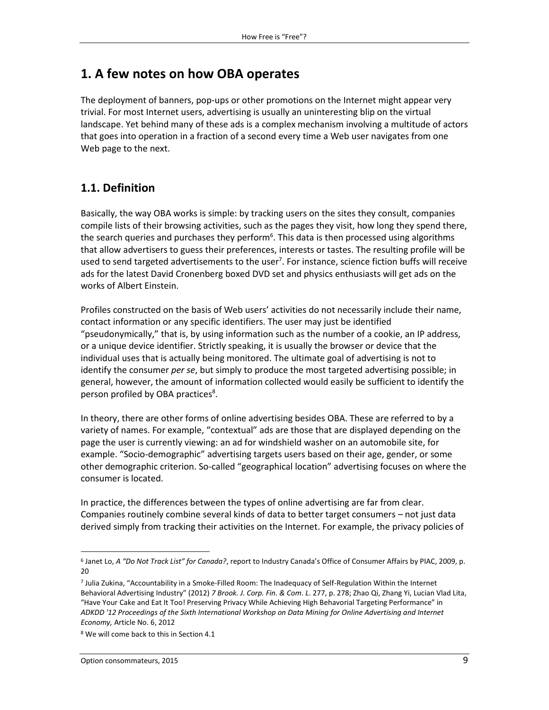## <span id="page-8-0"></span>**1. A few notes on how OBA operates**

The deployment of banners, pop-ups or other promotions on the Internet might appear very trivial. For most Internet users, advertising is usually an uninteresting blip on the virtual landscape. Yet behind many of these ads is a complex mechanism involving a multitude of actors that goes into operation in a fraction of a second every time a Web user navigates from one Web page to the next.

#### <span id="page-8-1"></span>**1.1. Definition**

Basically, the way OBA works is simple: by tracking users on the sites they consult, companies compile lists of their browsing activities, such as the pages they visit, how long they spend there, the search queries and purchases they perform<sup>6</sup>. This data is then processed using algorithms that allow advertisers to guess their preferences, interests or tastes. The resulting profile will be used to send targeted advertisements to the user<sup>7</sup>. For instance, science fiction buffs will receive ads for the latest David Cronenberg boxed DVD set and physics enthusiasts will get ads on the works of Albert Einstein.

Profiles constructed on the basis of Web users' activities do not necessarily include their name, contact information or any specific identifiers. The user may just be identified "pseudonymically," that is, by using information such as the number of a cookie, an IP address, or a unique device identifier. Strictly speaking, it is usually the browser or device that the individual uses that is actually being monitored. The ultimate goal of advertising is not to identify the consumer *per se*, but simply to produce the most targeted advertising possible; in general, however, the amount of information collected would easily be sufficient to identify the person profiled by OBA practices<sup>8</sup>.

In theory, there are other forms of online advertising besides OBA. These are referred to by a variety of names. For example, "contextual" ads are those that are displayed depending on the page the user is currently viewing: an ad for windshield washer on an automobile site, for example. "Socio-demographic" advertising targets users based on their age, gender, or some other demographic criterion. So-called "geographical location" advertising focuses on where the consumer is located.

In practice, the differences between the types of online advertising are far from clear. Companies routinely combine several kinds of data to better target consumers – not just data derived simply from tracking their activities on the Internet. For example, the privacy policies of

l 6 Janet Lo, *A "Do Not Track List" for Canada?*, report to Industry Canada's Office of Consumer Affairs by PIAC, 2009, p. 20

<sup>7</sup> Julia Zukina, "Accountability in a Smoke-Filled Room: The Inadequacy of Self-Regulation Within the Internet Behavioral Advertising Industry" (2012) *7 Brook. J. Corp. Fin. & Com*. *L*. 277, p. 278; Zhao Qi, Zhang Yi, Lucian Vlad Lita, "Have Your Cake and Eat It Too! Preserving Privacy While Achieving High Behavorial Targeting Performance" in *ADKDD '12 Proceedings of the Sixth International Workshop on Data Mining for Online Advertising and Internet Economy,* Article No. 6, 2012

<sup>8</sup> We will come back to this in Section 4.1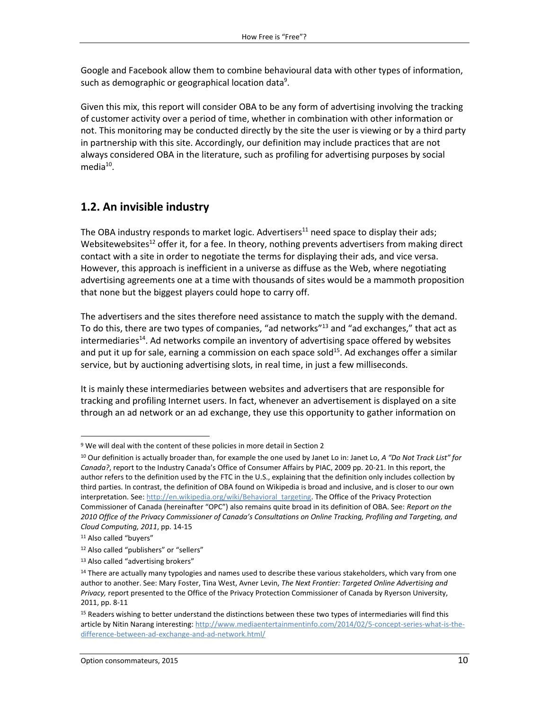Google and Facebook allow them to combine behavioural data with other types of information, such as demographic or geographical location data $9$ .

Given this mix, this report will consider OBA to be any form of advertising involving the tracking of customer activity over a period of time, whether in combination with other information or not. This monitoring may be conducted directly by the site the user is viewing or by a third party in partnership with this site. Accordingly, our definition may include practices that are not always considered OBA in the literature, such as profiling for advertising purposes by social media<sup>10</sup>.

#### <span id="page-9-0"></span>**1.2. An invisible industry**

The OBA industry responds to market logic. Advertisers<sup>11</sup> need space to display their ads; Websitewebsites<sup>12</sup> offer it, for a fee. In theory, nothing prevents advertisers from making direct contact with a site in order to negotiate the terms for displaying their ads, and vice versa. However, this approach is inefficient in a universe as diffuse as the Web, where negotiating advertising agreements one at a time with thousands of sites would be a mammoth proposition that none but the biggest players could hope to carry off.

The advertisers and the sites therefore need assistance to match the supply with the demand. To do this, there are two types of companies, "ad networks"<sup>13</sup> and "ad exchanges," that act as intermediaries<sup>14</sup>. Ad networks compile an inventory of advertising space offered by websites and put it up for sale, earning a commission on each space sold<sup>15</sup>. Ad exchanges offer a similar service, but by auctioning advertising slots, in real time, in just a few milliseconds.

It is mainly these intermediaries between websites and advertisers that are responsible for tracking and profiling Internet users. In fact, whenever an advertisement is displayed on a site through an ad network or an ad exchange, they use this opportunity to gather information on

<sup>9</sup> We will deal with the content of these policies in more detail in Section 2

<sup>10</sup> Our definition is actually broader than, for example the one used by Janet Lo in: Janet Lo, *A "Do Not Track List" for Canada?*, report to the Industry Canada's Office of Consumer Affairs by PIAC, 2009 pp. 20-21. In this report, the author refers to the definition used by the FTC in the U.S., explaining that the definition only includes collection by third parties. In contrast, the definition of OBA found on Wikipedia is broad and inclusive, and is closer to our own interpretation. See[: http://en.wikipedia.org/wiki/Behavioral\\_targeting.](http://en.wikipedia.org/wiki/Behavioral_targeting) The Office of the Privacy Protection Commissioner of Canada (hereinafter "OPC") also remains quite broad in its definition of OBA. See: *Report on the 2010 Office of the Privacy Commissioner of Canada's Consultations on Online Tracking, Profiling and Targeting, and Cloud Computing, 2011*, pp. 14-15

<sup>&</sup>lt;sup>11</sup> Also called "buyers"

<sup>12</sup> Also called "publishers" or "sellers"

<sup>13</sup> Also called "advertising brokers"

<sup>&</sup>lt;sup>14</sup> There are actually many typologies and names used to describe these various stakeholders, which vary from one author to another. See: Mary Foster, Tina West, Avner Levin, *The Next Frontier: Targeted Online Advertising and Privacy,* report presented to the Office of the Privacy Protection Commissioner of Canada by Ryerson University, 2011, pp. 8-11

<sup>&</sup>lt;sup>15</sup> Readers wishing to better understand the distinctions between these two types of intermediaries will find this article by Nitin Narang interesting: [http://www.mediaentertainmentinfo.com/2014/02/5-concept-series-what-is-the](http://www.mediaentertainmentinfo.com/2014/02/5-concept-series-what-is-the-difference-between-ad-exchange-and-ad-network.html/)[difference-between-ad-exchange-and-ad-network.html/](http://www.mediaentertainmentinfo.com/2014/02/5-concept-series-what-is-the-difference-between-ad-exchange-and-ad-network.html/)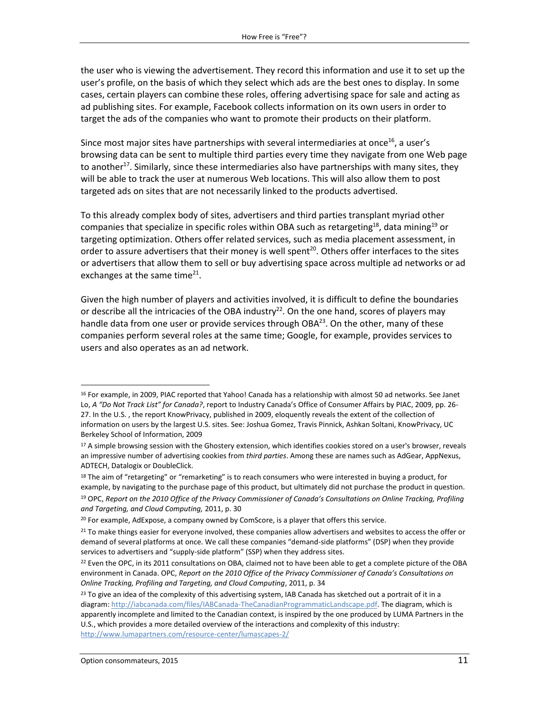the user who is viewing the advertisement. They record this information and use it to set up the user's profile, on the basis of which they select which ads are the best ones to display. In some cases, certain players can combine these roles, offering advertising space for sale and acting as ad publishing sites. For example, Facebook collects information on its own users in order to target the ads of the companies who want to promote their products on their platform.

Since most major sites have partnerships with several intermediaries at once<sup>16</sup>, a user's browsing data can be sent to multiple third parties every time they navigate from one Web page to another<sup>17</sup>. Similarly, since these intermediaries also have partnerships with many sites, they will be able to track the user at numerous Web locations. This will also allow them to post targeted ads on sites that are not necessarily linked to the products advertised.

To this already complex body of sites, advertisers and third parties transplant myriad other companies that specialize in specific roles within OBA such as retargeting<sup>18</sup>, data mining<sup>19</sup> or targeting optimization. Others offer related services, such as media placement assessment, in order to assure advertisers that their money is well spent<sup>20</sup>. Others offer interfaces to the sites or advertisers that allow them to sell or buy advertising space across multiple ad networks or ad exchanges at the same time<sup>21</sup>.

Given the high number of players and activities involved, it is difficult to define the boundaries or describe all the intricacies of the OBA industry<sup>22</sup>. On the one hand, scores of players may handle data from one user or provide services through OBA<sup>23</sup>. On the other, many of these companies perform several roles at the same time; Google, for example, provides services to users and also operates as an ad network.

<sup>&</sup>lt;sup>16</sup> For example, in 2009, PIAC reported that Yahoo! Canada has a relationship with almost 50 ad networks. See Janet Lo, *A "Do Not Track List" for Canada?*, report to Industry Canada's Office of Consumer Affairs by PIAC, 2009, pp. 26- 27. In the U.S. , the report KnowPrivacy, published in 2009, eloquently reveals the extent of the collection of information on users by the largest U.S. sites. See: Joshua Gomez, Travis Pinnick, Ashkan Soltani, KnowPrivacy, UC Berkeley School of Information, 2009

<sup>&</sup>lt;sup>17</sup> A simple browsing session with the Ghostery extension, which identifies cookies stored on a user's browser, reveals an impressive number of advertising cookies from *third parties*. Among these are names such as AdGear, AppNexus, ADTECH, Datalogix or DoubleClick.

<sup>&</sup>lt;sup>18</sup> The aim of "retargeting" or "remarketing" is to reach consumers who were interested in buying a product, for example, by navigating to the purchase page of this product, but ultimately did not purchase the product in question.

<sup>19</sup> OPC, *Report on the 2010 Office of the Privacy Commissioner of Canada's Consultations on Online Tracking, Profiling and Targeting, and Cloud Computing,* 2011, p. 30

<sup>&</sup>lt;sup>20</sup> For example, AdExpose, a company owned by ComScore, is a player that offers this service.

 $21$  To make things easier for everyone involved, these companies allow advertisers and websites to access the offer or demand of several platforms at once. We call these companies "demand-side platforms" (DSP) when they provide services to advertisers and "supply-side platform" (SSP) when they address sites.

<sup>&</sup>lt;sup>22</sup> Even the OPC, in its 2011 consultations on OBA, claimed not to have been able to get a complete picture of the OBA environment in Canada. OPC, *Report on the 2010 Office of the Privacy Commissioner of Canada's Consultations on Online Tracking, Profiling and Targeting, and Cloud Computing*, 2011, p. 34

 $^{23}$  To give an idea of the complexity of this advertising system, IAB Canada has sketched out a portrait of it in a diagram[: http://iabcanada.com/files/IABCanada-TheCanadianProgrammaticLandscape.pdf.](http://iabcanada.com/files/IABCanada-TheCanadianProgrammaticLandscape.pdf) The diagram, which is apparently incomplete and limited to the Canadian context, is inspired by the one produced by LUMA Partners in the U.S., which provides a more detailed overview of the interactions and complexity of this industry: <http://www.lumapartners.com/resource-center/lumascapes-2/>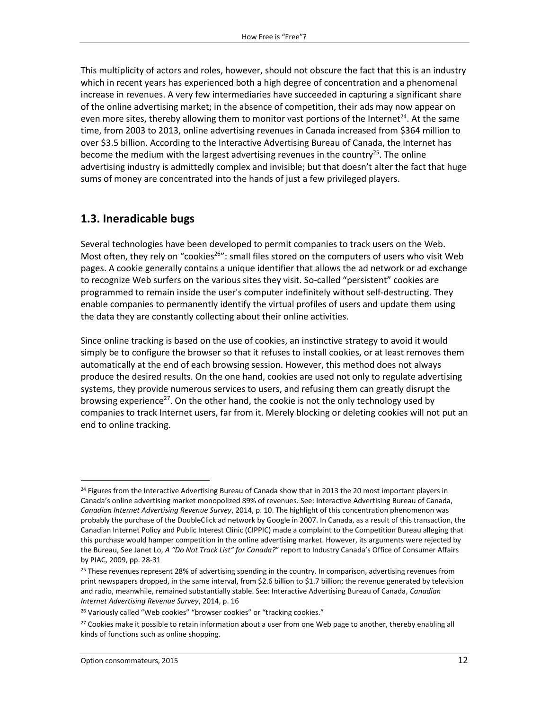This multiplicity of actors and roles, however, should not obscure the fact that this is an industry which in recent years has experienced both a high degree of concentration and a phenomenal increase in revenues. A very few intermediaries have succeeded in capturing a significant share of the online advertising market; in the absence of competition, their ads may now appear on even more sites, thereby allowing them to monitor vast portions of the Internet<sup>24</sup>. At the same time, from 2003 to 2013, online advertising revenues in Canada increased from \$364 million to over \$3.5 billion. According to the Interactive Advertising Bureau of Canada, the Internet has become the medium with the largest advertising revenues in the country<sup>25</sup>. The online advertising industry is admittedly complex and invisible; but that doesn't alter the fact that huge sums of money are concentrated into the hands of just a few privileged players.

#### <span id="page-11-0"></span>**1.3. Ineradicable bugs**

Several technologies have been developed to permit companies to track users on the Web. Most often, they rely on "cookies<sup>26</sup>": small files stored on the computers of users who visit Web pages. A cookie generally contains a unique identifier that allows the ad network or ad exchange to recognize Web surfers on the various sites they visit. So-called "persistent" cookies are programmed to remain inside the user's computer indefinitely without self-destructing. They enable companies to permanently identify the virtual profiles of users and update them using the data they are constantly collecting about their online activities.

Since online tracking is based on the use of cookies, an instinctive strategy to avoid it would simply be to configure the browser so that it refuses to install cookies, or at least removes them automatically at the end of each browsing session. However, this method does not always produce the desired results. On the one hand, cookies are used not only to regulate advertising systems, they provide numerous services to users, and refusing them can greatly disrupt the browsing experience<sup>27</sup>. On the other hand, the cookie is not the only technology used by companies to track Internet users, far from it. Merely blocking or deleting cookies will not put an end to online tracking.

 $\overline{a}$ 

<sup>&</sup>lt;sup>24</sup> Figures from the Interactive Advertising Bureau of Canada show that in 2013 the 20 most important players in Canada's online advertising market monopolized 89% of revenues. See: Interactive Advertising Bureau of Canada, *Canadian Internet Advertising Revenue Survey*, 2014, p. 10. The highlight of this concentration phenomenon was probably the purchase of the DoubleClick ad network by Google in 2007. In Canada, as a result of this transaction, the Canadian Internet Policy and Public Interest Clinic (CIPPIC) made a complaint to the Competition Bureau alleging that this purchase would hamper competition in the online advertising market. However, its arguments were rejected by the Bureau, See Janet Lo, *A "Do Not Track List" for Canada?*" report to Industry Canada's Office of Consumer Affairs by PIAC, 2009, pp. 28-31

<sup>&</sup>lt;sup>25</sup> These revenues represent 28% of advertising spending in the country. In comparison, advertising revenues from print newspapers dropped, in the same interval, from \$2.6 billion to \$1.7 billion; the revenue generated by television and radio, meanwhile, remained substantially stable. See: Interactive Advertising Bureau of Canada, *Canadian Internet Advertising Revenue Survey*, 2014, p. 16

<sup>&</sup>lt;sup>26</sup> Variously called "Web cookies" "browser cookies" or "tracking cookies."

<sup>&</sup>lt;sup>27</sup> Cookies make it possible to retain information about a user from one Web page to another, thereby enabling all kinds of functions such as online shopping.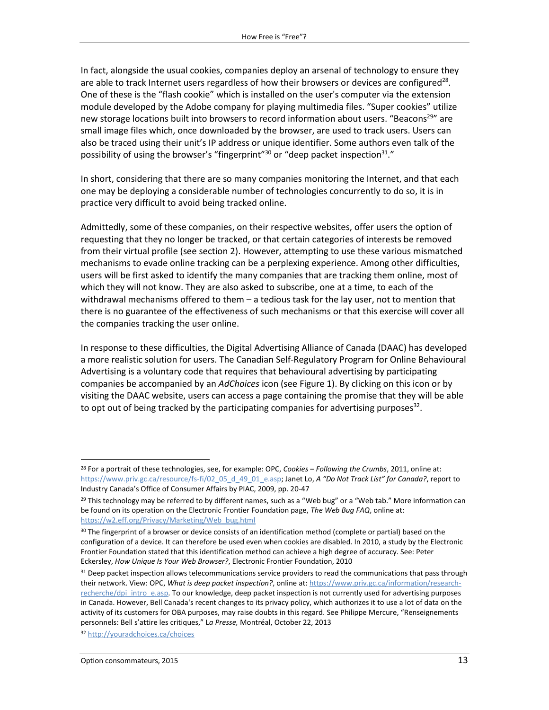In fact, alongside the usual cookies, companies deploy an arsenal of technology to ensure they are able to track Internet users regardless of how their browsers or devices are configured<sup>28</sup>. One of these is the "flash cookie" which is installed on the user's computer via the extension module developed by the Adobe company for playing multimedia files. "Super cookies" utilize new storage locations built into browsers to record information about users. "Beacons<sup>29</sup>" are small image files which, once downloaded by the browser, are used to track users. Users can also be traced using their unit's IP address or unique identifier. Some authors even talk of the possibility of using the browser's "fingerprint"<sup>30</sup> or "deep packet inspection<sup>31</sup>."

In short, considering that there are so many companies monitoring the Internet, and that each one may be deploying a considerable number of technologies concurrently to do so, it is in practice very difficult to avoid being tracked online.

Admittedly, some of these companies, on their respective websites, offer users the option of requesting that they no longer be tracked, or that certain categories of interests be removed from their virtual profile (see section 2). However, attempting to use these various mismatched mechanisms to evade online tracking can be a perplexing experience. Among other difficulties, users will be first asked to identify the many companies that are tracking them online, most of which they will not know. They are also asked to subscribe, one at a time, to each of the withdrawal mechanisms offered to them – a tedious task for the lay user, not to mention that there is no guarantee of the effectiveness of such mechanisms or that this exercise will cover all the companies tracking the user online.

In response to these difficulties, the Digital Advertising Alliance of Canada (DAAC) has developed a more realistic solution for users. The Canadian Self-Regulatory Program for Online Behavioural Advertising is a voluntary code that requires that behavioural advertising by participating companies be accompanied by an *AdChoices* icon (see Figure 1). By clicking on this icon or by visiting the DAAC website, users can access a page containing the promise that they will be able to opt out of being tracked by the participating companies for advertising purposes<sup>32</sup>.

 $\overline{a}$ 

<sup>28</sup> For a portrait of these technologies, see, for example: OPC, *Cookies – Following the Crumbs*, 2011, online at: [https://www.priv.gc.ca/resource/fs-fi/02\\_05\\_d\\_49\\_01\\_e.asp;](https://www.priv.gc.ca/resource/fs-fi/02_05_d_49_01_e.asp) Janet Lo, *A "Do Not Track List" for Canada?*, report to Industry Canada's Office of Consumer Affairs by PIAC, 2009, pp. 20-47

 $^{29}$  This technology may be referred to by different names, such as a "Web bug" or a "Web tab." More information can be found on its operation on the Electronic Frontier Foundation page, *The Web Bug FAQ*, online at: [https://w2.eff.org/Privacy/Marketing/Web\\_bug.html](https://w2.eff.org/Privacy/Marketing/Web_bug.html)

<sup>30</sup> The fingerprint of a browser or device consists of an identification method (complete or partial) based on the configuration of a device. It can therefore be used even when cookies are disabled. In 2010, a study by the Electronic Frontier Foundation stated that this identification method can achieve a high degree of accuracy. See: Peter Eckersley, *How Unique Is Your Web Browser?*, Electronic Frontier Foundation, 2010

<sup>&</sup>lt;sup>31</sup> Deep packet inspection allows telecommunications service providers to read the communications that pass through their network. View: OPC, *What is deep packet inspection?*, online at: [https://www.priv.gc.ca/information/research](https://www.priv.gc.ca/information/research-recherche/dpi_intro_e.asp)[recherche/dpi\\_intro\\_e.asp.](https://www.priv.gc.ca/information/research-recherche/dpi_intro_e.asp) To our knowledge, deep packet inspection is not currently used for advertising purposes in Canada. However, Bell Canada's recent changes to its privacy policy, which authorizes it to use a lot of data on the activity of its customers for OBA purposes, may raise doubts in this regard. See Philippe Mercure, "Renseignements personnels: Bell s'attire les critiques," L*a Presse,* Montréal, October 22, 2013

<sup>32</sup> <http://youradchoices.ca/choices>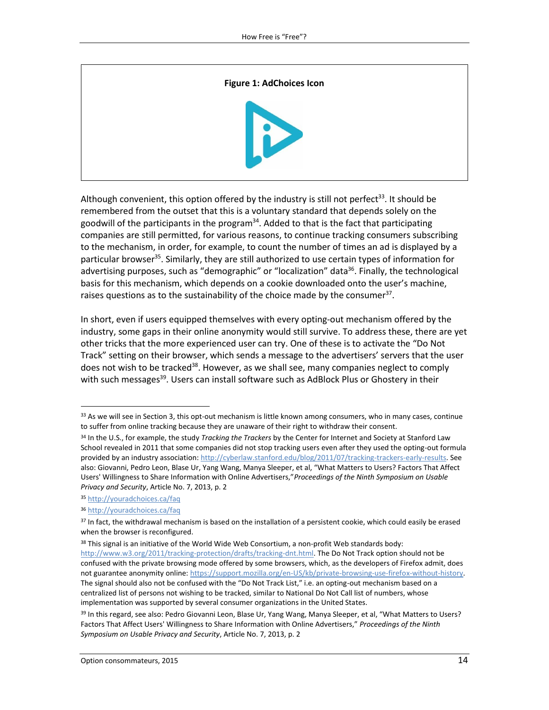# **Figure 1: AdChoices Icon**

Although convenient, this option offered by the industry is still not perfect<sup>33</sup>. It should be remembered from the outset that this is a voluntary standard that depends solely on the goodwill of the participants in the program<sup>34</sup>. Added to that is the fact that participating companies are still permitted, for various reasons, to continue tracking consumers subscribing to the mechanism, in order, for example, to count the number of times an ad is displayed by a particular browser<sup>35</sup>. Similarly, they are still authorized to use certain types of information for advertising purposes, such as "demographic" or "localization" data<sup>36</sup>. Finally, the technological basis for this mechanism, which depends on a cookie downloaded onto the user's machine, raises questions as to the sustainability of the choice made by the consumer<sup>37</sup>.

In short, even if users equipped themselves with every opting-out mechanism offered by the industry, some gaps in their online anonymity would still survive. To address these, there are yet other tricks that the more experienced user can try. One of these is to activate the "Do Not Track" setting on their browser, which sends a message to the advertisers' servers that the user does not wish to be tracked<sup>38</sup>. However, as we shall see, many companies neglect to comply with such messages<sup>39</sup>. Users can install software such as AdBlock Plus or Ghostery in their

 $33$  As we will see in Section 3, this opt-out mechanism is little known among consumers, who in many cases, continue to suffer from online tracking because they are unaware of their right to withdraw their consent.

<sup>34</sup> In the U.S., for example, the study *Tracking the Trackers* by the Center for Internet and Society at Stanford Law School revealed in 2011 that some companies did not stop tracking users even after they used the opting-out formula provided by an industry association: [http://cyberlaw.stanford.edu/blog/2011/07/tracking-trackers-early-results.](http://cyberlaw.stanford.edu/blog/2011/07/tracking-trackers-early-results) See also: Giovanni, Pedro Leon, Blase Ur, Yang Wang, Manya Sleeper, et al, "What Matters to Users? Factors That Affect Users' Willingness to Share Information with Online Advertisers,"*Proceedings of the Ninth Symposium on Usable Privacy and Security*, Article No. 7, 2013, p. 2

<sup>35</sup> <http://youradchoices.ca/faq>

<sup>36</sup> <http://youradchoices.ca/faq>

 $37$  In fact, the withdrawal mechanism is based on the installation of a persistent cookie, which could easily be erased when the browser is reconfigured.

<sup>38</sup> This signal is an initiative of the World Wide Web Consortium, a non-profit Web standards body: [http://www.w3.org/2011/tracking-protection/drafts/tracking-dnt.html.](http://www.w3.org/2011/tracking-protection/drafts/tracking-dnt.html) The Do Not Track option should not be confused with the private browsing mode offered by some browsers, which, as the developers of Firefox admit, does not guarantee anonymity online: [https://support.mozilla.org/en-US/kb/private-browsing-use-firefox-without-history.](https://support.mozilla.org/en-US/kb/private-browsing-use-firefox-without-history)  The signal should also not be confused with the "Do Not Track List," i.e. an opting-out mechanism based on a centralized list of persons not wishing to be tracked, similar to National Do Not Call list of numbers, whose implementation was supported by several consumer organizations in the United States.

<sup>&</sup>lt;sup>39</sup> In this regard, see also: Pedro Giovanni Leon, Blase Ur, Yang Wang, Manya Sleeper, et al, "What Matters to Users? Factors That Affect Users' Willingness to Share Information with Online Advertisers," *Proceedings of the Ninth Symposium on Usable Privacy and Security*, Article No. 7, 2013, p. 2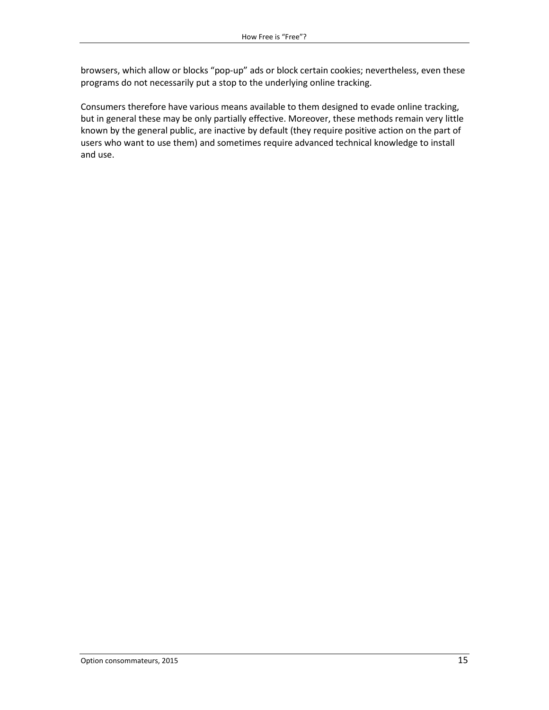browsers, which allow or blocks "pop-up" ads or block certain cookies; nevertheless, even these programs do not necessarily put a stop to the underlying online tracking.

Consumers therefore have various means available to them designed to evade online tracking, but in general these may be only partially effective. Moreover, these methods remain very little known by the general public, are inactive by default (they require positive action on the part of users who want to use them) and sometimes require advanced technical knowledge to install and use.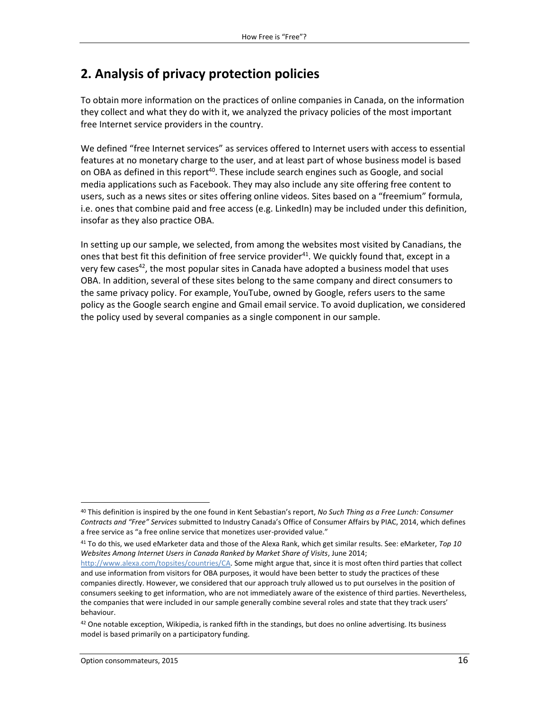## <span id="page-15-0"></span>**2. Analysis of privacy protection policies**

To obtain more information on the practices of online companies in Canada, on the information they collect and what they do with it, we analyzed the privacy policies of the most important free Internet service providers in the country.

We defined "free Internet services" as services offered to Internet users with access to essential features at no monetary charge to the user, and at least part of whose business model is based on OBA as defined in this report $40$ . These include search engines such as Google, and social media applications such as Facebook. They may also include any site offering free content to users, such as a news sites or sites offering online videos. Sites based on a "freemium" formula, i.e. ones that combine paid and free access (e.g. LinkedIn) may be included under this definition, insofar as they also practice OBA.

In setting up our sample, we selected, from among the websites most visited by Canadians, the ones that best fit this definition of free service provider<sup>41</sup>. We quickly found that, except in a very few cases<sup>42</sup>, the most popular sites in Canada have adopted a business model that uses OBA. In addition, several of these sites belong to the same company and direct consumers to the same privacy policy. For example, YouTube, owned by Google, refers users to the same policy as the Google search engine and Gmail email service. To avoid duplication, we considered the policy used by several companies as a single component in our sample.

<sup>41</sup> To do this, we used eMarketer data and those of the Alexa Rank, which get similar results. See: eMarketer, *Top 10 Websites Among Internet Users in Canada Ranked by Market Share of Visits*, June 2014;

 $\overline{a}$ 

<sup>40</sup> This definition is inspired by the one found in Kent Sebastian's report, *No Such Thing as a Free Lunch: Consumer Contracts and "Free" Services* submitted to Industry Canada's Office of Consumer Affairs by PIAC, 2014, which defines a free service as "a free online service that monetizes user-provided value."

[http://www.alexa.com/topsites/countries/CA.](http://www.alexa.com/topsites/countries/CA) Some might argue that, since it is most often third parties that collect and use information from visitors for OBA purposes, it would have been better to study the practices of these companies directly. However, we considered that our approach truly allowed us to put ourselves in the position of consumers seeking to get information, who are not immediately aware of the existence of third parties. Nevertheless, the companies that were included in our sample generally combine several roles and state that they track users' behaviour.

 $42$  One notable exception, Wikipedia, is ranked fifth in the standings, but does no online advertising. Its business model is based primarily on a participatory funding.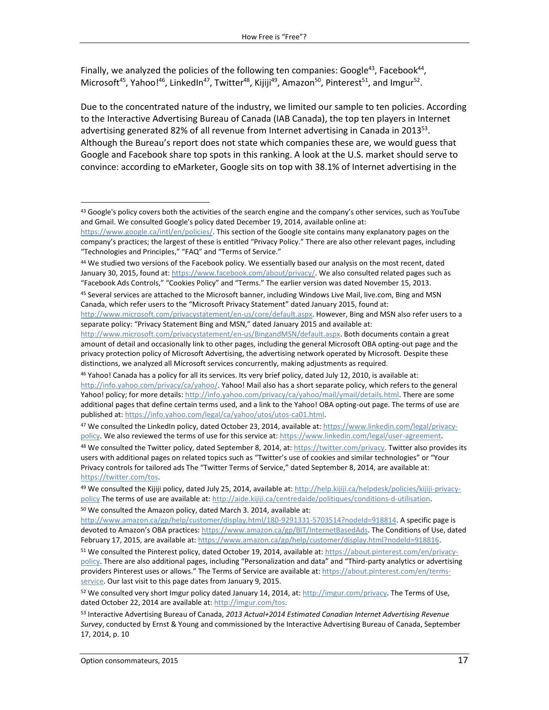Finally, we analyzed the policies of the following ten companies: Google<sup>43</sup>, Facebook<sup>44</sup>, Microsoft<sup>45</sup>, Yahoo!<sup>46</sup>, LinkedIn<sup>47</sup>, Twitter<sup>48</sup>, Kijiji<sup>49</sup>, Amazon<sup>50</sup>, Pinterest<sup>51</sup>, and Imgur<sup>52</sup>.

Due to the concentrated nature of the industry, we limited our sample to ten policies. According to the Interactive Advertising Bureau of Canada (IAB Canada), the top ten players in Internet advertising generated 82% of all revenue from Internet advertising in Canada in 2013<sup>53</sup>. Although the Bureau's report does not state which companies these are, we would guess that Google and Facebook share top spots in this ranking. A look at the U.S. market should serve to convince: according to eMarketer, Google sits on top with 38.1% of Internet advertising in the

<sup>44</sup> We studied two versions of the Facebook policy. We essentially based our analysis on the most recent, dated January 30, 2015, found at[: https://www.facebook.com/about/privacy/.](https://www.facebook.com/about/privacy/) We also consulted related pages such as "Facebook Ads Controls," "Cookies Policy" and "Terms." The earlier version was dated November 15, 2013.

47 We consulted the LinkedIn policy, dated October 23, 2014, available at[: https://www.linkedin.com/legal/privacy](https://www.linkedin.com/legal/privacy-policy)[policy.](https://www.linkedin.com/legal/privacy-policy) We also reviewed the terms of use for this service at[: https://www.linkedin.com/legal/user-agreement.](https://www.linkedin.com/legal/user-agreement)

 $48$  We consulted the Twitter policy, dated September 8, 2014, at: [https://twitter.com/privacy.](https://twitter.com/privacy) Twitter also provides its users with additional pages on related topics such as "Twitter's use of cookies and similar technologies" or "Your Privacy controls for tailored ads The "Twitter Terms of Service," dated September 8, 2014, are available at: [https://twitter.com/tos.](https://twitter.com/tos)

<sup>50</sup> We consulted the Amazon policy, dated March 3. 2014, available at:

l

<sup>43</sup> Google's policy covers both the activities of the search engine and the company's other services, such as YouTube and Gmail. We consulted Google's policy dated December 19, 2014, available online at:

[https://www.google.ca/intl/en/policies/.](https://www.google.ca/intl/en/policies/) This section of the Google site contains many explanatory pages on the company's practices; the largest of these is entitled "Privacy Policy." There are also other relevant pages, including "Technologies and Principles," "FAQ" and "Terms of Service."

<sup>45</sup> Several services are attached to the Microsoft banner, including Windows Live Mail, live.com, Bing and MSN Canada, which refer users to the "Microsoft Privacy Statement" dated January 2015, found at:

[http://www.microsoft.com/privacystatement/en-us/core/default.aspx.](http://www.microsoft.com/privacystatement/en-us/core/default.aspx) However, Bing and MSN also refer users to a separate policy: "Privacy Statement Bing and MSN," dated January 2015 and available at:

[http://www.microsoft.com/privacystatement/en-us/BingandMSN/default.aspx.](http://www.microsoft.com/privacystatement/en-us/BingandMSN/default.aspx) Both documents contain a great amount of detail and occasionally link to other pages, including the general Microsoft OBA opting-out page and the privacy protection policy of Microsoft Advertising, the advertising network operated by Microsoft. Despite these distinctions, we analyzed all Microsoft services concurrently, making adjustments as required.

<sup>46</sup> Yahoo! Canada has a policy for all its services. Its very brief policy, dated July 12, 2010, is available at: [http://info.yahoo.com/privacy/ca/yahoo/.](http://info.yahoo.com/privacy/ca/yahoo/) Yahoo! Mail also has a short separate policy, which refers to the general Yahoo! policy; for more details[: http://info.yahoo.com/privacy/ca/yahoo/mail/ymail/details.html.](http://info.yahoo.com/privacy/ca/yahoo/mail/ymail/details.html) There are some additional pages that define certain terms used, and a link to the Yahoo! OBA opting-out page. The terms of use are published at[: https://info.yahoo.com/legal/ca/yahoo/utos/utos-ca01.html.](https://info.yahoo.com/legal/ca/yahoo/utos/utos-ca01.html)

<sup>49</sup> We consulted the Kijiji policy, dated July 25, 2014, available at: [http://help.kijiji.ca/helpdesk/policies/kijiji-privacy](http://help.kijiji.ca/helpdesk/policies/kijiji-privacy-policy)[policy](http://help.kijiji.ca/helpdesk/policies/kijiji-privacy-policy) The terms of use are available at: [http://aide.kijiji.ca/centredaide/politiques/conditions-d-utilisation.](http://aide.kijiji.ca/centredaide/politiques/conditions-d-utilisation)

[http://www.amazon.ca/gp/help/customer/display.html/180-9291331-5703514?nodeId=918814.](http://www.amazon.ca/gp/help/customer/display.html/180-9291331-5703514?nodeId=918814) A specific page is devoted to Amazon's OBA practices: [https://www.amazon.ca/gp/BIT/InternetBasedAds.](https://www.amazon.ca/gp/BIT/InternetBasedAds) The Conditions of Use, dated February 17, 2015, are available at: [https://www.amazon.ca/gp/help/customer/display.html?nodeId=918816.](https://www.amazon.ca/gp/help/customer/display.html?nodeId=918816)

<sup>51</sup> We consulted the Pinterest policy, dated October 19, 2014, available at: [https://about.pinterest.com/en/privacy](https://about.pinterest.com/en/privacy-policy)[policy](https://about.pinterest.com/en/privacy-policy). There are also additional pages, including "Personalization and data" and "Third-party analytics or advertising providers Pinterest uses or allows." The Terms of Service are available at[: https://about.pinterest.com/en/terms](https://about.pinterest.com/en/terms-service)[service.](https://about.pinterest.com/en/terms-service) Our last visit to this page dates from January 9, 2015.

<sup>52</sup> We consulted very short Imgur policy dated January 14, 2014, at: [http://imgur.com/privacy.](http://imgur.com/privacy) The Terms of Use, dated October 22, 2014 are available at: [http://imgur.com/tos.](http://imgur.com/tos)

<sup>53</sup> Interactive Advertising Bureau of Canada, *2013 Actual+2014 Estimated Canadian Internet Advertising Revenue Survey*, conducted by Ernst & Young and commissioned by the Interactive Advertising Bureau of Canada, September 17, 2014, p. 10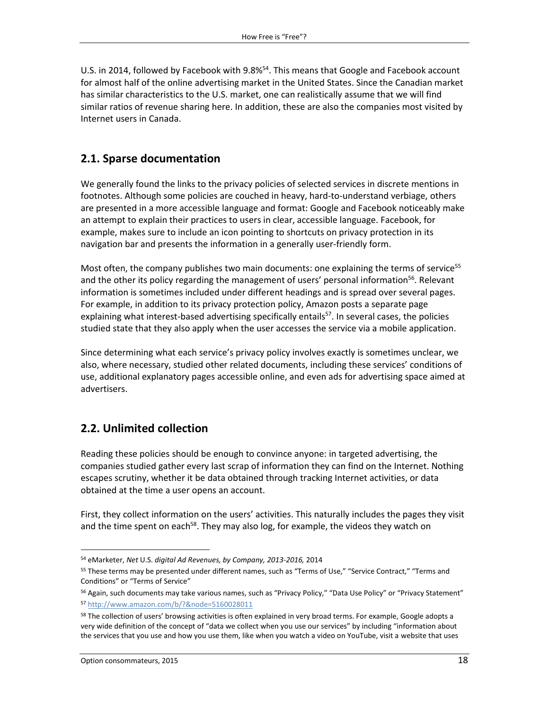U.S. in 2014, followed by Facebook with 9.8%<sup>54</sup>. This means that Google and Facebook account for almost half of the online advertising market in the United States. Since the Canadian market has similar characteristics to the U.S. market, one can realistically assume that we will find similar ratios of revenue sharing here. In addition, these are also the companies most visited by Internet users in Canada.

#### <span id="page-17-0"></span>**2.1. Sparse documentation**

We generally found the links to the privacy policies of selected services in discrete mentions in footnotes. Although some policies are couched in heavy, hard-to-understand verbiage, others are presented in a more accessible language and format: Google and Facebook noticeably make an attempt to explain their practices to users in clear, accessible language. Facebook, for example, makes sure to include an icon pointing to shortcuts on privacy protection in its navigation bar and presents the information in a generally user-friendly form.

Most often, the company publishes two main documents: one explaining the terms of service<sup>55</sup> and the other its policy regarding the management of users' personal information<sup>56</sup>. Relevant information is sometimes included under different headings and is spread over several pages. For example, in addition to its privacy protection policy, Amazon posts a separate page explaining what interest-based advertising specifically entails<sup>57</sup>. In several cases, the policies studied state that they also apply when the user accesses the service via a mobile application.

Since determining what each service's privacy policy involves exactly is sometimes unclear, we also, where necessary, studied other related documents, including these services' conditions of use, additional explanatory pages accessible online, and even ads for advertising space aimed at advertisers.

#### <span id="page-17-1"></span>**2.2. Unlimited collection**

Reading these policies should be enough to convince anyone: in targeted advertising, the companies studied gather every last scrap of information they can find on the Internet. Nothing escapes scrutiny, whether it be data obtained through tracking Internet activities, or data obtained at the time a user opens an account.

First, they collect information on the users' activities. This naturally includes the pages they visit and the time spent on each<sup>58</sup>. They may also log, for example, the videos they watch on

 $\overline{a}$ <sup>54</sup> eMarketer, *Net* U.S. *digital Ad Revenues, by Company, 2013-2016,* 2014

<sup>55</sup> These terms may be presented under different names, such as "Terms of Use," "Service Contract," "Terms and Conditions" or "Terms of Service"

<sup>56</sup> Again, such documents may take various names, such as "Privacy Policy," "Data Use Policy" or "Privacy Statement" <sup>57</sup> <http://www.amazon.com/b/?&node=5160028011>

<sup>&</sup>lt;sup>58</sup> The collection of users' browsing activities is often explained in very broad terms. For example, Google adopts a very wide definition of the concept of "data we collect when you use our services" by including "information about the services that you use and how you use them, like when you watch a video on YouTube, visit a website that uses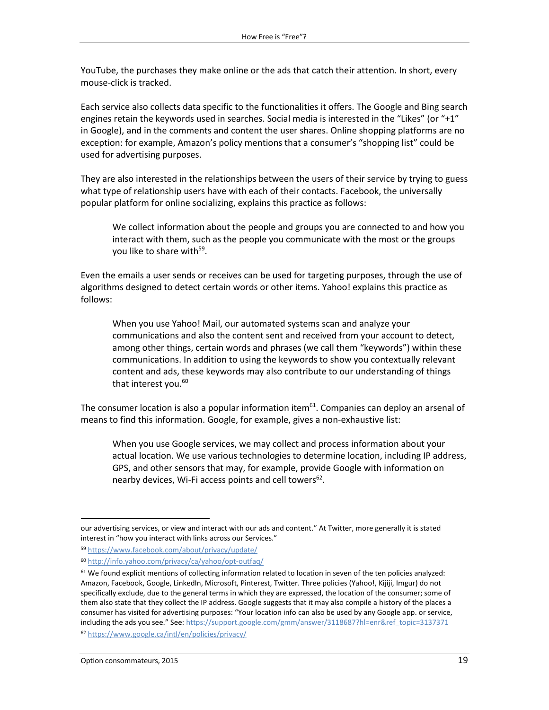YouTube, the purchases they make online or the ads that catch their attention. In short, every mouse-click is tracked.

Each service also collects data specific to the functionalities it offers. The Google and Bing search engines retain the keywords used in searches. Social media is interested in the "Likes" (or "+1" in Google), and in the comments and content the user shares. Online shopping platforms are no exception: for example, Amazon's policy mentions that a consumer's "shopping list" could be used for advertising purposes.

They are also interested in the relationships between the users of their service by trying to guess what type of relationship users have with each of their contacts. Facebook, the universally popular platform for online socializing, explains this practice as follows:

We collect information about the people and groups you are connected to and how you interact with them, such as the people you communicate with the most or the groups you like to share with<sup>59</sup>.

Even the emails a user sends or receives can be used for targeting purposes, through the use of algorithms designed to detect certain words or other items. Yahoo! explains this practice as follows:

When you use Yahoo! Mail, our automated systems scan and analyze your communications and also the content sent and received from your account to detect, among other things, certain words and phrases (we call them "keywords") within these communications. In addition to using the keywords to show you contextually relevant content and ads, these keywords may also contribute to our understanding of things that interest you. 60

The consumer location is also a popular information item<sup>61</sup>. Companies can deploy an arsenal of means to find this information. Google, for example, gives a non-exhaustive list:

When you use Google services, we may collect and process information about your actual location. We use various technologies to determine location, including IP address, GPS, and other sensors that may, for example, provide Google with information on nearby devices, Wi-Fi access points and cell towers<sup>62</sup>.

our advertising services, or view and interact with our ads and content." At Twitter, more generally it is stated interest in "how you interact with links across our Services."

<sup>59</sup> <https://www.facebook.com/about/privacy/update/>

<sup>60</sup> <http://info.yahoo.com/privacy/ca/yahoo/opt-outfaq/>

 $61$  We found explicit mentions of collecting information related to location in seven of the ten policies analyzed: Amazon, Facebook, Google, LinkedIn, Microsoft, Pinterest, Twitter. Three policies (Yahoo!, Kijiji, Imgur) do not specifically exclude, due to the general terms in which they are expressed, the location of the consumer; some of them also state that they collect the IP address. Google suggests that it may also compile a history of the places a consumer has visited for advertising purposes: "Your location info can also be used by any Google app. or service, including the ads you see." See: [https://support.google.com/gmm/answer/3118687?hl=enr&ref\\_topic=3137371](https://support.google.com/gmm/answer/3118687?hl=enr&ref_topic=3137371) <sup>62</sup> <https://www.google.ca/intl/en/policies/privacy/>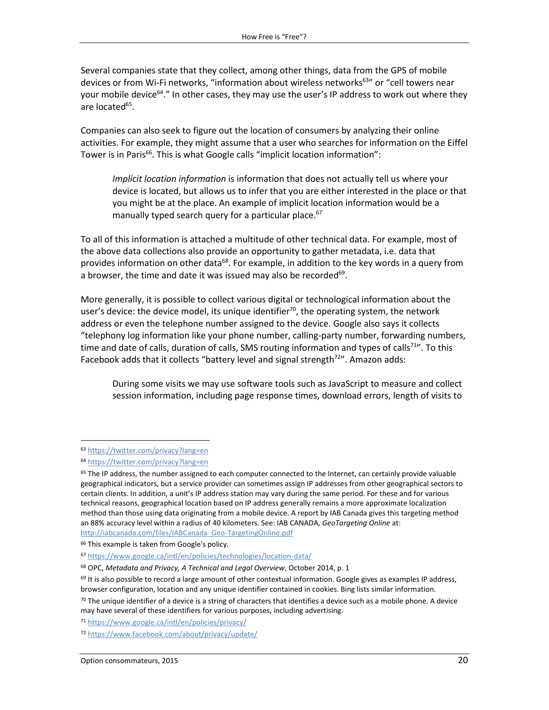Several companies state that they collect, among other things, data from the GPS of mobile devices or from Wi-Fi networks, "information about wireless networks<sup>63</sup>" or "cell towers near your mobile device<sup>64</sup>." In other cases, they may use the user's IP address to work out where they are located<sup>65</sup>.

Companies can also seek to figure out the location of consumers by analyzing their online activities. For example, they might assume that a user who searches for information on the Eiffel Tower is in Paris<sup>66</sup>. This is what Google calls "implicit location information":

*Implicit location information* is information that does not actually tell us where your device is located, but allows us to infer that you are either interested in the place or that you might be at the place. An example of implicit location information would be a manually typed search query for a particular place.<sup>67</sup>

To all of this information is attached a multitude of other technical data. For example, most of the above data collections also provide an opportunity to gather metadata, i.e. data that provides information on other data<sup>68</sup>. For example, in addition to the key words in a query from a browser, the time and date it was issued may also be recorded<sup>69</sup>.

More generally, it is possible to collect various digital or technological information about the user's device: the device model, its unique identifier<sup>70</sup>, the operating system, the network address or even the telephone number assigned to the device. Google also says it collects "telephony log information like your phone number, calling-party number, forwarding numbers, time and date of calls, duration of calls, SMS routing information and types of calls<sup>71"</sup>. To this Facebook adds that it collects "battery level and signal strength<sup>72</sup>". Amazon adds:

During some visits we may use software tools such as JavaScript to measure and collect session information, including page response times, download errors, length of visits to

 $\overline{a}$ 

<sup>63</sup> <https://twitter.com/privacy?lang=en>

<sup>64</sup> <https://twitter.com/privacy?lang=en>

<sup>&</sup>lt;sup>65</sup> The IP address, the number assigned to each computer connected to the Internet, can certainly provide valuable geographical indicators, but a service provider can sometimes assign IP addresses from other geographical sectors to certain clients. In addition, a unit's IP address station may vary during the same period. For these and for various technical reasons, geographical location based on IP address generally remains a more approximate localization method than those using data originating from a mobile device. A report by IAB Canada gives this targeting method an 88% accuracy level within a radius of 40 kilometers. See: IAB CANADA, *GeoTargeting Online* at: [http://iabcanada.com/files/IABCanada\\_Geo-TargetingOnline.pdf](http://iabcanada.com/files/IABCanada_Geo-TargetingOnline.pdf)

<sup>&</sup>lt;sup>66</sup> This example is taken from Google's policy.

<sup>67</sup> <https://www.google.ca/intl/en/policies/technologies/location-data/>

<sup>68</sup> OPC, *Metadata and Privacy, A Technical and Legal Overview*, October 2014, p. 1

 $69$  It is also possible to record a large amount of other contextual information. Google gives as examples IP address, browser configuration, location and any unique identifier contained in cookies. Bing lists similar information.

 $70$  The unique identifier of a device is a string of characters that identifies a device such as a mobile phone. A device may have several of these identifiers for various purposes, including advertising.

<sup>71</sup> <https://www.google.ca/intl/en/policies/privacy/>

<sup>72</sup> <https://www.facebook.com/about/privacy/update/>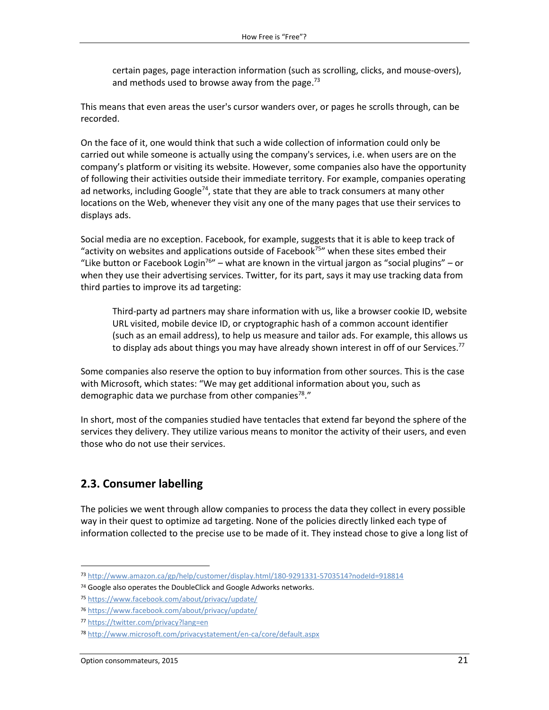certain pages, page interaction information (such as scrolling, clicks, and mouse-overs), and methods used to browse away from the page.<sup>73</sup>

This means that even areas the user's cursor wanders over, or pages he scrolls through, can be recorded.

On the face of it, one would think that such a wide collection of information could only be carried out while someone is actually using the company's services, i.e. when users are on the company's platform or visiting its website. However, some companies also have the opportunity of following their activities outside their immediate territory. For example, companies operating ad networks, including Google<sup>74</sup>, state that they are able to track consumers at many other locations on the Web, whenever they visit any one of the many pages that use their services to displays ads.

Social media are no exception. Facebook, for example, suggests that it is able to keep track of "activity on websites and applications outside of Facebook<sup>75</sup>" when these sites embed their "Like button or Facebook Login<sup>76</sup>" – what are known in the virtual jargon as "social plugins" – or when they use their advertising services. Twitter, for its part, says it may use tracking data from third parties to improve its ad targeting:

Third-party ad partners may share information with us, like a browser cookie ID, website URL visited, mobile device ID, or cryptographic hash of a common account identifier (such as an email address), to help us measure and tailor ads. For example, this allows us to display ads about things you may have already shown interest in off of our Services.<sup>77</sup>

Some companies also reserve the option to buy information from other sources. This is the case with Microsoft, which states: "We may get additional information about you, such as demographic data we purchase from other companies<sup>78</sup>."

In short, most of the companies studied have tentacles that extend far beyond the sphere of the services they delivery. They utilize various means to monitor the activity of their users, and even those who do not use their services.

#### <span id="page-20-0"></span>**2.3. Consumer labelling**

The policies we went through allow companies to process the data they collect in every possible way in their quest to optimize ad targeting. None of the policies directly linked each type of information collected to the precise use to be made of it. They instead chose to give a long list of

 $\overline{a}$ 

<sup>73</sup> <http://www.amazon.ca/gp/help/customer/display.html/180-9291331-5703514?nodeId=918814>

<sup>&</sup>lt;sup>74</sup> Google also operates the DoubleClick and Google Adworks networks.

<sup>75</sup> <https://www.facebook.com/about/privacy/update/>

<sup>76</sup> <https://www.facebook.com/about/privacy/update/>

<sup>77</sup> <https://twitter.com/privacy?lang=en>

<sup>78</sup> <http://www.microsoft.com/privacystatement/en-ca/core/default.aspx>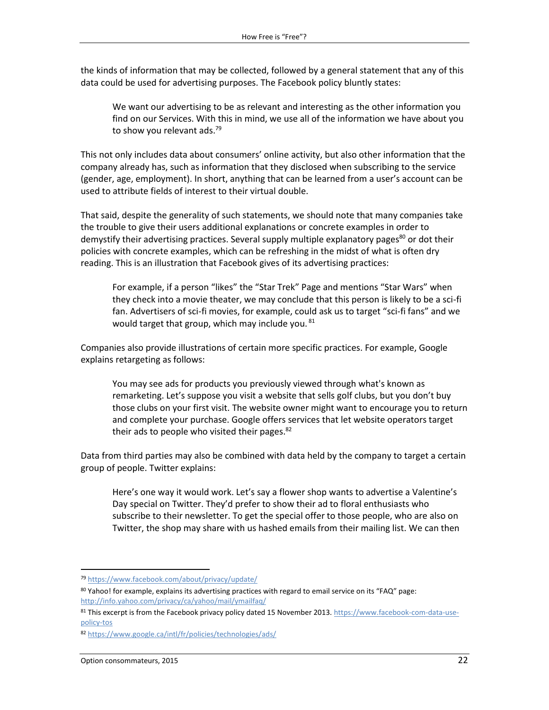the kinds of information that may be collected, followed by a general statement that any of this data could be used for advertising purposes. The Facebook policy bluntly states:

We want our advertising to be as relevant and interesting as the other information you find on our Services. With this in mind, we use all of the information we have about you to show you relevant ads.<sup>79</sup>

This not only includes data about consumers' online activity, but also other information that the company already has, such as information that they disclosed when subscribing to the service (gender, age, employment). In short, anything that can be learned from a user's account can be used to attribute fields of interest to their virtual double.

That said, despite the generality of such statements, we should note that many companies take the trouble to give their users additional explanations or concrete examples in order to demystify their advertising practices. Several supply multiple explanatory pages $80$  or dot their policies with concrete examples, which can be refreshing in the midst of what is often dry reading. This is an illustration that Facebook gives of its advertising practices:

For example, if a person "likes" the "Star Trek" Page and mentions "Star Wars" when they check into a movie theater, we may conclude that this person is likely to be a sci-fi fan. Advertisers of sci-fi movies, for example, could ask us to target "sci-fi fans" and we would target that group, which may include you.  $81$ 

Companies also provide illustrations of certain more specific practices. For example, Google explains retargeting as follows:

You may see ads for products you previously viewed through what's known as remarketing. Let's suppose you visit a website that sells golf clubs, but you don't buy those clubs on your first visit. The website owner might want to encourage you to return and complete your purchase. Google offers services that let website operators target their ads to people who visited their pages.<sup>82</sup>

Data from third parties may also be combined with data held by the company to target a certain group of people. Twitter explains:

Here's one way it would work. Let's say a flower shop wants to advertise a Valentine's Day special on Twitter. They'd prefer to show their ad to floral enthusiasts who subscribe to their newsletter. To get the special offer to those people, who are also on Twitter, the shop may share with us hashed emails from their mailing list. We can then

<sup>79</sup> <https://www.facebook.com/about/privacy/update/>

<sup>80</sup> Yahoo! for example, explains its advertising practices with regard to email service on its "FAQ" page: <http://info.yahoo.com/privacy/ca/yahoo/mail/ymailfaq/>

<sup>81</sup> This excerpt is from the Facebook privacy policy dated 15 November 2013[. https://www.facebook-com-data-use](https://www.docracy.com/0co4k1a5qym/facebook-com-data-use-policy-tos)[policy-tos](https://www.docracy.com/0co4k1a5qym/facebook-com-data-use-policy-tos)

<sup>82</sup> <https://www.google.ca/intl/fr/policies/technologies/ads/>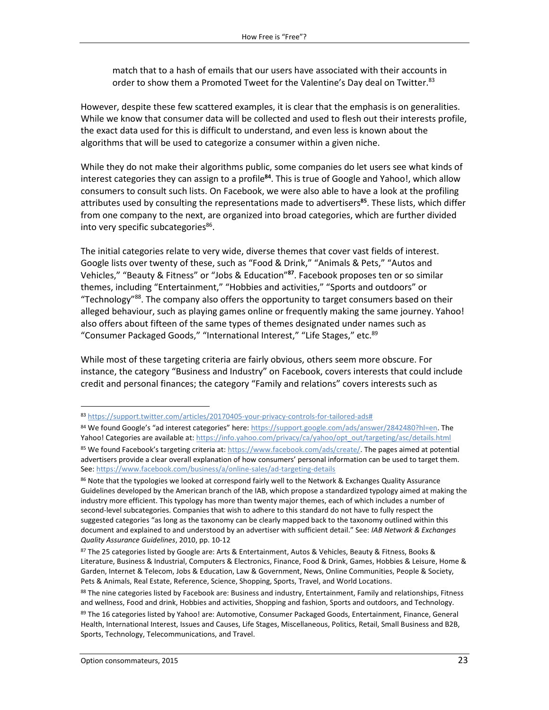match that to a hash of emails that our users have associated with their accounts in order to show them a Promoted Tweet for the Valentine's Day deal on Twitter.<sup>83</sup>

However, despite these few scattered examples, it is clear that the emphasis is on generalities. While we know that consumer data will be collected and used to flesh out their interests profile, the exact data used for this is difficult to understand, and even less is known about the algorithms that will be used to categorize a consumer within a given niche.

While they do not make their algorithms public, some companies do let users see what kinds of interest categories they can assign to a profile**<sup>84</sup>**. This is true of Google and Yahoo!, which allow consumers to consult such lists. On Facebook, we were also able to have a look at the profiling attributes used by consulting the representations made to advertisers**<sup>85</sup>**. These lists, which differ from one company to the next, are organized into broad categories, which are further divided into very specific subcategories<sup>86</sup>.

The initial categories relate to very wide, diverse themes that cover vast fields of interest. Google lists over twenty of these, such as "Food & Drink," "Animals & Pets," "Autos and Vehicles," "Beauty & Fitness" or "Jobs & Education" **87** . Facebook proposes ten or so similar themes, including "Entertainment," "Hobbies and activities," "Sports and outdoors" or "Technology" <sup>88</sup>. The company also offers the opportunity to target consumers based on their alleged behaviour, such as playing games online or frequently making the same journey. Yahoo! also offers about fifteen of the same types of themes designated under names such as "Consumer Packaged Goods," "International Interest," "Life Stages," etc.<sup>89</sup>

While most of these targeting criteria are fairly obvious, others seem more obscure. For instance, the category "Business and Industry" on Facebook, covers interests that could include credit and personal finances; the category "Family and relations" covers interests such as

<sup>83</sup> [https://support.twitter.com/articles/20170405-your-privacy-controls-for-tailored-ads#](https://support.twitter.com/articles/20170405-your-privacy-controls-for-tailored-ads%23)

<sup>84</sup> We found Google's "ad interest categories" here: [https://support.google.com/ads/answer/2842480?hl=en.](https://support.google.com/ads/answer/2842480?hl=en) The Yahoo! Categories are available at: [https://info.yahoo.com/privacy/ca/yahoo/opt\\_out/targeting/asc/details.html](https://info.yahoo.com/privacy/ca/yahoo/opt_out/targeting/asc/details.html)

<sup>85</sup> We found Facebook's targeting criteria at: [https://www.facebook.com/ads/create/.](https://www.facebook.com/ads/create/) The pages aimed at potential advertisers provide a clear overall explanation of how consumers' personal information can be used to target them. See[: https://www.facebook.com/business/a/online-sales/ad-targeting-details](https://www.facebook.com/business/a/online-sales/ad-targeting-details)

<sup>86</sup> Note that the typologies we looked at correspond fairly well to the Network & Exchanges Quality Assurance Guidelines developed by the American branch of the IAB, which propose a standardized typology aimed at making the industry more efficient. This typology has more than twenty major themes, each of which includes a number of second-level subcategories. Companies that wish to adhere to this standard do not have to fully respect the suggested categories "as long as the taxonomy can be clearly mapped back to the taxonomy outlined within this document and explained to and understood by an advertiser with sufficient detail." See: *IAB Network & Exchanges Quality Assurance Guidelines*, 2010, pp. 10-12

<sup>87</sup> The 25 categories listed by Google are: Arts & Entertainment, Autos & Vehicles, Beauty & Fitness, Books & Literature, Business & Industrial, Computers & Electronics, Finance, Food & Drink, Games, Hobbies & Leisure, Home & Garden, Internet & Telecom, Jobs & Education, Law & Government, News, Online Communities, People & Society, Pets & Animals, Real Estate, Reference, Science, Shopping, Sports, Travel, and World Locations.

<sup>88</sup> The nine categories listed by Facebook are: Business and industry, Entertainment, Family and relationships, Fitness and wellness, Food and drink, Hobbies and activities, Shopping and fashion, Sports and outdoors, and Technology.

<sup>89</sup> The 16 categories listed by Yahoo! are: Automotive, Consumer Packaged Goods, Entertainment, Finance, General Health, International Interest, Issues and Causes, Life Stages, Miscellaneous, Politics, Retail, Small Business and B2B, Sports, Technology, Telecommunications, and Travel.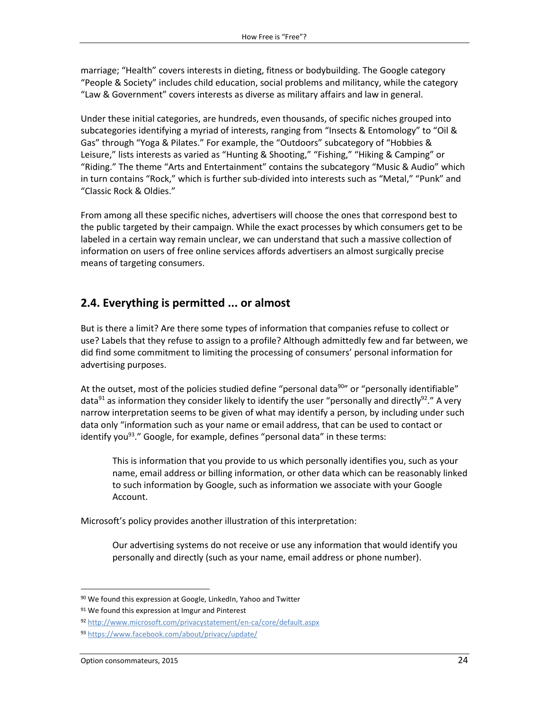marriage; "Health" covers interests in dieting, fitness or bodybuilding. The Google category "People & Society" includes child education, social problems and militancy, while the category "Law & Government" covers interests as diverse as military affairs and law in general.

Under these initial categories, are hundreds, even thousands, of specific niches grouped into subcategories identifying a myriad of interests, ranging from "Insects & Entomology" to "Oil & Gas" through "Yoga & Pilates." For example, the "Outdoors" subcategory of "Hobbies & Leisure," lists interests as varied as "Hunting & Shooting," "Fishing," "Hiking & Camping" or "Riding." The theme "Arts and Entertainment" contains the subcategory "Music & Audio" which in turn contains "Rock," which is further sub-divided into interests such as "Metal," "Punk" and "Classic Rock & Oldies."

From among all these specific niches, advertisers will choose the ones that correspond best to the public targeted by their campaign. While the exact processes by which consumers get to be labeled in a certain way remain unclear, we can understand that such a massive collection of information on users of free online services affords advertisers an almost surgically precise means of targeting consumers.

#### <span id="page-23-0"></span>**2.4. Everything is permitted ... or almost**

But is there a limit? Are there some types of information that companies refuse to collect or use? Labels that they refuse to assign to a profile? Although admittedly few and far between, we did find some commitment to limiting the processing of consumers' personal information for advertising purposes.

At the outset, most of the policies studied define "personal data<sup>90</sup>" or "personally identifiable" data<sup>91</sup> as information they consider likely to identify the user "personally and directly<sup>92</sup>." A very narrow interpretation seems to be given of what may identify a person, by including under such data only "information such as your name or email address, that can be used to contact or identify you<sup>93</sup>." Google, for example, defines "personal data" in these terms:

This is information that you provide to us which personally identifies you, such as your name, email address or billing information, or other data which can be reasonably linked to such information by Google, such as information we associate with your Google Account.

Microsoft's policy provides another illustration of this interpretation:

Our advertising systems do not receive or use any information that would identify you personally and directly (such as your name, email address or phone number).

l

<sup>90</sup> We found this expression at Google, LinkedIn, Yahoo and Twitter

<sup>91</sup> We found this expression at Imgur and Pinterest

<sup>92</sup> <http://www.microsoft.com/privacystatement/en-ca/core/default.aspx>

<sup>93</sup> <https://www.facebook.com/about/privacy/update/>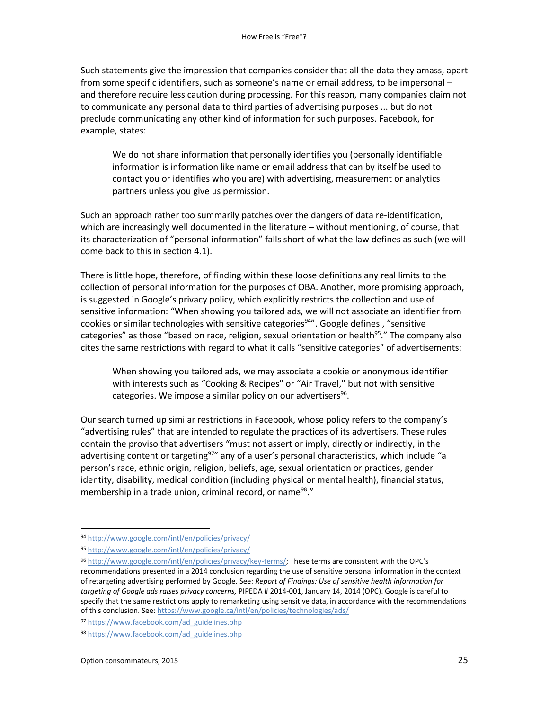Such statements give the impression that companies consider that all the data they amass, apart from some specific identifiers, such as someone's name or email address, to be impersonal – and therefore require less caution during processing. For this reason, many companies claim not to communicate any personal data to third parties of advertising purposes ... but do not preclude communicating any other kind of information for such purposes. Facebook, for example, states:

We do not share information that personally identifies you (personally identifiable information is information like name or email address that can by itself be used to contact you or identifies who you are) with advertising, measurement or analytics partners unless you give us permission.

Such an approach rather too summarily patches over the dangers of data re-identification, which are increasingly well documented in the literature – without mentioning, of course, that its characterization of "personal information" falls short of what the law defines as such (we will come back to this in section 4.1).

There is little hope, therefore, of finding within these loose definitions any real limits to the collection of personal information for the purposes of OBA. Another, more promising approach, is suggested in Google's privacy policy, which explicitly restricts the collection and use of sensitive information: "When showing you tailored ads, we will not associate an identifier from cookies or similar technologies with sensitive categories<sup>94</sup>". Google defines , "sensitive categories" as those "based on race, religion, sexual orientation or health<sup>95</sup>." The company also cites the same restrictions with regard to what it calls "sensitive categories" of advertisements:

When showing you tailored ads, we may associate a cookie or anonymous identifier with interests such as "Cooking & Recipes" or "Air Travel," but not with sensitive categories. We impose a similar policy on our advertisers<sup>96</sup>.

Our search turned up similar restrictions in Facebook, whose policy refers to the company's "advertising rules" that are intended to regulate the practices of its advertisers. These rules contain the proviso that advertisers "must not assert or imply, directly or indirectly, in the advertising content or targeting<sup>97</sup>" any of a user's personal characteristics, which include "a person's race, ethnic origin, religion, beliefs, age, sexual orientation or practices, gender identity, disability, medical condition (including physical or mental health), financial status, membership in a trade union, criminal record, or name<sup>98</sup>."

 $\overline{a}$ 

<sup>94</sup> <http://www.google.com/intl/en/policies/privacy/>

<sup>95</sup> <http://www.google.com/intl/en/policies/privacy/>

<sup>96</sup> <http://www.google.com/intl/en/policies/privacy/key-terms/>; These terms are consistent with the OPC's recommendations presented in a 2014 conclusion regarding the use of sensitive personal information in the context of retargeting advertising performed by Google. See: *Report of Findings: Use of sensitive health information for targeting of Google ads raises privacy concerns,* PIPEDA # 2014-001, January 14, 2014 (OPC). Google is careful to specify that the same restrictions apply to remarketing using sensitive data, in accordance with the recommendations of this conclusion. See[: https://www.google.ca/intl/en/policies/technologies/ads/](https://www.google.ca/intl/en/policies/technologies/ads/)

<sup>97</sup> [https://www.facebook.com/ad\\_guidelines.php](https://www.facebook.com/ad_guidelines.php)

<sup>98</sup> [https://www.facebook.com/ad\\_guidelines.php](https://www.facebook.com/ad_guidelines.php)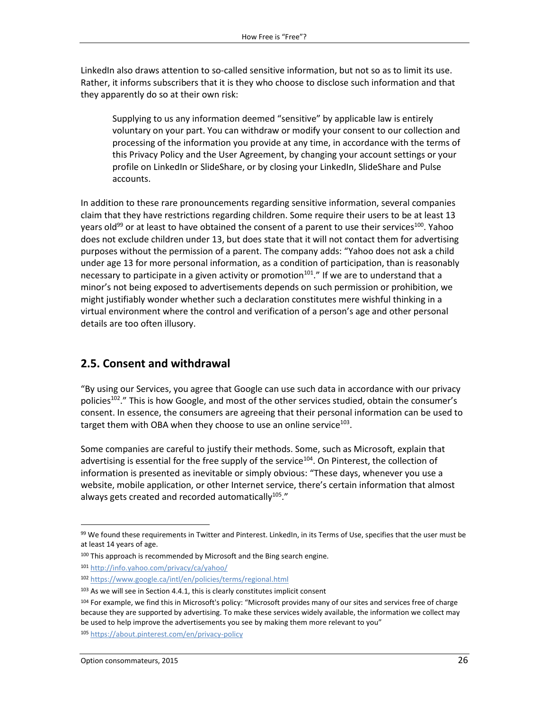LinkedIn also draws attention to so-called sensitive information, but not so as to limit its use. Rather, it informs subscribers that it is they who choose to disclose such information and that they apparently do so at their own risk:

Supplying to us any information deemed "sensitive" by applicable law is entirely voluntary on your part. You can withdraw or modify your consent to our collection and processing of the information you provide at any time, in accordance with the terms of this Privacy Policy and the User Agreement, by changing your account settings or your profile on LinkedIn or SlideShare, or by closing your LinkedIn, SlideShare and Pulse accounts.

In addition to these rare pronouncements regarding sensitive information, several companies claim that they have restrictions regarding children. Some require their users to be at least 13 years old<sup>99</sup> or at least to have obtained the consent of a parent to use their services<sup>100</sup>. Yahoo does not exclude children under 13, but does state that it will not contact them for advertising purposes without the permission of a parent. The company adds: "Yahoo does not ask a child under age 13 for more personal information, as a condition of participation, than is reasonably necessary to participate in a given activity or promotion<sup>101</sup>." If we are to understand that a minor's not being exposed to advertisements depends on such permission or prohibition, we might justifiably wonder whether such a declaration constitutes mere wishful thinking in a virtual environment where the control and verification of a person's age and other personal details are too often illusory.

#### <span id="page-25-0"></span>**2.5. Consent and withdrawal**

"By using our Services, you agree that Google can use such data in accordance with our privacy policies<sup>102</sup>." This is how Google, and most of the other services studied, obtain the consumer's consent. In essence, the consumers are agreeing that their personal information can be used to target them with OBA when they choose to use an online service $^{103}$ .

Some companies are careful to justify their methods. Some, such as Microsoft, explain that advertising is essential for the free supply of the service<sup>104</sup>. On Pinterest, the collection of information is presented as inevitable or simply obvious: "These days, whenever you use a website, mobile application, or other Internet service, there's certain information that almost always gets created and recorded automatically $^{105}$ ."

<sup>99</sup> We found these requirements in Twitter and Pinterest. LinkedIn, in its Terms of Use, specifies that the user must be at least 14 years of age.

 $100$  This approach is recommended by Microsoft and the Bing search engine.

<sup>101</sup> <http://info.yahoo.com/privacy/ca/yahoo/>

<sup>102</sup> <https://www.google.ca/intl/en/policies/terms/regional.html>

 $103$  As we will see in Section 4.4.1, this is clearly constitutes implicit consent

<sup>104</sup> For example, we find this in Microsoft's policy: "Microsoft provides many of our sites and services free of charge because they are supported by advertising. To make these services widely available, the information we collect may be used to help improve the advertisements you see by making them more relevant to you"

<sup>105</sup> <https://about.pinterest.com/en/privacy-policy>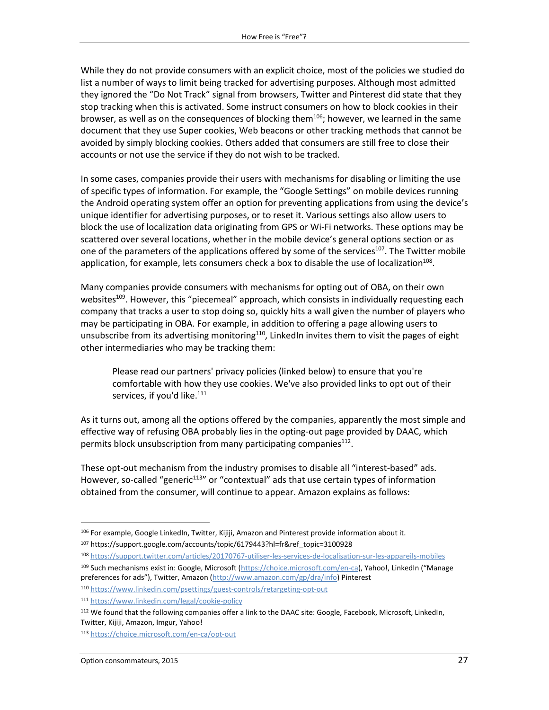While they do not provide consumers with an explicit choice, most of the policies we studied do list a number of ways to limit being tracked for advertising purposes. Although most admitted they ignored the "Do Not Track" signal from browsers, Twitter and Pinterest did state that they stop tracking when this is activated. Some instruct consumers on how to block cookies in their browser, as well as on the consequences of blocking them<sup>106</sup>; however, we learned in the same document that they use Super cookies, Web beacons or other tracking methods that cannot be avoided by simply blocking cookies. Others added that consumers are still free to close their accounts or not use the service if they do not wish to be tracked.

In some cases, companies provide their users with mechanisms for disabling or limiting the use of specific types of information. For example, the "Google Settings" on mobile devices running the Android operating system offer an option for preventing applications from using the device's unique identifier for advertising purposes, or to reset it. Various settings also allow users to block the use of localization data originating from GPS or Wi-Fi networks. These options may be scattered over several locations, whether in the mobile device's general options section or as one of the parameters of the applications offered by some of the services<sup>107</sup>. The Twitter mobile application, for example, lets consumers check a box to disable the use of localization<sup>108</sup>.

Many companies provide consumers with mechanisms for opting out of OBA, on their own websites<sup>109</sup>. However, this "piecemeal" approach, which consists in individually requesting each company that tracks a user to stop doing so, quickly hits a wall given the number of players who may be participating in OBA. For example, in addition to offering a page allowing users to unsubscribe from its advertising monitoring<sup>110</sup>, LinkedIn invites them to visit the pages of eight other intermediaries who may be tracking them:

Please read our partners' privacy policies (linked below) to ensure that you're comfortable with how they use cookies. We've also provided links to opt out of their services, if you'd like.<sup>111</sup>

As it turns out, among all the options offered by the companies, apparently the most simple and effective way of refusing OBA probably lies in the opting-out page provided by DAAC, which permits block unsubscription from many participating companies<sup>112</sup>.

These opt-out mechanism from the industry promises to disable all "interest-based" ads. However, so-called "generic<sup>113</sup>" or "contextual" ads that use certain types of information obtained from the consumer, will continue to appear. Amazon explains as follows:

 $\overline{a}$ 

<sup>106</sup> For example, Google LinkedIn, Twitter, Kijiji, Amazon and Pinterest provide information about it.

<sup>107</sup> https://support.google.com/accounts/topic/6179443?hl=fr&ref\_topic=3100928

<sup>108</sup> <https://support.twitter.com/articles/20170767-utiliser-les-services-de-localisation-sur-les-appareils-mobiles> 109 Such mechanisms exist in: Google, Microsoft [\(https://choice.microsoft.com/en-ca](https://choice.microsoft.com/en-ca)), Yahoo!, LinkedIn ("Manage preferences for ads"), Twitter, Amazon ([http://www.amazon.com/gp/dra/info\)](http://www.amazon.com/gp/dra/info) Pinterest <sup>110</sup> <https://www.linkedin.com/psettings/guest-controls/retargeting-opt-out>

<sup>111</sup> <https://www.linkedin.com/legal/cookie-policy>

<sup>112</sup> We found that the following companies offer a link to the DAAC site: Google, Facebook, Microsoft, LinkedIn, Twitter, Kijiji, Amazon, Imgur, Yahoo!

<sup>113</sup> <https://choice.microsoft.com/en-ca/opt-out>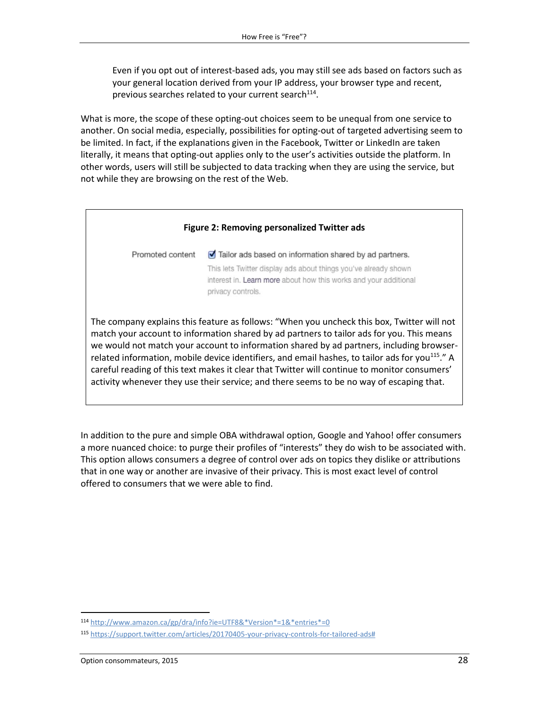Even if you opt out of interest-based ads, you may still see ads based on factors such as your general location derived from your IP address, your browser type and recent, previous searches related to your current search<sup>114</sup>.

What is more, the scope of these opting-out choices seem to be unequal from one service to another. On social media, especially, possibilities for opting-out of targeted advertising seem to be limited. In fact, if the explanations given in the Facebook, Twitter or LinkedIn are taken literally, it means that opting-out applies only to the user's activities outside the platform. In other words, users will still be subjected to data tracking when they are using the service, but not while they are browsing on the rest of the Web.



In addition to the pure and simple OBA withdrawal option, Google and Yahoo! offer consumers a more nuanced choice: to purge their profiles of "interests" they do wish to be associated with. This option allows consumers a degree of control over ads on topics they dislike or attributions that in one way or another are invasive of their privacy. This is most exact level of control offered to consumers that we were able to find.

<sup>114</sup> [http://www.amazon.ca/gp/dra/info?ie=UTF8&\\*Version\\*=1&\\*entries\\*=0](http://www.amazon.ca/gp/dra/info?ie=UTF8&*Version*=1&*entries*=0)

<sup>115</sup> [https://support.twitter.com/articles/20170405-your-privacy-controls-for-tailored-ads#](https://support.twitter.com/articles/20170405-your-privacy-controls-for-tailored-ads%23)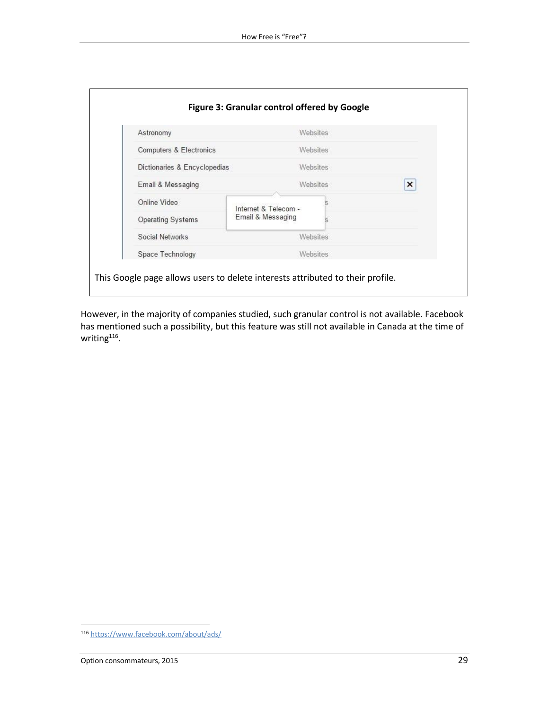| Astronomy                          |                      | Websites |  |   |
|------------------------------------|----------------------|----------|--|---|
| <b>Computers &amp; Electronics</b> |                      | Websites |  |   |
| Dictionaries & Encyclopedias       |                      | Websites |  |   |
| Email & Messaging                  |                      | Websites |  | × |
| Online Video                       | Internet & Telecom - |          |  |   |
| <b>Operating Systems</b>           | Email & Messaging    |          |  |   |
| Social Networks                    | Websites             |          |  |   |
| Space Technology                   |                      | Websites |  |   |

However, in the majority of companies studied, such granular control is not available. Facebook has mentioned such a possibility, but this feature was still not available in Canada at the time of writing<sup>116</sup>.

l

<sup>116</sup> <https://www.facebook.com/about/ads/>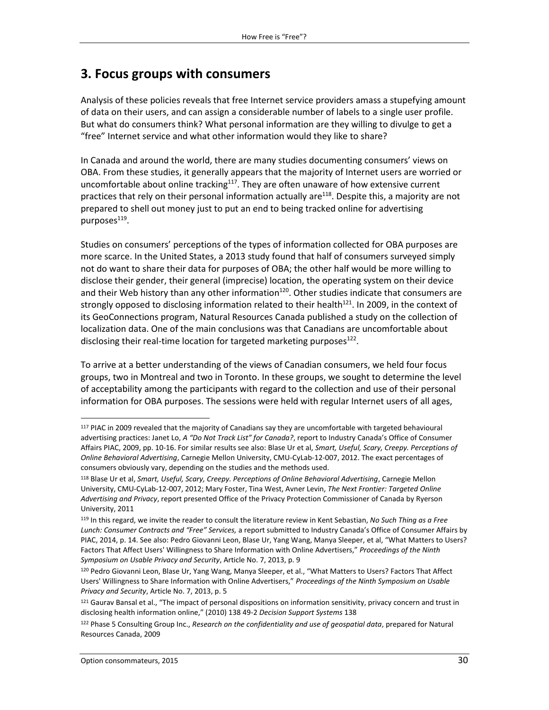## <span id="page-29-0"></span>**3. Focus groups with consumers**

Analysis of these policies reveals that free Internet service providers amass a stupefying amount of data on their users, and can assign a considerable number of labels to a single user profile. But what do consumers think? What personal information are they willing to divulge to get a "free" Internet service and what other information would they like to share?

In Canada and around the world, there are many studies documenting consumers' views on OBA. From these studies, it generally appears that the majority of Internet users are worried or uncomfortable about online tracking<sup>117</sup>. They are often unaware of how extensive current practices that rely on their personal information actually are<sup>118</sup>. Despite this, a majority are not prepared to shell out money just to put an end to being tracked online for advertising purposes $^{\rm 119}.$ 

Studies on consumers' perceptions of the types of information collected for OBA purposes are more scarce. In the United States, a 2013 study found that half of consumers surveyed simply not do want to share their data for purposes of OBA; the other half would be more willing to disclose their gender, their general (imprecise) location, the operating system on their device and their Web history than any other information<sup>120</sup>. Other studies indicate that consumers are strongly opposed to disclosing information related to their health<sup>121</sup>. In 2009, in the context of its GeoConnections program, Natural Resources Canada published a study on the collection of localization data. One of the main conclusions was that Canadians are uncomfortable about disclosing their real-time location for targeted marketing purposes<sup>122</sup>.

To arrive at a better understanding of the views of Canadian consumers, we held four focus groups, two in Montreal and two in Toronto. In these groups, we sought to determine the level of acceptability among the participants with regard to the collection and use of their personal information for OBA purposes. The sessions were held with regular Internet users of all ages,

<sup>&</sup>lt;sup>117</sup> PIAC in 2009 revealed that the majority of Canadians say they are uncomfortable with targeted behavioural advertising practices: Janet Lo, *A "Do Not Track List" for Canada?*, report to Industry Canada's Office of Consumer Affairs PIAC, 2009, pp. 10-16. For similar results see also: Blase Ur et al, *Smart, Useful, Scary, Creepy. Perceptions of Online Behavioral Advertising*, Carnegie Mellon University, CMU-CyLab-12-007, 2012. The exact percentages of consumers obviously vary, depending on the studies and the methods used.

<sup>118</sup> Blase Ur et al, *Smart, Useful, Scary, Creepy. Perceptions of Online Behavioral Advertising*, Carnegie Mellon University, CMU-CyLab-12-007, 2012; Mary Foster, Tina West, Avner Levin, *The Next Frontier: Targeted Online Advertising and Privacy*, report presented Office of the Privacy Protection Commissioner of Canada by Ryerson University, 2011

<sup>119</sup> In this regard, we invite the reader to consult the literature review in Kent Sebastian, *No Such Thing as a Free Lunch: Consumer Contracts and "Free" Services,* a report submitted to Industry Canada's Office of Consumer Affairs by PIAC, 2014, p. 14. See also: Pedro Giovanni Leon, Blase Ur, Yang Wang, Manya Sleeper, et al, "What Matters to Users? Factors That Affect Users' Willingness to Share Information with Online Advertisers," *Proceedings of the Ninth Symposium on Usable Privacy and Security*, Article No. 7, 2013, p. 9

<sup>120</sup> Pedro Giovanni Leon, Blase Ur, Yang Wang, Manya Sleeper, et al., "What Matters to Users? Factors That Affect Users' Willingness to Share Information with Online Advertisers," *Proceedings of the Ninth Symposium on Usable Privacy and Security*, Article No. 7, 2013, p. 5

<sup>&</sup>lt;sup>121</sup> Gaurav Bansal et al., "The impact of personal dispositions on information sensitivity, privacy concern and trust in disclosing health information online," (2010) 138 49-2 *Decision Support Systems* 138

<sup>122</sup> Phase 5 Consulting Group Inc., *Research on the confidentiality and use of geospatial data*, prepared for Natural Resources Canada, 2009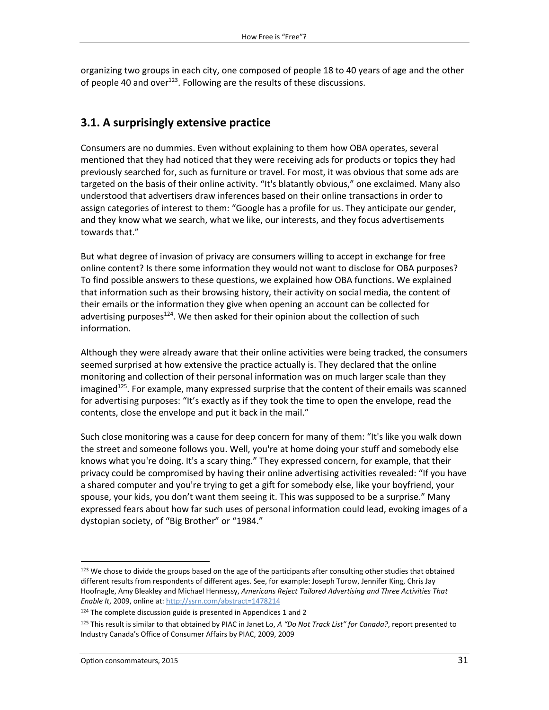organizing two groups in each city, one composed of people 18 to 40 years of age and the other of people 40 and over<sup>123</sup>. Following are the results of these discussions.

#### <span id="page-30-0"></span>**3.1. A surprisingly extensive practice**

Consumers are no dummies. Even without explaining to them how OBA operates, several mentioned that they had noticed that they were receiving ads for products or topics they had previously searched for, such as furniture or travel. For most, it was obvious that some ads are targeted on the basis of their online activity. "It's blatantly obvious," one exclaimed. Many also understood that advertisers draw inferences based on their online transactions in order to assign categories of interest to them: "Google has a profile for us. They anticipate our gender, and they know what we search, what we like, our interests, and they focus advertisements towards that."

But what degree of invasion of privacy are consumers willing to accept in exchange for free online content? Is there some information they would not want to disclose for OBA purposes? To find possible answers to these questions, we explained how OBA functions. We explained that information such as their browsing history, their activity on social media, the content of their emails or the information they give when opening an account can be collected for advertising purposes<sup>124</sup>. We then asked for their opinion about the collection of such information.

Although they were already aware that their online activities were being tracked, the consumers seemed surprised at how extensive the practice actually is. They declared that the online monitoring and collection of their personal information was on much larger scale than they imagined<sup>125</sup>. For example, many expressed surprise that the content of their emails was scanned for advertising purposes: "It's exactly as if they took the time to open the envelope, read the contents, close the envelope and put it back in the mail."

Such close monitoring was a cause for deep concern for many of them: "It's like you walk down the street and someone follows you. Well, you're at home doing your stuff and somebody else knows what you're doing. It's a scary thing." They expressed concern, for example, that their privacy could be compromised by having their online advertising activities revealed: "If you have a shared computer and you're trying to get a gift for somebody else, like your boyfriend, your spouse, your kids, you don't want them seeing it. This was supposed to be a surprise." Many expressed fears about how far such uses of personal information could lead, evoking images of a dystopian society, of "Big Brother" or "1984."

<sup>123</sup> We chose to divide the groups based on the age of the participants after consulting other studies that obtained different results from respondents of different ages. See, for example: Joseph Turow, Jennifer King, Chris Jay Hoofnagle, Amy Bleakley and Michael Hennessy, *Americans Reject Tailored Advertising and Three Activities That Enable It*, 2009, online at[: http://ssrn.com/abstract=1478214](http://ssrn.com/abstract=1478214)

 $124$  The complete discussion guide is presented in Appendices 1 and 2

<sup>125</sup> This result is similar to that obtained by PIAC in Janet Lo, *A "Do Not Track List" for Canada?*, report presented to Industry Canada's Office of Consumer Affairs by PIAC, 2009, 2009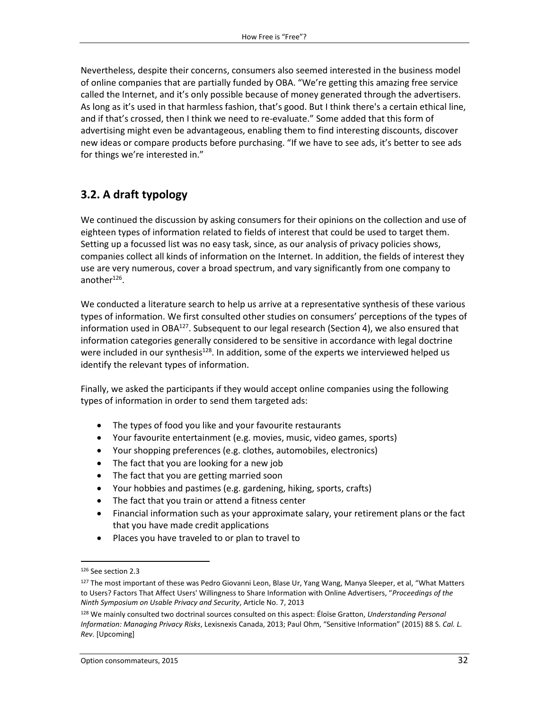Nevertheless, despite their concerns, consumers also seemed interested in the business model of online companies that are partially funded by OBA. "We're getting this amazing free service called the Internet, and it's only possible because of money generated through the advertisers. As long as it's used in that harmless fashion, that's good. But I think there's a certain ethical line, and if that's crossed, then I think we need to re-evaluate." Some added that this form of advertising might even be advantageous, enabling them to find interesting discounts, discover new ideas or compare products before purchasing. "If we have to see ads, it's better to see ads for things we're interested in."

#### <span id="page-31-0"></span>**3.2. A draft typology**

We continued the discussion by asking consumers for their opinions on the collection and use of eighteen types of information related to fields of interest that could be used to target them. Setting up a focussed list was no easy task, since, as our analysis of privacy policies shows, companies collect all kinds of information on the Internet. In addition, the fields of interest they use are very numerous, cover a broad spectrum, and vary significantly from one company to another<sup>126</sup>.

We conducted a literature search to help us arrive at a representative synthesis of these various types of information. We first consulted other studies on consumers' perceptions of the types of information used in OBA<sup>127</sup>. Subsequent to our legal research (Section 4), we also ensured that information categories generally considered to be sensitive in accordance with legal doctrine were included in our synthesis<sup>128</sup>. In addition, some of the experts we interviewed helped us identify the relevant types of information.

Finally, we asked the participants if they would accept online companies using the following types of information in order to send them targeted ads:

- The types of food you like and your favourite restaurants
- Your favourite entertainment (e.g. movies, music, video games, sports)
- Your shopping preferences (e.g. clothes, automobiles, electronics)
- The fact that you are looking for a new job
- The fact that you are getting married soon
- Your hobbies and pastimes (e.g. gardening, hiking, sports, crafts)
- The fact that you train or attend a fitness center
- Financial information such as your approximate salary, your retirement plans or the fact that you have made credit applications
- Places you have traveled to or plan to travel to

<sup>126</sup> See section 2.3

<sup>&</sup>lt;sup>127</sup> The most important of these was Pedro Giovanni Leon, Blase Ur, Yang Wang, Manya Sleeper, et al, "What Matters to Users? Factors That Affect Users' Willingness to Share Information with Online Advertisers, "*Proceedings of the Ninth Symposium on Usable Privacy and Security*, Article No. 7, 2013

<sup>128</sup> We mainly consulted two doctrinal sources consulted on this aspect: Éloïse Gratton, *Understanding Personal Information: Managing Privacy Risks*, Lexisnexis Canada, 2013; Paul Ohm, "Sensitive Information" (2015) 88 S. *Cal. L. Rev*. [Upcoming]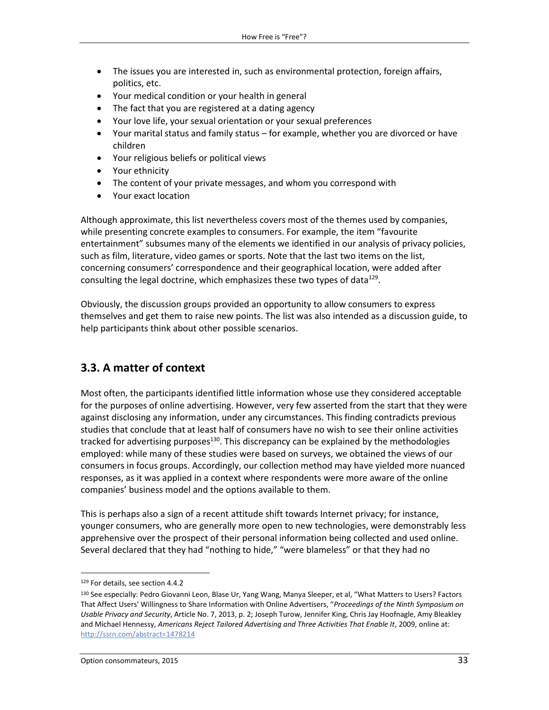- The issues you are interested in, such as environmental protection, foreign affairs, politics, etc.
- Your medical condition or your health in general
- The fact that you are registered at a dating agency
- Your love life, your sexual orientation or your sexual preferences
- Your marital status and family status for example, whether you are divorced or have children
- Your religious beliefs or political views
- Your ethnicity
- The content of your private messages, and whom you correspond with
- Your exact location

Although approximate, this list nevertheless covers most of the themes used by companies, while presenting concrete examples to consumers. For example, the item "favourite entertainment" subsumes many of the elements we identified in our analysis of privacy policies, such as film, literature, video games or sports. Note that the last two items on the list, concerning consumers' correspondence and their geographical location, were added after consulting the legal doctrine, which emphasizes these two types of data $^{129}$ .

Obviously, the discussion groups provided an opportunity to allow consumers to express themselves and get them to raise new points. The list was also intended as a discussion guide, to help participants think about other possible scenarios.

#### <span id="page-32-0"></span>**3.3. A matter of context**

Most often, the participants identified little information whose use they considered acceptable for the purposes of online advertising. However, very few asserted from the start that they were against disclosing any information, under any circumstances. This finding contradicts previous studies that conclude that at least half of consumers have no wish to see their online activities tracked for advertising purposes<sup>130</sup>. This discrepancy can be explained by the methodologies employed: while many of these studies were based on surveys, we obtained the views of our consumers in focus groups. Accordingly, our collection method may have yielded more nuanced responses, as it was applied in a context where respondents were more aware of the online companies' business model and the options available to them.

This is perhaps also a sign of a recent attitude shift towards Internet privacy; for instance, younger consumers, who are generally more open to new technologies, were demonstrably less apprehensive over the prospect of their personal information being collected and used online. Several declared that they had "nothing to hide," "were blameless" or that they had no

l

<sup>129</sup> For details, see section 4.4.2

<sup>&</sup>lt;sup>130</sup> See especially: Pedro Giovanni Leon, Blase Ur, Yang Wang, Manya Sleeper, et al, "What Matters to Users? Factors That Affect Users' Willingness to Share Information with Online Advertisers, "*Proceedings of the Ninth Symposium on Usable Privacy and Security*, Article No. 7, 2013, p. 2; Joseph Turow, Jennifer King, Chris Jay Hoofnagle, Amy Bleakley and Michael Hennessy, Americans Reject Tailored Advertising and Three Activities That Enable It, 2009, online at: <http://ssrn.com/abstract=1478214>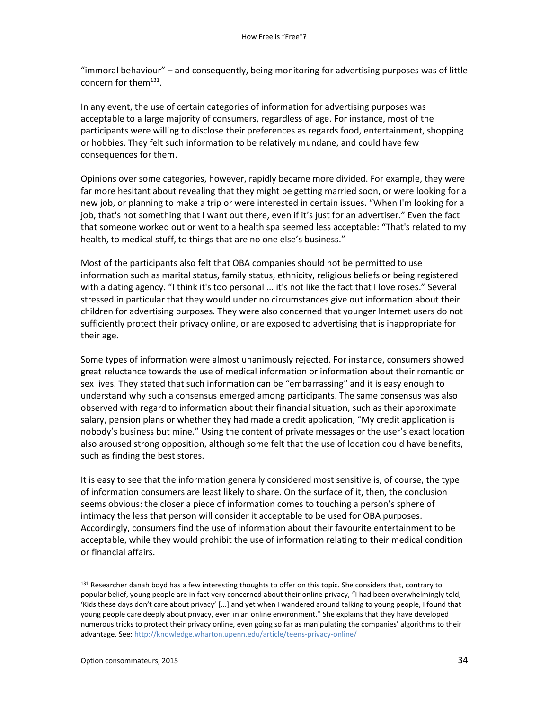"immoral behaviour" – and consequently, being monitoring for advertising purposes was of little concern for them<sup>131</sup>.

In any event, the use of certain categories of information for advertising purposes was acceptable to a large majority of consumers, regardless of age. For instance, most of the participants were willing to disclose their preferences as regards food, entertainment, shopping or hobbies. They felt such information to be relatively mundane, and could have few consequences for them.

Opinions over some categories, however, rapidly became more divided. For example, they were far more hesitant about revealing that they might be getting married soon, or were looking for a new job, or planning to make a trip or were interested in certain issues. "When I'm looking for a job, that's not something that I want out there, even if it's just for an advertiser." Even the fact that someone worked out or went to a health spa seemed less acceptable: "That's related to my health, to medical stuff, to things that are no one else's business."

Most of the participants also felt that OBA companies should not be permitted to use information such as marital status, family status, ethnicity, religious beliefs or being registered with a dating agency. "I think it's too personal ... it's not like the fact that I love roses." Several stressed in particular that they would under no circumstances give out information about their children for advertising purposes. They were also concerned that younger Internet users do not sufficiently protect their privacy online, or are exposed to advertising that is inappropriate for their age.

Some types of information were almost unanimously rejected. For instance, consumers showed great reluctance towards the use of medical information or information about their romantic or sex lives. They stated that such information can be "embarrassing" and it is easy enough to understand why such a consensus emerged among participants. The same consensus was also observed with regard to information about their financial situation, such as their approximate salary, pension plans or whether they had made a credit application, "My credit application is nobody's business but mine." Using the content of private messages or the user's exact location also aroused strong opposition, although some felt that the use of location could have benefits, such as finding the best stores.

It is easy to see that the information generally considered most sensitive is, of course, the type of information consumers are least likely to share. On the surface of it, then, the conclusion seems obvious: the closer a piece of information comes to touching a person's sphere of intimacy the less that person will consider it acceptable to be used for OBA purposes. Accordingly, consumers find the use of information about their favourite entertainment to be acceptable, while they would prohibit the use of information relating to their medical condition or financial affairs.

<sup>&</sup>lt;sup>131</sup> Researcher danah boyd has a few interesting thoughts to offer on this topic. She considers that, contrary to popular belief, young people are in fact very concerned about their online privacy, "I had been overwhelmingly told, 'Kids these days don't care about privacy' [...] and yet when I wandered around talking to young people, I found that young people care deeply about privacy, even in an online environment." She explains that they have developed numerous tricks to protect their privacy online, even going so far as manipulating the companies' algorithms to their advantage. See:<http://knowledge.wharton.upenn.edu/article/teens-privacy-online/>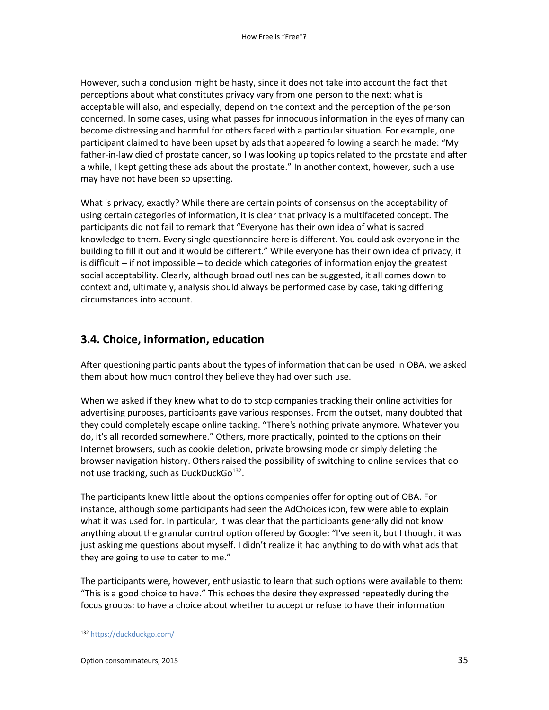However, such a conclusion might be hasty, since it does not take into account the fact that perceptions about what constitutes privacy vary from one person to the next: what is acceptable will also, and especially, depend on the context and the perception of the person concerned. In some cases, using what passes for innocuous information in the eyes of many can become distressing and harmful for others faced with a particular situation. For example, one participant claimed to have been upset by ads that appeared following a search he made: "My father-in-law died of prostate cancer, so I was looking up topics related to the prostate and after a while, I kept getting these ads about the prostate." In another context, however, such a use may have not have been so upsetting.

What is privacy, exactly? While there are certain points of consensus on the acceptability of using certain categories of information, it is clear that privacy is a multifaceted concept. The participants did not fail to remark that "Everyone has their own idea of what is sacred knowledge to them. Every single questionnaire here is different. You could ask everyone in the building to fill it out and it would be different." While everyone has their own idea of privacy, it is difficult – if not impossible – to decide which categories of information enjoy the greatest social acceptability. Clearly, although broad outlines can be suggested, it all comes down to context and, ultimately, analysis should always be performed case by case, taking differing circumstances into account.

#### <span id="page-34-0"></span>**3.4. Choice, information, education**

After questioning participants about the types of information that can be used in OBA, we asked them about how much control they believe they had over such use.

When we asked if they knew what to do to stop companies tracking their online activities for advertising purposes, participants gave various responses. From the outset, many doubted that they could completely escape online tacking. "There's nothing private anymore. Whatever you do, it's all recorded somewhere." Others, more practically, pointed to the options on their Internet browsers, such as cookie deletion, private browsing mode or simply deleting the browser navigation history. Others raised the possibility of switching to online services that do not use tracking, such as DuckDuckGo<sup>132</sup>.

The participants knew little about the options companies offer for opting out of OBA. For instance, although some participants had seen the AdChoices icon, few were able to explain what it was used for. In particular, it was clear that the participants generally did not know anything about the granular control option offered by Google: "I've seen it, but I thought it was just asking me questions about myself. I didn't realize it had anything to do with what ads that they are going to use to cater to me."

The participants were, however, enthusiastic to learn that such options were available to them: "This is a good choice to have." This echoes the desire they expressed repeatedly during the focus groups: to have a choice about whether to accept or refuse to have their information

l

<sup>132</sup> <https://duckduckgo.com/>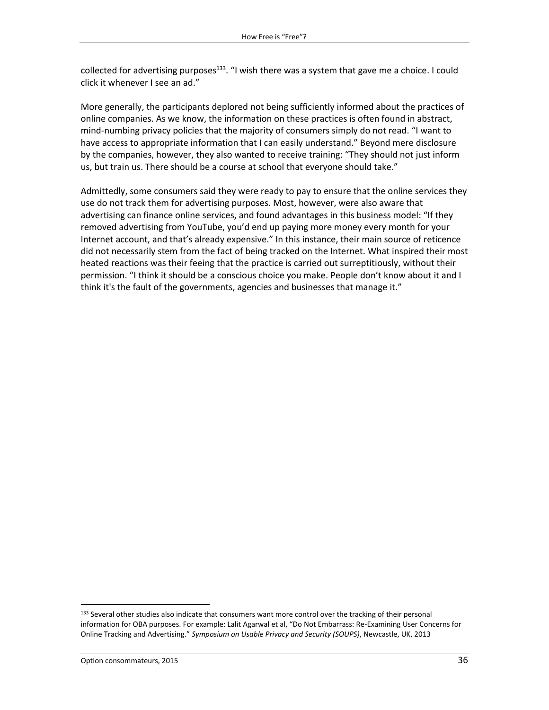collected for advertising purposes<sup>133</sup>. "I wish there was a system that gave me a choice. I could click it whenever I see an ad."

More generally, the participants deplored not being sufficiently informed about the practices of online companies. As we know, the information on these practices is often found in abstract, mind-numbing privacy policies that the majority of consumers simply do not read. "I want to have access to appropriate information that I can easily understand." Beyond mere disclosure by the companies, however, they also wanted to receive training: "They should not just inform us, but train us. There should be a course at school that everyone should take."

Admittedly, some consumers said they were ready to pay to ensure that the online services they use do not track them for advertising purposes. Most, however, were also aware that advertising can finance online services, and found advantages in this business model: "If they removed advertising from YouTube, you'd end up paying more money every month for your Internet account, and that's already expensive." In this instance, their main source of reticence did not necessarily stem from the fact of being tracked on the Internet. What inspired their most heated reactions was their feeing that the practice is carried out surreptitiously, without their permission. "I think it should be a conscious choice you make. People don't know about it and I think it's the fault of the governments, agencies and businesses that manage it."

<sup>133</sup> Several other studies also indicate that consumers want more control over the tracking of their personal information for OBA purposes. For example: Lalit Agarwal et al, "Do Not Embarrass: Re-Examining User Concerns for Online Tracking and Advertising." *Symposium on Usable Privacy and Security (SOUPS)*, Newcastle, UK, 2013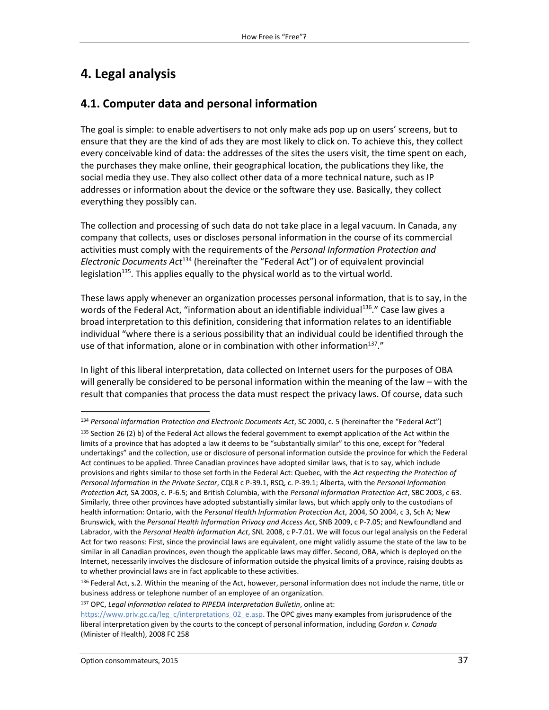# **4. Legal analysis**

## **4.1. Computer data and personal information**

The goal is simple: to enable advertisers to not only make ads pop up on users' screens, but to ensure that they are the kind of ads they are most likely to click on. To achieve this, they collect every conceivable kind of data: the addresses of the sites the users visit, the time spent on each, the purchases they make online, their geographical location, the publications they like, the social media they use. They also collect other data of a more technical nature, such as IP addresses or information about the device or the software they use. Basically, they collect everything they possibly can.

The collection and processing of such data do not take place in a legal vacuum. In Canada, any company that collects, uses or discloses personal information in the course of its commercial activities must comply with the requirements of the *Personal Information Protection and Electronic Documents Act*<sup>134</sup> (hereinafter the "Federal Act") or of equivalent provincial legislation<sup>135</sup>. This applies equally to the physical world as to the virtual world.

These laws apply whenever an organization processes personal information, that is to say, in the words of the Federal Act, "information about an identifiable individual<sup>136</sup>." Case law gives a broad interpretation to this definition, considering that information relates to an identifiable individual "where there is a serious possibility that an individual could be identified through the use of that information, alone or in combination with other information $^{137}$ ."

In light of this liberal interpretation, data collected on Internet users for the purposes of OBA will generally be considered to be personal information within the meaning of the law – with the result that companies that process the data must respect the privacy laws. Of course, data such

<sup>134</sup> *Personal Information Protection and Electronic Documents Act*, SC 2000, c. 5 (hereinafter the "Federal Act")

 $135$  Section 26 (2) b) of the Federal Act allows the federal government to exempt application of the Act within the limits of a province that has adopted a law it deems to be "substantially similar" to this one, except for "federal undertakings" and the collection, use or disclosure of personal information outside the province for which the Federal Act continues to be applied. Three Canadian provinces have adopted similar laws, that is to say, which include provisions and rights similar to those set forth in the Federal Act: Quebec, with the *Act respecting the Protection of Personal Information in the Private Sector*, CQLR c P-39.1, RSQ, c. P-39.1; Alberta, with the *Personal Information Protection Act,* SA 2003, c. P-6.5; and British Columbia, with the *Personal Information Protection Act*, SBC 2003, c 63. Similarly, three other provinces have adopted substantially similar laws, but which apply only to the custodians of health information: Ontario, with the *Personal Health Information Protection Act*, 2004, SO 2004, c 3, Sch A; New Brunswick, with the *Personal Health Information Privacy and Access Act*, SNB 2009, c P-7.05; and Newfoundland and Labrador, with the *Personal Health Information Act*, SNL 2008, c P-7.01. We will focus our legal analysis on the Federal Act for two reasons: First, since the provincial laws are equivalent, one might validly assume the state of the law to be similar in all Canadian provinces, even though the applicable laws may differ. Second, OBA, which is deployed on the Internet, necessarily involves the disclosure of information outside the physical limits of a province, raising doubts as to whether provincial laws are in fact applicable to these activities.

 $136$  Federal Act, s.2. Within the meaning of the Act, however, personal information does not include the name, title or business address or telephone number of an employee of an organization.

<sup>137</sup> OPC, *Legal information related to PIPEDA Interpretation Bulletin*, online at:

[https://www.priv.gc.ca/leg\\_c/interpretations\\_02\\_e.asp.](https://www.priv.gc.ca/leg_c/interpretations_02_e.asp) The OPC gives many examples from jurisprudence of the liberal interpretation given by the courts to the concept of personal information, including *Gordon v. Canada* (Minister of Health), 2008 FC 258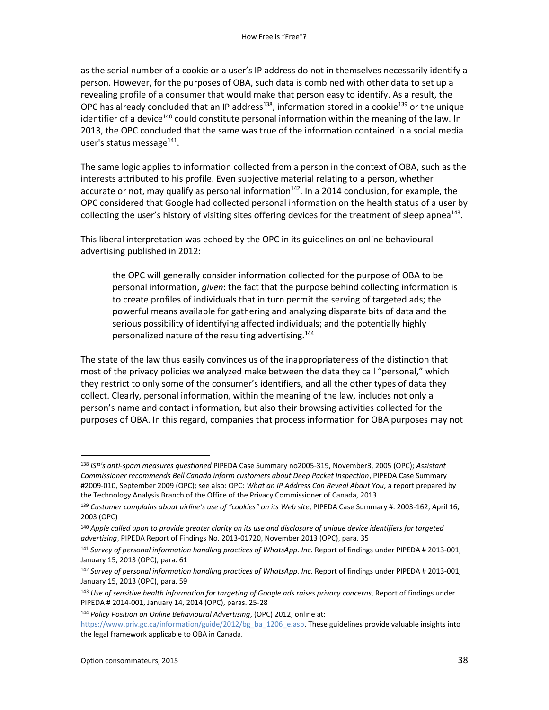as the serial number of a cookie or a user's IP address do not in themselves necessarily identify a person. However, for the purposes of OBA, such data is combined with other data to set up a revealing profile of a consumer that would make that person easy to identify. As a result, the OPC has already concluded that an IP address<sup>138</sup>, information stored in a cookie<sup>139</sup> or the unique identifier of a device<sup>140</sup> could constitute personal information within the meaning of the law. In 2013, the OPC concluded that the same was true of the information contained in a social media user's status message<sup>141</sup>.

The same logic applies to information collected from a person in the context of OBA, such as the interests attributed to his profile. Even subjective material relating to a person, whether accurate or not, may qualify as personal information<sup>142</sup>. In a 2014 conclusion, for example, the OPC considered that Google had collected personal information on the health status of a user by collecting the user's history of visiting sites offering devices for the treatment of sleep apnea<sup>143</sup>.

This liberal interpretation was echoed by the OPC in its guidelines on online behavioural advertising published in 2012:

the OPC will generally consider information collected for the purpose of OBA to be personal information, *given*: the fact that the purpose behind collecting information is to create profiles of individuals that in turn permit the serving of targeted ads; the powerful means available for gathering and analyzing disparate bits of data and the serious possibility of identifying affected individuals; and the potentially highly personalized nature of the resulting advertising.<sup>144</sup>

The state of the law thus easily convinces us of the inappropriateness of the distinction that most of the privacy policies we analyzed make between the data they call "personal," which they restrict to only some of the consumer's identifiers, and all the other types of data they collect. Clearly, personal information, within the meaning of the law, includes not only a person's name and contact information, but also their browsing activities collected for the purposes of OBA. In this regard, companies that process information for OBA purposes may not

<sup>138</sup> *ISP's anti-spam measures questioned* PIPEDA Case Summary no2005-319, November3, 2005 (OPC); *Assistant Commissioner recommends Bell Canada inform customers about Deep Packet Inspection*, PIPEDA Case Summary #2009-010, September 2009 (OPC); see also: OPC: *What an IP Address Can Reveal About You*, a report prepared by the Technology Analysis Branch of the Office of the Privacy Commissioner of Canada, 2013

<sup>139</sup> *Customer complains about airline's use of "cookies" on its Web site*, PIPEDA Case Summary #. 2003-162, April 16, 2003 (OPC)

<sup>140</sup> *Apple called upon to provide greater clarity on its use and disclosure of unique device identifiers for targeted advertising*, PIPEDA Report of Findings No. 2013-01720, November 2013 (OPC), para. 35

<sup>141</sup> *Survey of personal information handling practices of WhatsApp. Inc*. Report of findings under PIPEDA # 2013-001, January 15, 2013 (OPC), para. 61

<sup>142</sup> *Survey of personal information handling practices of WhatsApp. Inc*. Report of findings under PIPEDA # 2013-001, January 15, 2013 (OPC), para. 59

<sup>143</sup> *Use of sensitive health information for targeting of Google ads raises privacy concerns*, Report of findings under PIPEDA # 2014-001, January 14, 2014 (OPC), paras. 25-28

<sup>144</sup> *Policy Position on Online Behavioural Advertising*, (OPC) 2012, online at:

[https://www.priv.gc.ca/information/guide/2012/bg\\_ba\\_1206\\_e.asp.](https://www.priv.gc.ca/information/guide/2012/bg_ba_1206_e.asp) These guidelines provide valuable insights into the legal framework applicable to OBA in Canada.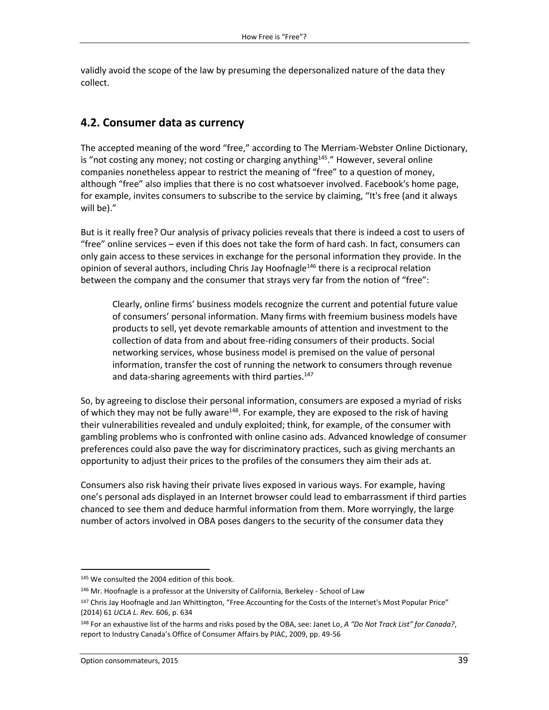validly avoid the scope of the law by presuming the depersonalized nature of the data they collect.

## **4.2. Consumer data as currency**

The accepted meaning of the word "free," according to The Merriam-Webster Online Dictionary, is "not costing any money; not costing or charging anything<sup>145</sup>." However, several online companies nonetheless appear to restrict the meaning of "free" to a question of money, although "free" also implies that there is no cost whatsoever involved. Facebook's home page, for example, invites consumers to subscribe to the service by claiming, "It's free (and it always will be)."

But is it really free? Our analysis of privacy policies reveals that there is indeed a cost to users of "free" online services – even if this does not take the form of hard cash. In fact, consumers can only gain access to these services in exchange for the personal information they provide. In the opinion of several authors, including Chris Jay Hoofnagle<sup>146</sup> there is a reciprocal relation between the company and the consumer that strays very far from the notion of "free":

Clearly, online firms' business models recognize the current and potential future value of consumers' personal information. Many firms with freemium business models have products to sell, yet devote remarkable amounts of attention and investment to the collection of data from and about free-riding consumers of their products. Social networking services, whose business model is premised on the value of personal information, transfer the cost of running the network to consumers through revenue and data-sharing agreements with third parties.<sup>147</sup>

So, by agreeing to disclose their personal information, consumers are exposed a myriad of risks of which they may not be fully aware<sup>148</sup>. For example, they are exposed to the risk of having their vulnerabilities revealed and unduly exploited; think, for example, of the consumer with gambling problems who is confronted with online casino ads. Advanced knowledge of consumer preferences could also pave the way for discriminatory practices, such as giving merchants an opportunity to adjust their prices to the profiles of the consumers they aim their ads at.

Consumers also risk having their private lives exposed in various ways. For example, having one's personal ads displayed in an Internet browser could lead to embarrassment if third parties chanced to see them and deduce harmful information from them. More worryingly, the large number of actors involved in OBA poses dangers to the security of the consumer data they

<sup>145</sup> We consulted the 2004 edition of this book.

<sup>&</sup>lt;sup>146</sup> Mr. Hoofnagle is a professor at the University of California, Berkeley - School of Law

<sup>147</sup> Chris Jay Hoofnagle and Jan Whittington, "Free Accounting for the Costs of the Internet's Most Popular Price" (2014) 61 *UCLA L. Rev.* 606, p. 634

<sup>148</sup> For an exhaustive list of the harms and risks posed by the OBA, see: Janet Lo, *A "Do Not Track List" for Canada?*, report to Industry Canada's Office of Consumer Affairs by PIAC, 2009, pp. 49-56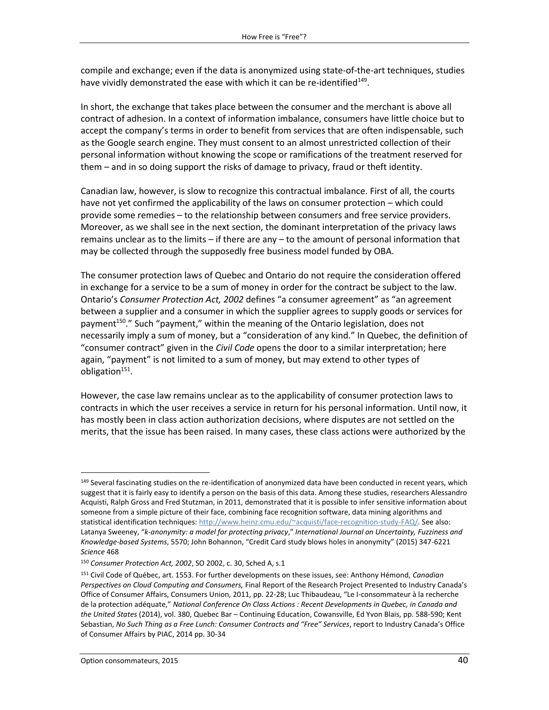compile and exchange; even if the data is anonymized using state-of-the-art techniques, studies have vividly demonstrated the ease with which it can be re-identified<sup>149</sup>.

In short, the exchange that takes place between the consumer and the merchant is above all contract of adhesion. In a context of information imbalance, consumers have little choice but to accept the company's terms in order to benefit from services that are often indispensable, such as the Google search engine. They must consent to an almost unrestricted collection of their personal information without knowing the scope or ramifications of the treatment reserved for them – and in so doing support the risks of damage to privacy, fraud or theft identity.

Canadian law, however, is slow to recognize this contractual imbalance. First of all, the courts have not yet confirmed the applicability of the laws on consumer protection – which could provide some remedies – to the relationship between consumers and free service providers. Moreover, as we shall see in the next section, the dominant interpretation of the privacy laws remains unclear as to the limits – if there are any – to the amount of personal information that may be collected through the supposedly free business model funded by OBA.

The consumer protection laws of Quebec and Ontario do not require the consideration offered in exchange for a service to be a sum of money in order for the contract be subject to the law. Ontario's *Consumer Protection Act, 2002* defines "a consumer agreement" as "an agreement between a supplier and a consumer in which the supplier agrees to supply goods or services for payment<sup>150</sup>." Such "payment," within the meaning of the Ontario legislation, does not necessarily imply a sum of money, but a "consideration of any kind." In Quebec, the definition of "consumer contract" given in the *Civil Code* opens the door to a similar interpretation; here again, "payment" is not limited to a sum of money, but may extend to other types of obligation<sup>151</sup>.

However, the case law remains unclear as to the applicability of consumer protection laws to contracts in which the user receives a service in return for his personal information. Until now, it has mostly been in class action authorization decisions, where disputes are not settled on the merits, that the issue has been raised. In many cases, these class actions were authorized by the

 $\overline{a}$ 

<sup>149</sup> Several fascinating studies on the re-identification of anonymized data have been conducted in recent years, which suggest that it is fairly easy to identify a person on the basis of this data. Among these studies, researchers Alessandro Acquisti, Ralph Gross and Fred Stutzman, in 2011, demonstrated that it is possible to infer sensitive information about someone from a simple picture of their face, combining face recognition software, data mining algorithms and statistical identification techniques: [http://www.heinz.cmu.edu/~acquisti/face-recognition-study-FAQ/.](http://www.heinz.cmu.edu/~acquisti/face-recognition-study-FAQ/) See also: Latanya Sweeney, "*k-anonymity: a model for protecting privacy*," *International Journal on Uncertainty, Fuzziness and Knowledge-based Systems*, 5570; John Bohannon, "Credit Card study blows holes in anonymity" (2015) 347-6221 *Science* 468

<sup>150</sup> *Consumer Protection Act, 2002*, SO 2002, c. 30, Sched A, s.1

<sup>151</sup> Civil Code of Québec, art. 1553. For further developments on these issues, see: Anthony Hémond, *Canadian Perspectives on Cloud Computing and Consumers,* Final Report of the Research Project Presented to Industry Canada's Office of Consumer Affairs, Consumers Union, 2011, pp. 22-28; Luc Thibaudeau, "Le I-consommateur à la recherche de la protection adéquate," *National Conference On Class Actions : Recent Developments in Quebec, in Canada and the United States* (2014), vol. 380, Quebec Bar – Continuing Education, Cowansville, Ed Yvon Blais, pp. 588-590; Kent Sebastian, *No Such Thing as a Free Lunch: Consumer Contracts and "Free" Services*, report to Industry Canada's Office of Consumer Affairs by PIAC, 2014 pp. 30-34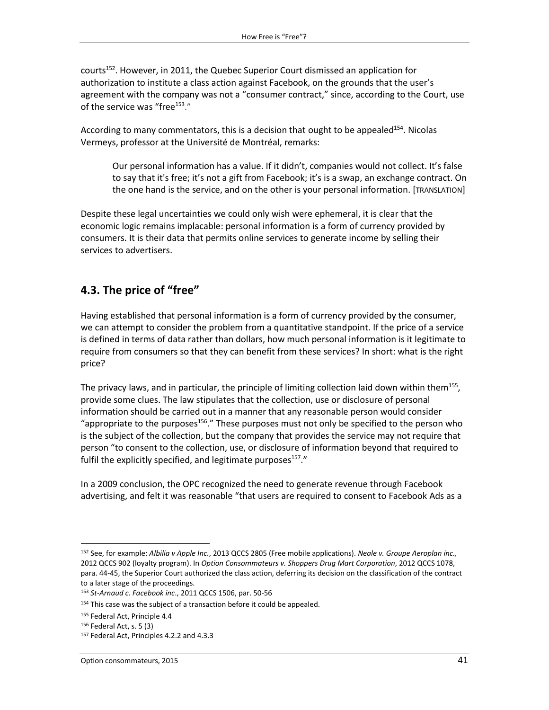courts<sup>152</sup>. However, in 2011, the Quebec Superior Court dismissed an application for authorization to institute a class action against Facebook, on the grounds that the user's agreement with the company was not a "consumer contract," since, according to the Court, use of the service was "free<sup>153</sup>."

According to many commentators, this is a decision that ought to be appealed<sup>154</sup>. Nicolas Vermeys, professor at the Université de Montréal, remarks:

Our personal information has a value. If it didn't, companies would not collect. It's false to say that it's free; it's not a gift from Facebook; it's is a swap, an exchange contract. On the one hand is the service, and on the other is your personal information. [TRANSLATION]

Despite these legal uncertainties we could only wish were ephemeral, it is clear that the economic logic remains implacable: personal information is a form of currency provided by consumers. It is their data that permits online services to generate income by selling their services to advertisers.

# **4.3. The price of "free"**

Having established that personal information is a form of currency provided by the consumer, we can attempt to consider the problem from a quantitative standpoint. If the price of a service is defined in terms of data rather than dollars, how much personal information is it legitimate to require from consumers so that they can benefit from these services? In short: what is the right price?

The privacy laws, and in particular, the principle of limiting collection laid down within them<sup>155</sup>, provide some clues. The law stipulates that the collection, use or disclosure of personal information should be carried out in a manner that any reasonable person would consider "appropriate to the purposes<sup>156</sup>." These purposes must not only be specified to the person who is the subject of the collection, but the company that provides the service may not require that person "to consent to the collection, use, or disclosure of information beyond that required to fulfil the explicitly specified, and legitimate purposes<sup>157</sup>."

In a 2009 conclusion, the OPC recognized the need to generate revenue through Facebook advertising, and felt it was reasonable "that users are required to consent to Facebook Ads as a

 $\overline{\phantom{a}}$ <sup>152</sup> See, for example: *Albilia v Apple Inc.*, 2013 QCCS 2805 (Free mobile applications). *Neale v. Groupe Aeroplan inc.,* 2012 QCCS 902 (loyalty program). In *Option Consommateurs v. Shoppers Drug Mart Corporation*, 2012 QCCS 1078, para. 44-45, the Superior Court authorized the class action, deferring its decision on the classification of the contract to a later stage of the proceedings.

<sup>153</sup> *St-Arnaud c. Facebook inc*., 2011 QCCS 1506, par. 50-56

<sup>&</sup>lt;sup>154</sup> This case was the subject of a transaction before it could be appealed.

<sup>155</sup> Federal Act, Principle 4.4

<sup>156</sup> Federal Act, s. 5 (3)

<sup>157</sup> Federal Act, Principles 4.2.2 and 4.3.3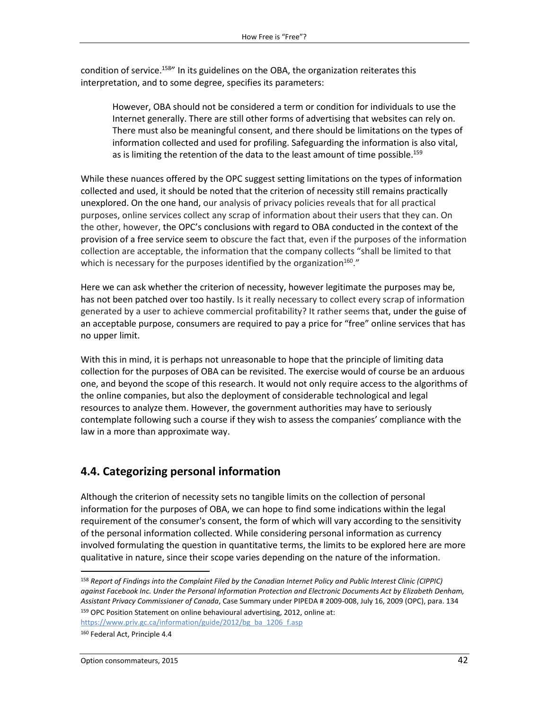condition of service.<sup>158</sup>" In its guidelines on the OBA, the organization reiterates this interpretation, and to some degree, specifies its parameters:

However, OBA should not be considered a term or condition for individuals to use the Internet generally. There are still other forms of advertising that websites can rely on. There must also be meaningful consent, and there should be limitations on the types of information collected and used for profiling. Safeguarding the information is also vital, as is limiting the retention of the data to the least amount of time possible.<sup>159</sup>

While these nuances offered by the OPC suggest setting limitations on the types of information collected and used, it should be noted that the criterion of necessity still remains practically unexplored. On the one hand, our analysis of privacy policies reveals that for all practical purposes, online services collect any scrap of information about their users that they can. On the other, however, the OPC's conclusions with regard to OBA conducted in the context of the provision of a free service seem to obscure the fact that, even if the purposes of the information collection are acceptable, the information that the company collects "shall be limited to that which is necessary for the purposes identified by the organization $^{160}$ ."

Here we can ask whether the criterion of necessity, however legitimate the purposes may be, has not been patched over too hastily. Is it really necessary to collect every scrap of information generated by a user to achieve commercial profitability? It rather seems that, under the guise of an acceptable purpose, consumers are required to pay a price for "free" online services that has no upper limit.

With this in mind, it is perhaps not unreasonable to hope that the principle of limiting data collection for the purposes of OBA can be revisited. The exercise would of course be an arduous one, and beyond the scope of this research. It would not only require access to the algorithms of the online companies, but also the deployment of considerable technological and legal resources to analyze them. However, the government authorities may have to seriously contemplate following such a course if they wish to assess the companies' compliance with the law in a more than approximate way.

# **4.4. Categorizing personal information**

Although the criterion of necessity sets no tangible limits on the collection of personal information for the purposes of OBA, we can hope to find some indications within the legal requirement of the consumer's consent, the form of which will vary according to the sensitivity of the personal information collected. While considering personal information as currency involved formulating the question in quantitative terms, the limits to be explored here are more qualitative in nature, since their scope varies depending on the nature of the information.

[https://www.priv.gc.ca/information/guide/2012/bg\\_ba\\_1206\\_f.asp](https://www.priv.gc.ca/information/guide/2012/bg_ba_1206_f.asp)

 $\overline{a}$ 

<sup>158</sup> *Report of Findings into the Complaint Filed by the Canadian Internet Policy and Public Interest Clinic (CIPPIC) against Facebook Inc. Under the Personal Information Protection and Electronic Documents Act by Elizabeth Denham, Assistant Privacy Commissioner of Canada*, Case Summary under PIPEDA # 2009-008, July 16, 2009 (OPC), para. 134 <sup>159</sup> OPC Position Statement on online behavioural advertising, 2012, online at:

<sup>160</sup> Federal Act, Principle 4.4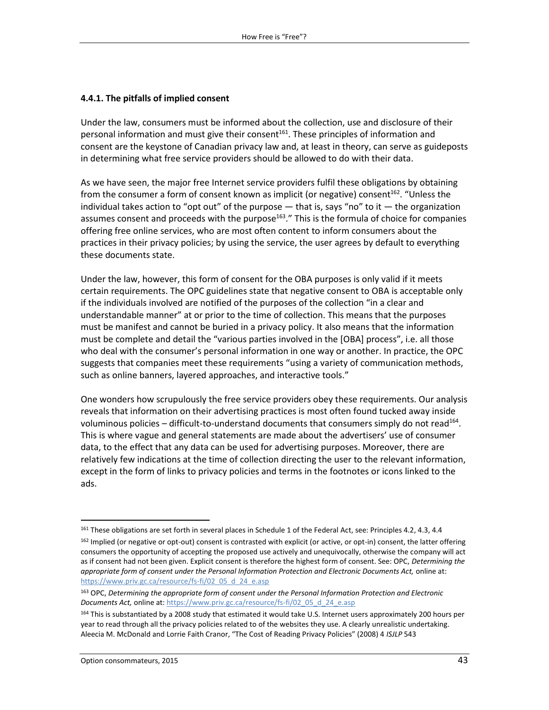#### **4.4.1. The pitfalls of implied consent**

Under the law, consumers must be informed about the collection, use and disclosure of their personal information and must give their consent<sup>161</sup>. These principles of information and consent are the keystone of Canadian privacy law and, at least in theory, can serve as guideposts in determining what free service providers should be allowed to do with their data.

As we have seen, the major free Internet service providers fulfil these obligations by obtaining from the consumer a form of consent known as implicit (or negative) consent<sup>162</sup>. "Unless the individual takes action to "opt out" of the purpose  $-$  that is, says "no" to it  $-$  the organization assumes consent and proceeds with the purpose<sup>163</sup>." This is the formula of choice for companies offering free online services, who are most often content to inform consumers about the practices in their privacy policies; by using the service, the user agrees by default to everything these documents state.

Under the law, however, this form of consent for the OBA purposes is only valid if it meets certain requirements. The OPC guidelines state that negative consent to OBA is acceptable only if the individuals involved are notified of the purposes of the collection "in a clear and understandable manner" at or prior to the time of collection. This means that the purposes must be manifest and cannot be buried in a privacy policy. It also means that the information must be complete and detail the "various parties involved in the [OBA] process", i.e. all those who deal with the consumer's personal information in one way or another. In practice, the OPC suggests that companies meet these requirements "using a variety of communication methods, such as online banners, layered approaches, and interactive tools."

One wonders how scrupulously the free service providers obey these requirements. Our analysis reveals that information on their advertising practices is most often found tucked away inside voluminous policies – difficult-to-understand documents that consumers simply do not read<sup>164</sup>. This is where vague and general statements are made about the advertisers' use of consumer data, to the effect that any data can be used for advertising purposes. Moreover, there are relatively few indications at the time of collection directing the user to the relevant information, except in the form of links to privacy policies and terms in the footnotes or icons linked to the ads.

 $\overline{a}$ 

<sup>&</sup>lt;sup>161</sup> These obligations are set forth in several places in Schedule 1 of the Federal Act, see: Principles 4.2, 4.3, 4.4

<sup>162</sup> Implied (or negative or opt-out) consent is contrasted with explicit (or active, or opt-in) consent, the latter offering consumers the opportunity of accepting the proposed use actively and unequivocally, otherwise the company will act as if consent had not been given. Explicit consent is therefore the highest form of consent. See: OPC, *Determining the appropriate form of consent under the Personal Information Protection and Electronic Documents Act,* online at: [https://www.priv.gc.ca/resource/fs-fi/02\\_05\\_d\\_24\\_e.asp](https://www.priv.gc.ca/resource/fs-fi/02_05_d_24_e.asp)

<sup>163</sup> OPC, *Determining the appropriate form of consent under the Personal Information Protection and Electronic*  Documents Act, online at: [https://www.priv.gc.ca/resource/fs-fi/02\\_05\\_d\\_24\\_e.asp](https://www.priv.gc.ca/resource/fs-fi/02_05_d_24_e.asp)

<sup>164</sup> This is substantiated by a 2008 study that estimated it would take U.S. Internet users approximately 200 hours per year to read through all the privacy policies related to of the websites they use. A clearly unrealistic undertaking. Aleecia M. McDonald and Lorrie Faith Cranor, "The Cost of Reading Privacy Policies" (2008) 4 *ISJLP* 543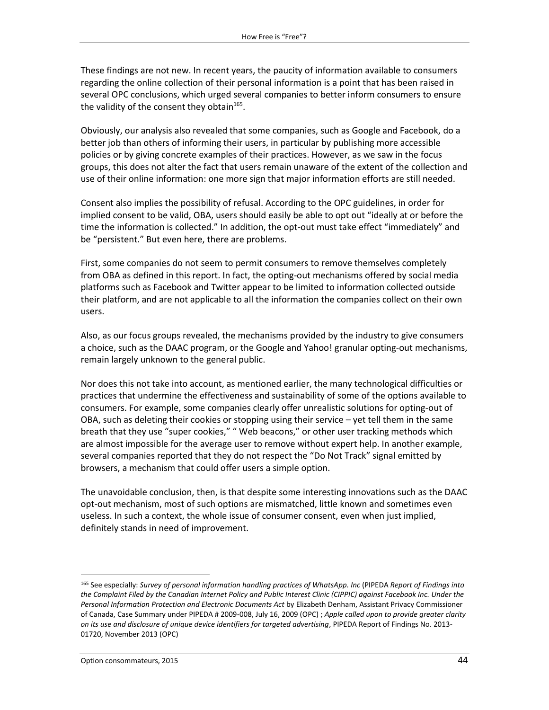These findings are not new. In recent years, the paucity of information available to consumers regarding the online collection of their personal information is a point that has been raised in several OPC conclusions, which urged several companies to better inform consumers to ensure the validity of the consent they obtain<sup>165</sup>.

Obviously, our analysis also revealed that some companies, such as Google and Facebook, do a better job than others of informing their users, in particular by publishing more accessible policies or by giving concrete examples of their practices. However, as we saw in the focus groups, this does not alter the fact that users remain unaware of the extent of the collection and use of their online information: one more sign that major information efforts are still needed.

Consent also implies the possibility of refusal. According to the OPC guidelines, in order for implied consent to be valid, OBA, users should easily be able to opt out "ideally at or before the time the information is collected." In addition, the opt-out must take effect "immediately" and be "persistent." But even here, there are problems.

First, some companies do not seem to permit consumers to remove themselves completely from OBA as defined in this report. In fact, the opting-out mechanisms offered by social media platforms such as Facebook and Twitter appear to be limited to information collected outside their platform, and are not applicable to all the information the companies collect on their own users.

Also, as our focus groups revealed, the mechanisms provided by the industry to give consumers a choice, such as the DAAC program, or the Google and Yahoo! granular opting-out mechanisms, remain largely unknown to the general public.

Nor does this not take into account, as mentioned earlier, the many technological difficulties or practices that undermine the effectiveness and sustainability of some of the options available to consumers. For example, some companies clearly offer unrealistic solutions for opting-out of OBA, such as deleting their cookies or stopping using their service – yet tell them in the same breath that they use "super cookies," " Web beacons," or other user tracking methods which are almost impossible for the average user to remove without expert help. In another example, several companies reported that they do not respect the "Do Not Track" signal emitted by browsers, a mechanism that could offer users a simple option.

The unavoidable conclusion, then, is that despite some interesting innovations such as the DAAC opt-out mechanism, most of such options are mismatched, little known and sometimes even useless. In such a context, the whole issue of consumer consent, even when just implied, definitely stands in need of improvement.

<sup>165</sup> See especially: *Survey of personal information handling practices of WhatsApp. Inc* (PIPEDA *Report of Findings into the Complaint Filed by the Canadian Internet Policy and Public Interest Clinic (CIPPIC) against Facebook Inc. Under the Personal Information Protection and Electronic Documents Act* by Elizabeth Denham, Assistant Privacy Commissioner of Canada, Case Summary under PIPEDA # 2009-008, July 16, 2009 (OPC) ; *Apple called upon to provide greater clarity on its use and disclosure of unique device identifiers for targeted advertising*, PIPEDA Report of Findings No. 2013- 01720, November 2013 (OPC)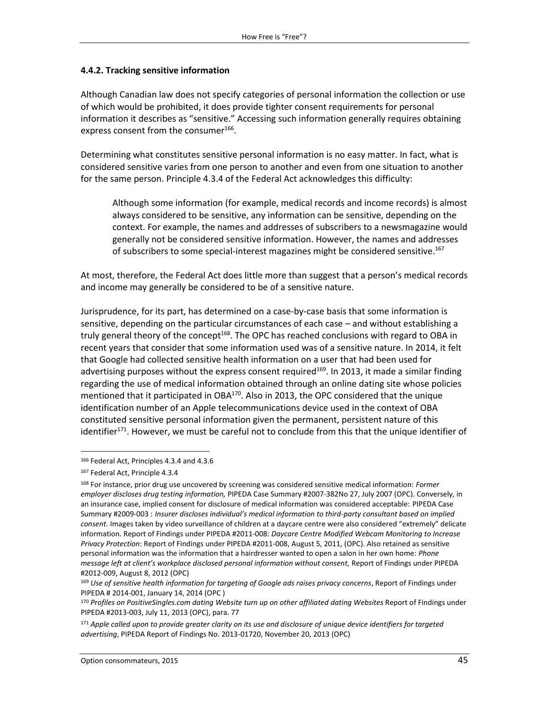#### **4.4.2. Tracking sensitive information**

Although Canadian law does not specify categories of personal information the collection or use of which would be prohibited, it does provide tighter consent requirements for personal information it describes as "sensitive." Accessing such information generally requires obtaining express consent from the consumer<sup>166</sup>.

Determining what constitutes sensitive personal information is no easy matter. In fact, what is considered sensitive varies from one person to another and even from one situation to another for the same person. Principle 4.3.4 of the Federal Act acknowledges this difficulty:

Although some information (for example, medical records and income records) is almost always considered to be sensitive, any information can be sensitive, depending on the context. For example, the names and addresses of subscribers to a newsmagazine would generally not be considered sensitive information. However, the names and addresses of subscribers to some special-interest magazines might be considered sensitive.<sup>167</sup>

At most, therefore, the Federal Act does little more than suggest that a person's medical records and income may generally be considered to be of a sensitive nature.

Jurisprudence, for its part, has determined on a case-by-case basis that some information is sensitive, depending on the particular circumstances of each case – and without establishing a truly general theory of the concept<sup>168</sup>. The OPC has reached conclusions with regard to OBA in recent years that consider that some information used was of a sensitive nature. In 2014, it felt that Google had collected sensitive health information on a user that had been used for advertising purposes without the express consent required<sup>169</sup>. In 2013, it made a similar finding regarding the use of medical information obtained through an online dating site whose policies mentioned that it participated in  $OBA^{170}$ . Also in 2013, the OPC considered that the unique identification number of an Apple telecommunications device used in the context of OBA constituted sensitive personal information given the permanent, persistent nature of this identifier<sup>171</sup>. However, we must be careful not to conclude from this that the unique identifier of

 $\overline{a}$ 

<sup>166</sup> Federal Act, Principles 4.3.4 and 4.3.6

<sup>167</sup> Federal Act, Principle 4.3.4

<sup>168</sup> For instance, prior drug use uncovered by screening was considered sensitive medical information: *Former employer discloses drug testing information,* PIPEDA Case Summary #2007-382No 27, July 2007 (OPC). Conversely, in an insurance case, implied consent for disclosure of medical information was considered acceptable: PIPEDA Case Summary #2009-003 : *Insurer discloses individual's medical information to third-party consultant based on implied consent.* Images taken by video surveillance of children at a daycare centre were also considered "extremely" delicate information. Report of Findings under PIPEDA #2011-008: *Daycare Centre Modified Webcam Monitoring to Increase Privacy Protection*: Report of Findings under PIPEDA #2011-008, August 5, 2011, (OPC). Also retained as sensitive personal information was the information that a hairdresser wanted to open a salon in her own home: *Phone message left at client's workplace disclosed personal information without consent,* Report of Findings under PIPEDA #2012-009, August 8, 2012 (OPC)

<sup>169</sup> *Use of sensitive health information for targeting of Google ads raises privacy concerns*, Report of Findings under PIPEDA # 2014-001, January 14, 2014 (OPC )

<sup>170</sup> *Profiles on PositiveSingles.com dating Website turn up on other affiliated dating Websites* Report of Findings under PIPEDA #2013-003, July 11, 2013 (OPC), para. 77

<sup>171</sup> *Apple called upon to provide greater clarity on its use and disclosure of unique device identifiers for targeted advertising*, PIPEDA Report of Findings No. 2013-01720, November 20, 2013 (OPC)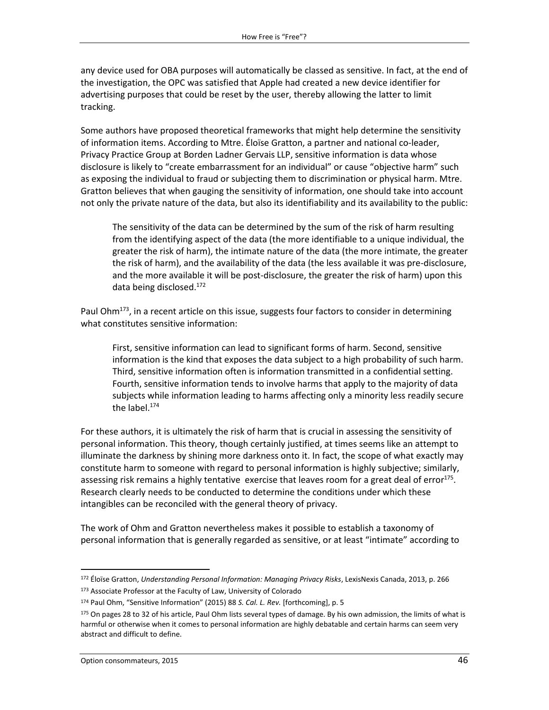any device used for OBA purposes will automatically be classed as sensitive. In fact, at the end of the investigation, the OPC was satisfied that Apple had created a new device identifier for advertising purposes that could be reset by the user, thereby allowing the latter to limit tracking.

Some authors have proposed theoretical frameworks that might help determine the sensitivity of information items. According to Mtre. Éloïse Gratton, a partner and national co-leader, Privacy Practice Group at Borden Ladner Gervais LLP, sensitive information is data whose disclosure is likely to "create embarrassment for an individual" or cause "objective harm" such as exposing the individual to fraud or subjecting them to discrimination or physical harm. Mtre. Gratton believes that when gauging the sensitivity of information, one should take into account not only the private nature of the data, but also its identifiability and its availability to the public:

The sensitivity of the data can be determined by the sum of the risk of harm resulting from the identifying aspect of the data (the more identifiable to a unique individual, the greater the risk of harm), the intimate nature of the data (the more intimate, the greater the risk of harm), and the availability of the data (the less available it was pre-disclosure, and the more available it will be post-disclosure, the greater the risk of harm) upon this data being disclosed. 172

Paul Ohm<sup>173</sup>, in a recent article on this issue, suggests four factors to consider in determining what constitutes sensitive information:

First, sensitive information can lead to significant forms of harm. Second, sensitive information is the kind that exposes the data subject to a high probability of such harm. Third, sensitive information often is information transmitted in a confidential setting. Fourth, sensitive information tends to involve harms that apply to the majority of data subjects while information leading to harms affecting only a minority less readily secure the label.<sup>174</sup>

For these authors, it is ultimately the risk of harm that is crucial in assessing the sensitivity of personal information. This theory, though certainly justified, at times seems like an attempt to illuminate the darkness by shining more darkness onto it. In fact, the scope of what exactly may constitute harm to someone with regard to personal information is highly subjective; similarly, assessing risk remains a highly tentative exercise that leaves room for a great deal of error<sup>175</sup>. Research clearly needs to be conducted to determine the conditions under which these intangibles can be reconciled with the general theory of privacy.

The work of Ohm and Gratton nevertheless makes it possible to establish a taxonomy of personal information that is generally regarded as sensitive, or at least "intimate" according to

<sup>172</sup> Éloïse Gratton, *Understanding Personal Information: Managing Privacy Risks*, LexisNexis Canada, 2013, p. 266 173 Associate Professor at the Faculty of Law, University of Colorado

<sup>174</sup> Paul Ohm, "Sensitive Information" (2015) 88 *S. Cal. L. Rev.* [forthcoming], p. 5

<sup>&</sup>lt;sup>175</sup> On pages 28 to 32 of his article, Paul Ohm lists several types of damage. By his own admission, the limits of what is harmful or otherwise when it comes to personal information are highly debatable and certain harms can seem very abstract and difficult to define.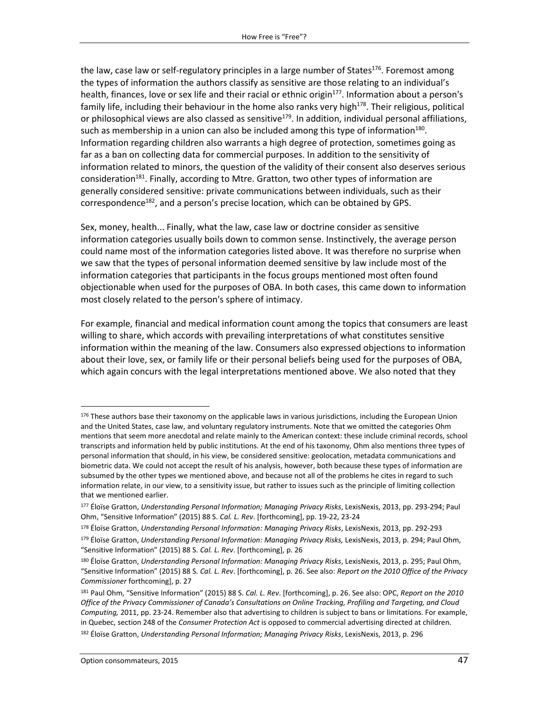the law, case law or self-regulatory principles in a large number of States<sup>176</sup>. Foremost among the types of information the authors classify as sensitive are those relating to an individual's health, finances, love or sex life and their racial or ethnic origin<sup>177</sup>. Information about a person's family life, including their behaviour in the home also ranks very high<sup>178</sup>. Their religious, political or philosophical views are also classed as sensitive<sup>179</sup>. In addition, individual personal affiliations, such as membership in a union can also be included among this type of information $^{180}$ . Information regarding children also warrants a high degree of protection, sometimes going as far as a ban on collecting data for commercial purposes. In addition to the sensitivity of information related to minors, the question of the validity of their consent also deserves serious consideration<sup>181</sup>. Finally, according to Mtre. Gratton, two other types of information are generally considered sensitive: private communications between individuals, such as their correspondence<sup>182</sup>, and a person's precise location, which can be obtained by GPS.

Sex, money, health... Finally, what the law, case law or doctrine consider as sensitive information categories usually boils down to common sense. Instinctively, the average person could name most of the information categories listed above. It was therefore no surprise when we saw that the types of personal information deemed sensitive by law include most of the information categories that participants in the focus groups mentioned most often found objectionable when used for the purposes of OBA. In both cases, this came down to information most closely related to the person's sphere of intimacy.

For example, financial and medical information count among the topics that consumers are least willing to share, which accords with prevailing interpretations of what constitutes sensitive information within the meaning of the law. Consumers also expressed objections to information about their love, sex, or family life or their personal beliefs being used for the purposes of OBA, which again concurs with the legal interpretations mentioned above. We also noted that they

 $176$  These authors base their taxonomy on the applicable laws in various jurisdictions, including the European Union and the United States, case law, and voluntary regulatory instruments. Note that we omitted the categories Ohm mentions that seem more anecdotal and relate mainly to the American context: these include criminal records, school transcripts and information held by public institutions. At the end of his taxonomy, Ohm also mentions three types of personal information that should, in his view, be considered sensitive: geolocation, metadata communications and biometric data. We could not accept the result of his analysis, however, both because these types of information are subsumed by the other types we mentioned above, and because not all of the problems he cites in regard to such information relate, in our view, to a sensitivity issue, but rather to issues such as the principle of limiting collection that we mentioned earlier.

<sup>177</sup> Éloïse Gratton, *Understanding Personal Information; Managing Privacy Risks*, LexisNexis, 2013, pp. 293-294; Paul Ohm, "Sensitive Information" (2015) 88 S. *Cal. L. Rev*. [forthcoming], pp. 19-22, 23-24

<sup>178</sup> Éloïse Gratton, *Understanding Personal Information: Managing Privacy Risks*, LexisNexis, 2013, pp. 292-293 <sup>179</sup> Éloïse Gratton, *Understanding Personal Information: Managing Privacy Risks,* LexisNexis, 2013, p. 294; Paul Ohm, "Sensitive Information" (2015) 88 S. *Cal. L. Rev*. [forthcoming], p. 26

<sup>180</sup> Éloïse Gratton, *Understanding Personal Information: Managing Privacy Risks*, LexisNexis, 2013, p. 295; Paul Ohm, "Sensitive Information" (2015) 88 S. *Cal. L. Rev*. [forthcoming], p. 26. See also: *Report on the 2010 Office of the Privacy Commissioner* forthcoming], p. 27

<sup>181</sup> Paul Ohm, "Sensitive Information" (2015) 88 S. *Cal. L. Rev*. [forthcoming], p. 26. See also: OPC, *Report on the 2010 Office of the Privacy Commissioner of Canada's Consultations on Online Tracking, Profiling and Targeting, and Cloud Computing,* 2011, pp. 23-24. Remember also that advertising to children is subject to bans or limitations. For example, in Quebec, section 248 of the *Consumer Protection Act* is opposed to commercial advertising directed at children. <sup>182</sup> Éloïse Gratton, *Understanding Personal Information; Managing Privacy Risks*, LexisNexis, 2013, p. 296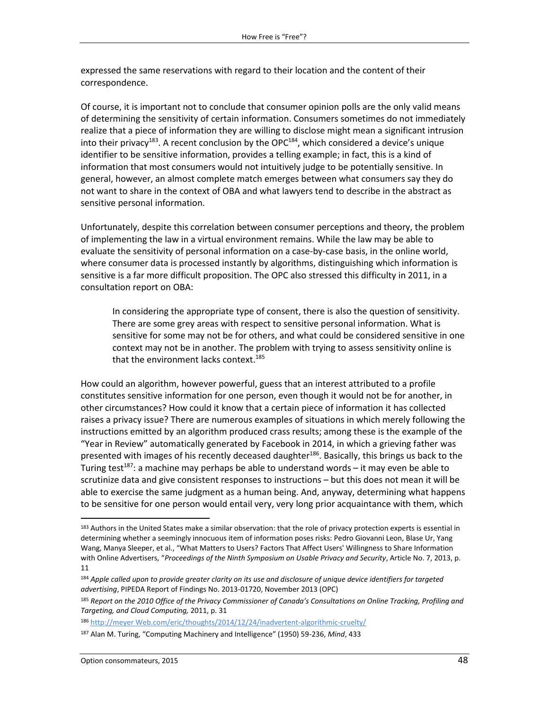expressed the same reservations with regard to their location and the content of their correspondence.

Of course, it is important not to conclude that consumer opinion polls are the only valid means of determining the sensitivity of certain information. Consumers sometimes do not immediately realize that a piece of information they are willing to disclose might mean a significant intrusion into their privacy<sup>183</sup>. A recent conclusion by the OPC<sup>184</sup>, which considered a device's unique identifier to be sensitive information, provides a telling example; in fact, this is a kind of information that most consumers would not intuitively judge to be potentially sensitive. In general, however, an almost complete match emerges between what consumers say they do not want to share in the context of OBA and what lawyers tend to describe in the abstract as sensitive personal information.

Unfortunately, despite this correlation between consumer perceptions and theory, the problem of implementing the law in a virtual environment remains. While the law may be able to evaluate the sensitivity of personal information on a case-by-case basis, in the online world, where consumer data is processed instantly by algorithms, distinguishing which information is sensitive is a far more difficult proposition. The OPC also stressed this difficulty in 2011, in a consultation report on OBA:

In considering the appropriate type of consent, there is also the question of sensitivity. There are some grey areas with respect to sensitive personal information. What is sensitive for some may not be for others, and what could be considered sensitive in one context may not be in another. The problem with trying to assess sensitivity online is that the environment lacks context. 185

How could an algorithm, however powerful, guess that an interest attributed to a profile constitutes sensitive information for one person, even though it would not be for another, in other circumstances? How could it know that a certain piece of information it has collected raises a privacy issue? There are numerous examples of situations in which merely following the instructions emitted by an algorithm produced crass results; among these is the example of the "Year in Review" automatically generated by Facebook in 2014, in which a grieving father was presented with images of his recently deceased daughter<sup>186</sup>. Basically, this brings us back to the Turing test<sup>187</sup>: a machine may perhaps be able to understand words – it may even be able to scrutinize data and give consistent responses to instructions – but this does not mean it will be able to exercise the same judgment as a human being. And, anyway, determining what happens to be sensitive for one person would entail very, very long prior acquaintance with them, which

<sup>183</sup> Authors in the United States make a similar observation: that the role of privacy protection experts is essential in determining whether a seemingly innocuous item of information poses risks: Pedro Giovanni Leon, Blase Ur, Yang Wang, Manya Sleeper, et al., "What Matters to Users? Factors That Affect Users' Willingness to Share Information with Online Advertisers, "*Proceedings of the Ninth Symposium on Usable Privacy and Security*, Article No. 7, 2013, p. 11

<sup>184</sup> *Apple called upon to provide greater clarity on its use and disclosure of unique device identifiers for targeted advertising*, PIPEDA Report of Findings No. 2013-01720, November 2013 (OPC)

<sup>185</sup> *Report on the 2010 Office of the Privacy Commissioner of Canada's Consultations on Online Tracking, Profiling and Targeting, and Cloud Computing,* 2011, p. 31

<sup>186</sup> http://meyer [Web.com/eric/thoughts/2014/12/24/inadvertent-algorithmic-cruelty/](http://meyerweb.com/eric/thoughts/2014/12/24/inadvertent-algorithmic-cruelty/)

<sup>187</sup> Alan M. Turing, "Computing Machinery and Intelligence" (1950) 59-236, *Mind*, 433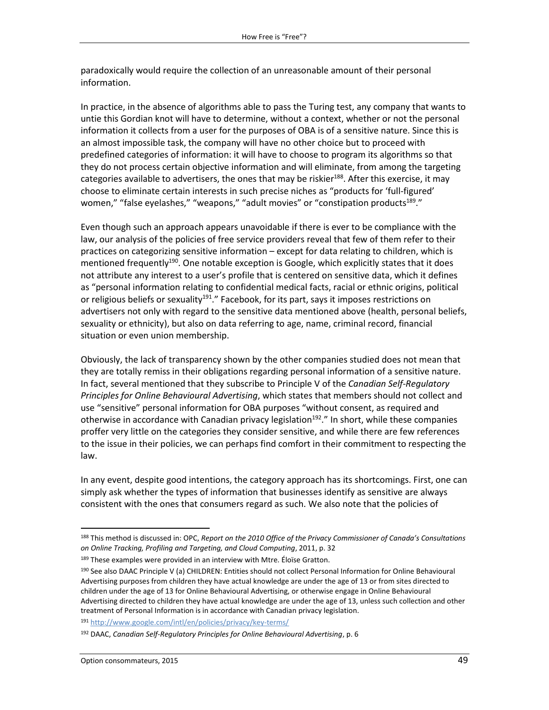paradoxically would require the collection of an unreasonable amount of their personal information.

In practice, in the absence of algorithms able to pass the Turing test, any company that wants to untie this Gordian knot will have to determine, without a context, whether or not the personal information it collects from a user for the purposes of OBA is of a sensitive nature. Since this is an almost impossible task, the company will have no other choice but to proceed with predefined categories of information: it will have to choose to program its algorithms so that they do not process certain objective information and will eliminate, from among the targeting categories available to advertisers, the ones that may be riskier $188$ . After this exercise, it may choose to eliminate certain interests in such precise niches as "products for 'full-figured' women," "false eyelashes," "weapons," "adult movies" or "constipation products<sup>189</sup>."

Even though such an approach appears unavoidable if there is ever to be compliance with the law, our analysis of the policies of free service providers reveal that few of them refer to their practices on categorizing sensitive information – except for data relating to children, which is mentioned frequently<sup>190</sup>. One notable exception is Google, which explicitly states that it does not attribute any interest to a user's profile that is centered on sensitive data, which it defines as "personal information relating to confidential medical facts, racial or ethnic origins, political or religious beliefs or sexuality<sup>191</sup>." Facebook, for its part, says it imposes restrictions on advertisers not only with regard to the sensitive data mentioned above (health, personal beliefs, sexuality or ethnicity), but also on data referring to age, name, criminal record, financial situation or even union membership.

Obviously, the lack of transparency shown by the other companies studied does not mean that they are totally remiss in their obligations regarding personal information of a sensitive nature. In fact, several mentioned that they subscribe to Principle V of the *Canadian Self-Regulatory Principles for Online Behavioural Advertising*, which states that members should not collect and use "sensitive" personal information for OBA purposes "without consent, as required and otherwise in accordance with Canadian privacy legislation<sup>192</sup>." In short, while these companies proffer very little on the categories they consider sensitive, and while there are few references to the issue in their policies, we can perhaps find comfort in their commitment to respecting the law.

In any event, despite good intentions, the category approach has its shortcomings. First, one can simply ask whether the types of information that businesses identify as sensitive are always consistent with the ones that consumers regard as such. We also note that the policies of

<sup>191</sup> <http://www.google.com/intl/en/policies/privacy/key-terms/>

 $\overline{a}$ 

<sup>188</sup> This method is discussed in: OPC, *Report on the 2010 Office of the Privacy Commissioner of Canada's Consultations on Online Tracking, Profiling and Targeting, and Cloud Computing*, 2011, p. 32

<sup>&</sup>lt;sup>189</sup> These examples were provided in an interview with Mtre. Éloïse Gratton.

<sup>190</sup> See also DAAC Principle V (a) CHILDREN: Entities should not collect Personal Information for Online Behavioural Advertising purposes from children they have actual knowledge are under the age of 13 or from sites directed to children under the age of 13 for Online Behavioural Advertising, or otherwise engage in Online Behavioural Advertising directed to children they have actual knowledge are under the age of 13, unless such collection and other treatment of Personal Information is in accordance with Canadian privacy legislation.

<sup>192</sup> DAAC, *Canadian Self-Regulatory Principles for Online Behavioural Advertising*, p. 6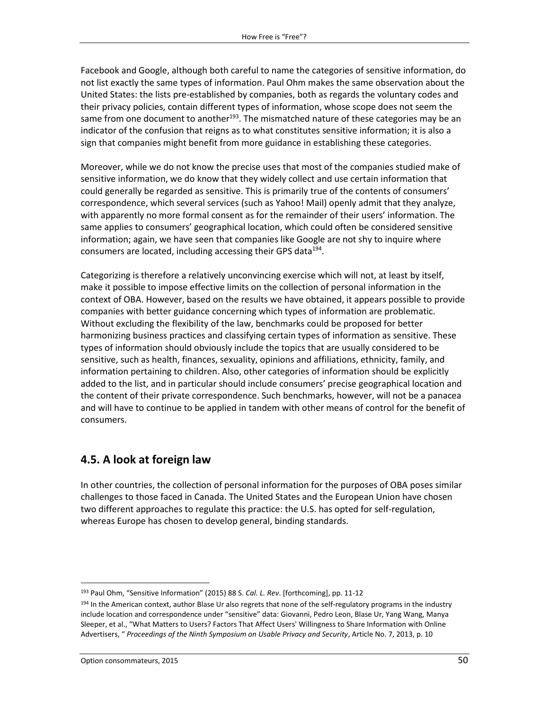Facebook and Google, although both careful to name the categories of sensitive information, do not list exactly the same types of information. Paul Ohm makes the same observation about the United States: the lists pre-established by companies, both as regards the voluntary codes and their privacy policies, contain different types of information, whose scope does not seem the same from one document to another<sup>193</sup>. The mismatched nature of these categories may be an indicator of the confusion that reigns as to what constitutes sensitive information; it is also a sign that companies might benefit from more guidance in establishing these categories.

Moreover, while we do not know the precise uses that most of the companies studied make of sensitive information, we do know that they widely collect and use certain information that could generally be regarded as sensitive. This is primarily true of the contents of consumers' correspondence, which several services (such as Yahoo! Mail) openly admit that they analyze, with apparently no more formal consent as for the remainder of their users' information. The same applies to consumers' geographical location, which could often be considered sensitive information; again, we have seen that companies like Google are not shy to inquire where consumers are located, including accessing their GPS data<sup>194</sup>.

Categorizing is therefore a relatively unconvincing exercise which will not, at least by itself, make it possible to impose effective limits on the collection of personal information in the context of OBA. However, based on the results we have obtained, it appears possible to provide companies with better guidance concerning which types of information are problematic. Without excluding the flexibility of the law, benchmarks could be proposed for better harmonizing business practices and classifying certain types of information as sensitive. These types of information should obviously include the topics that are usually considered to be sensitive, such as health, finances, sexuality, opinions and affiliations, ethnicity, family, and information pertaining to children. Also, other categories of information should be explicitly added to the list, and in particular should include consumers' precise geographical location and the content of their private correspondence. Such benchmarks, however, will not be a panacea and will have to continue to be applied in tandem with other means of control for the benefit of consumers.

# **4.5. A look at foreign law**

In other countries, the collection of personal information for the purposes of OBA poses similar challenges to those faced in Canada. The United States and the European Union have chosen two different approaches to regulate this practice: the U.S. has opted for self-regulation, whereas Europe has chosen to develop general, binding standards.

<sup>193</sup> Paul Ohm, "Sensitive Information" (2015) 88 S. *Cal. L. Rev*. [forthcoming], pp. 11-12

<sup>&</sup>lt;sup>194</sup> In the American context, author Blase Ur also regrets that none of the self-regulatory programs in the industry include location and correspondence under "sensitive" data: Giovanni, Pedro Leon, Blase Ur, Yang Wang, Manya Sleeper, et al., "What Matters to Users? Factors That Affect Users' Willingness to Share Information with Online Advertisers, " *Proceedings of the Ninth Symposium on Usable Privacy and Security*, Article No. 7, 2013, p. 10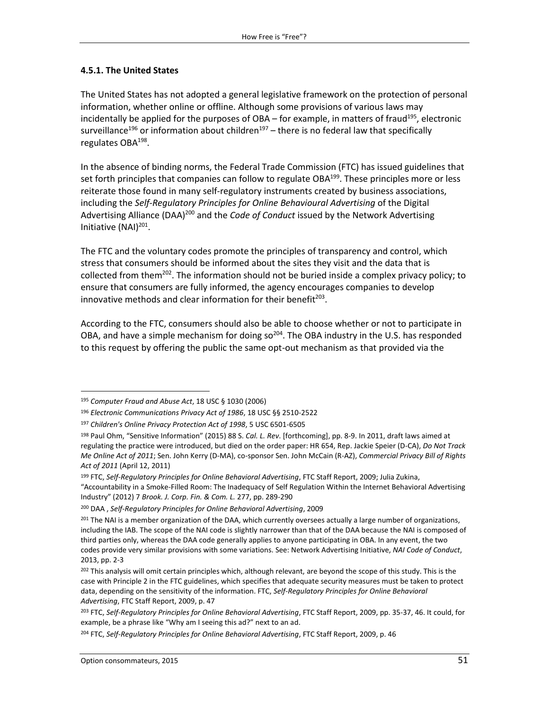#### **4.5.1. The United States**

The United States has not adopted a general legislative framework on the protection of personal information, whether online or offline. Although some provisions of various laws may incidentally be applied for the purposes of  $OBA -$  for example, in matters of fraud<sup>195</sup>, electronic surveillance<sup>196</sup> or information about children<sup>197</sup> – there is no federal law that specifically regulates OBA<sup>198</sup>.

In the absence of binding norms, the Federal Trade Commission (FTC) has issued guidelines that set forth principles that companies can follow to regulate  $OBA^{199}$ . These principles more or less reiterate those found in many self-regulatory instruments created by business associations, including the *Self-Regulatory Principles for Online Behavioural Advertising* of the Digital Advertising Alliance (DAA)<sup>200</sup> and the *Code of Conduct* issued by the Network Advertising Initiative (NAI)<sup>201</sup>.

The FTC and the voluntary codes promote the principles of transparency and control, which stress that consumers should be informed about the sites they visit and the data that is collected from them<sup>202</sup>. The information should not be buried inside a complex privacy policy; to ensure that consumers are fully informed, the agency encourages companies to develop innovative methods and clear information for their benefit $^{203}$ .

According to the FTC, consumers should also be able to choose whether or not to participate in OBA, and have a simple mechanism for doing so<sup>204</sup>. The OBA industry in the U.S. has responded to this request by offering the public the same opt-out mechanism as that provided via the

<sup>195</sup> *Computer Fraud and Abuse Act*, 18 USC § 1030 (2006)

<sup>196</sup> *Electronic Communications Privacy Act of 1986*, 18 USC §§ 2510-2522

<sup>197</sup> *Children's Online Privacy Protection Act of 1998*, 5 USC 6501-6505

<sup>198</sup> Paul Ohm, "Sensitive Information" (2015) 88 S. *Cal. L. Rev*. [forthcoming], pp. 8-9. In 2011, draft laws aimed at regulating the practice were introduced, but died on the order paper: HR 654, Rep. Jackie Speier (D-CA), *Do Not Track Me Online Act of 2011*; Sen. John Kerry (D-MA), co-sponsor Sen. John McCain (R-AZ), *Commercial Privacy Bill of Rights Act of 2011* (April 12, 2011)

<sup>199</sup> FTC, *Self-Regulatory Principles for Online Behavioral Advertising*, FTC Staff Report, 2009; Julia Zukina, "Accountability in a Smoke-Filled Room: The Inadequacy of Self Regulation Within the Internet Behavioral Advertising Industry" (2012) 7 *Brook. J. Corp. Fin. & Com. L.* 277, pp. 289-290

<sup>200</sup> DAA , *Self-Regulatory Principles for Online Behavioral Advertising*, 2009

<sup>&</sup>lt;sup>201</sup> The NAI is a member organization of the DAA, which currently oversees actually a large number of organizations, including the IAB. The scope of the NAI code is slightly narrower than that of the DAA because the NAI is composed of third parties only, whereas the DAA code generally applies to anyone participating in OBA. In any event, the two codes provide very similar provisions with some variations. See: Network Advertising Initiative, *NAI Code of Conduct*, 2013, pp. 2-3

<sup>&</sup>lt;sup>202</sup> This analysis will omit certain principles which, although relevant, are beyond the scope of this study. This is the case with Principle 2 in the FTC guidelines, which specifies that adequate security measures must be taken to protect data, depending on the sensitivity of the information. FTC, *Self-Regulatory Principles for Online Behavioral Advertising*, FTC Staff Report, 2009, p. 47

<sup>203</sup> FTC, *Self-Regulatory Principles for Online Behavioral Advertising*, FTC Staff Report, 2009, pp. 35-37, 46. It could, for example, be a phrase like "Why am I seeing this ad?" next to an ad.

<sup>204</sup> FTC, *Self-Regulatory Principles for Online Behavioral Advertising*, FTC Staff Report, 2009, p. 46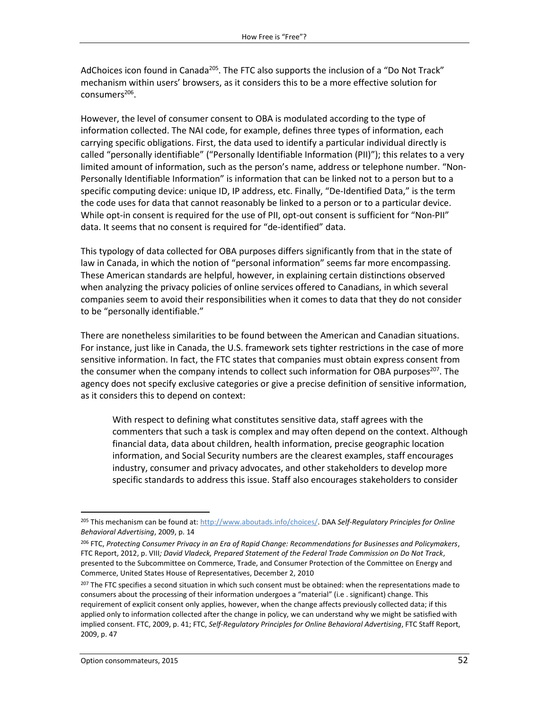AdChoices icon found in Canada<sup>205</sup>. The FTC also supports the inclusion of a "Do Not Track" mechanism within users' browsers, as it considers this to be a more effective solution for consumers<sup>206</sup>.

However, the level of consumer consent to OBA is modulated according to the type of information collected. The NAI code, for example, defines three types of information, each carrying specific obligations. First, the data used to identify a particular individual directly is called "personally identifiable" ("Personally Identifiable Information (PII)"); this relates to a very limited amount of information, such as the person's name, address or telephone number. "Non-Personally Identifiable Information" is information that can be linked not to a person but to a specific computing device: unique ID, IP address, etc. Finally, "De-Identified Data," is the term the code uses for data that cannot reasonably be linked to a person or to a particular device. While opt-in consent is required for the use of PII, opt-out consent is sufficient for "Non-PII" data. It seems that no consent is required for "de-identified" data.

This typology of data collected for OBA purposes differs significantly from that in the state of law in Canada, in which the notion of "personal information" seems far more encompassing. These American standards are helpful, however, in explaining certain distinctions observed when analyzing the privacy policies of online services offered to Canadians, in which several companies seem to avoid their responsibilities when it comes to data that they do not consider to be "personally identifiable."

There are nonetheless similarities to be found between the American and Canadian situations. For instance, just like in Canada, the U.S. framework sets tighter restrictions in the case of more sensitive information. In fact, the FTC states that companies must obtain express consent from the consumer when the company intends to collect such information for OBA purposes<sup>207</sup>. The agency does not specify exclusive categories or give a precise definition of sensitive information, as it considers this to depend on context:

With respect to defining what constitutes sensitive data, staff agrees with the commenters that such a task is complex and may often depend on the context. Although financial data, data about children, health information, precise geographic location information, and Social Security numbers are the clearest examples, staff encourages industry, consumer and privacy advocates, and other stakeholders to develop more specific standards to address this issue. Staff also encourages stakeholders to consider

 $\overline{a}$ <sup>205</sup> This mechanism can be found at[: http://www.aboutads.info/choices/.](http://www.aboutads.info/choices/) DAA *Self-Regulatory Principles for Online Behavioral Advertising*, 2009, p. 14

<sup>206</sup> FTC, *Protecting Consumer Privacy in an Era of Rapid Change: Recommendations for Businesses and Policymakers*, FTC Report, 2012, p. VIII*; David Vladeck, Prepared Statement of the Federal Trade Commission on Do Not Track*, presented to the Subcommittee on Commerce, Trade, and Consumer Protection of the Committee on Energy and Commerce, United States House of Representatives, December 2, 2010

<sup>&</sup>lt;sup>207</sup> The FTC specifies a second situation in which such consent must be obtained: when the representations made to consumers about the processing of their information undergoes a "material" (i.e . significant) change. This requirement of explicit consent only applies, however, when the change affects previously collected data; if this applied only to information collected after the change in policy, we can understand why we might be satisfied with implied consent. FTC, 2009, p. 41; FTC, *Self-Regulatory Principles for Online Behavioral Advertising*, FTC Staff Report, 2009, p. 47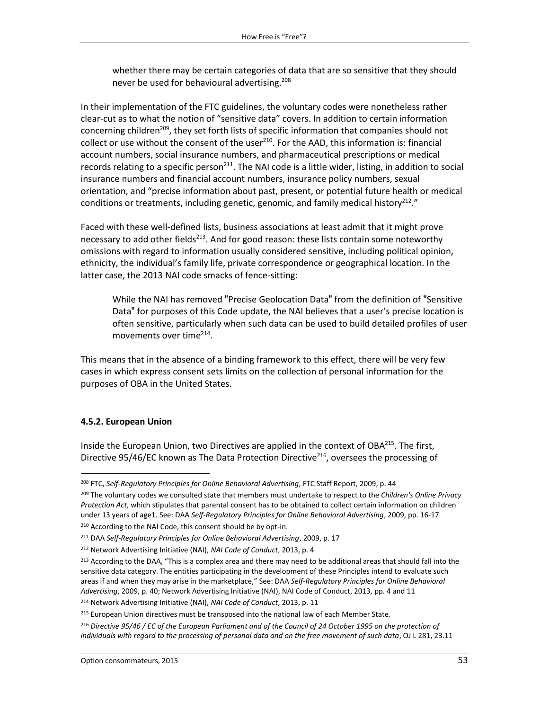whether there may be certain categories of data that are so sensitive that they should never be used for behavioural advertising. 208

In their implementation of the FTC guidelines, the voluntary codes were nonetheless rather clear-cut as to what the notion of "sensitive data" covers. In addition to certain information concerning children<sup>209</sup>, they set forth lists of specific information that companies should not collect or use without the consent of the user<sup>210</sup>. For the AAD, this information is: financial account numbers, social insurance numbers, and pharmaceutical prescriptions or medical records relating to a specific person<sup>211</sup>. The NAI code is a little wider, listing, in addition to social insurance numbers and financial account numbers, insurance policy numbers, sexual orientation, and "precise information about past, present, or potential future health or medical conditions or treatments, including genetic, genomic, and family medical history<sup>212</sup>."

Faced with these well-defined lists, business associations at least admit that it might prove necessary to add other fields<sup>213</sup>. And for good reason: these lists contain some noteworthy omissions with regard to information usually considered sensitive, including political opinion, ethnicity, the individual's family life, private correspondence or geographical location. In the latter case, the 2013 NAI code smacks of fence-sitting:

While the NAI has removed "Precise Geolocation Data" from the definition of "Sensitive Data" for purposes of this Code update, the NAI believes that a user's precise location is often sensitive, particularly when such data can be used to build detailed profiles of user movements over time<sup>214</sup>.

This means that in the absence of a binding framework to this effect, there will be very few cases in which express consent sets limits on the collection of personal information for the purposes of OBA in the United States.

## **4.5.2. European Union**

 $\overline{\phantom{a}}$ 

Inside the European Union, two Directives are applied in the context of OBA<sup>215</sup>. The first, Directive 95/46/EC known as The Data Protection Directive<sup>216</sup>, oversees the processing of

<sup>208</sup> FTC, *Self-Regulatory Principles for Online Behavioral Advertising*, FTC Staff Report, 2009, p. 44

<sup>209</sup> The voluntary codes we consulted state that members must undertake to respect to the *Children's Online Privacy Protection Act*, which stipulates that parental consent has to be obtained to collect certain information on children under 13 years of age1. See: DAA *Self-Regulatory Principles for Online Behavioral Advertising*, 2009, pp. 16-17 <sup>210</sup> According to the NAI Code, this consent should be by opt-in.

<sup>211</sup> DAA *Self-Regulatory Principles for Online Behavioral Advertising*, 2009, p. 17

<sup>212</sup> Network Advertising Initiative (NAI), *NAI Code of Conduct*, 2013, p. 4

<sup>&</sup>lt;sup>213</sup> According to the DAA, "This is a complex area and there may need to be additional areas that should fall into the sensitive data category. The entities participating in the development of these Principles intend to evaluate such areas if and when they may arise in the marketplace," See: DAA *Self-Regulatory Principles for Online Behavioral Advertising*, 2009, p. 40; Network Advertising Initiative (NAI), NAI Code of Conduct, 2013, pp. 4 and 11

<sup>214</sup> Network Advertising Initiative (NAI), *NAI Code of Conduct*, 2013, p. 11

<sup>&</sup>lt;sup>215</sup> European Union directives must be transposed into the national law of each Member State.

<sup>216</sup> *Directive 95/46 / EC of the European Parliament and of the Council of 24 October 1995 on the protection of individuals with regard to the processing of personal data and on the free movement of such data*, OJ L 281, 23.11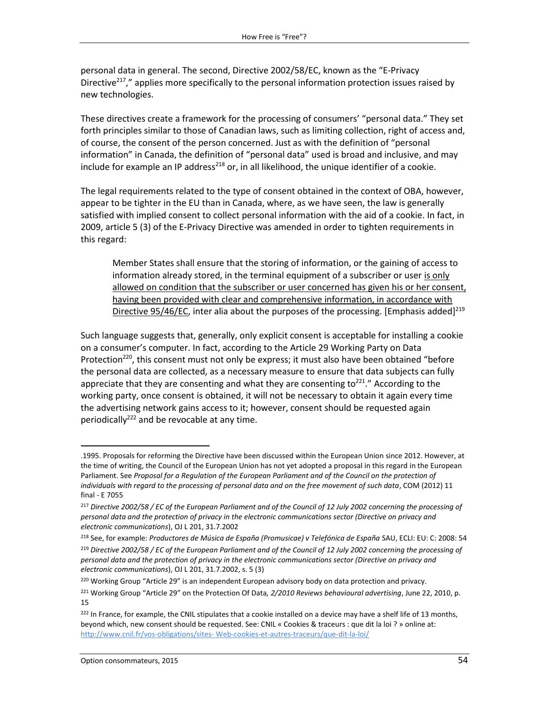personal data in general. The second, Directive 2002/58/EC, known as the "E-Privacy Directive<sup>217</sup>," applies more specifically to the personal information protection issues raised by new technologies.

These directives create a framework for the processing of consumers' "personal data." They set forth principles similar to those of Canadian laws, such as limiting collection, right of access and, of course, the consent of the person concerned. Just as with the definition of "personal information" in Canada, the definition of "personal data" used is broad and inclusive, and may include for example an IP address<sup>218</sup> or, in all likelihood, the unique identifier of a cookie.

The legal requirements related to the type of consent obtained in the context of OBA, however, appear to be tighter in the EU than in Canada, where, as we have seen, the law is generally satisfied with implied consent to collect personal information with the aid of a cookie. In fact, in 2009, article 5 (3) of the E-Privacy Directive was amended in order to tighten requirements in this regard:

Member States shall ensure that the storing of information, or the gaining of access to information already stored, in the terminal equipment of a subscriber or user is only allowed on condition that the subscriber or user concerned has given his or her consent, having been provided with clear and comprehensive information, in accordance with Directive 95/46/EC, inter alia about the purposes of the processing. [Emphasis added]<sup>219</sup>

Such language suggests that, generally, only explicit consent is acceptable for installing a cookie on a consumer's computer. In fact, according to the Article 29 Working Party on Data Protection<sup>220</sup>, this consent must not only be express; it must also have been obtained "before the personal data are collected, as a necessary measure to ensure that data subjects can fully appreciate that they are consenting and what they are consenting to<sup>221</sup>." According to the working party, once consent is obtained, it will not be necessary to obtain it again every time the advertising network gains access to it; however, consent should be requested again periodically<sup>222</sup> and be revocable at any time.

 $\overline{a}$ 

<sup>.1995.</sup> Proposals for reforming the Directive have been discussed within the European Union since 2012. However, at the time of writing, the Council of the European Union has not yet adopted a proposal in this regard in the European Parliament. See *Proposal for a Regulation of the European Parliament and of the Council on the protection of individuals with regard to the processing of personal data and on the free movement of such data*, COM (2012) 11 final - E 7055

<sup>217</sup> *Directive 2002/58 / EC of the European Parliament and of the Council of 12 July 2002 concerning the processing of personal data and the protection of privacy in the electronic communications sector (Directive on privacy and electronic communications*), OJ L 201, 31.7.2002

<sup>218</sup> See, for example: *Productores de Música de España (Promusicae) v Telefónica de España* SAU, ECLI: EU: C: 2008: 54

<sup>&</sup>lt;sup>219</sup> Directive 2002/58 / EC of the European Parliament and of the Council of 12 July 2002 concerning the processing of *personal data and the protection of privacy in the electronic communications sector (Directive on privacy and electronic communications*), OJ L 201, 31.7.2002, s. 5 (3)

<sup>&</sup>lt;sup>220</sup> Working Group "Article 29" is an independent European advisory body on data protection and privacy.

<sup>221</sup> Working Group "Article 29" on the Protection Of Data*, 2/2010 Reviews behavioural advertising*, June 22, 2010, p. 15

<sup>&</sup>lt;sup>222</sup> In France, for example, the CNIL stipulates that a cookie installed on a device may have a shelf life of 13 months, beyond which, new consent should be requested. See: CNIL « Cookies & traceurs : que dit la loi ? » online at: http://www.cnil.fr/vos-obligations/sites- [Web-cookies-et-autres-traceurs/que-dit-la-loi/](http://www.cnil.fr/vos-obligations/sites-web-cookies-et-autres-traceurs/que-dit-la-loi/)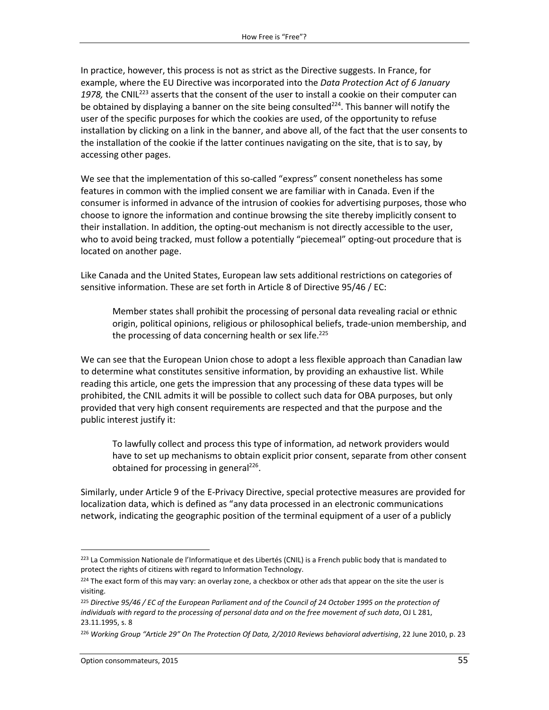In practice, however, this process is not as strict as the Directive suggests. In France, for example, where the EU Directive was incorporated into the *Data Protection Act of 6 January*  1978, the CNIL<sup>223</sup> asserts that the consent of the user to install a cookie on their computer can be obtained by displaying a banner on the site being consulted<sup>224</sup>. This banner will notify the user of the specific purposes for which the cookies are used, of the opportunity to refuse installation by clicking on a link in the banner, and above all, of the fact that the user consents to the installation of the cookie if the latter continues navigating on the site, that is to say, by accessing other pages.

We see that the implementation of this so-called "express" consent nonetheless has some features in common with the implied consent we are familiar with in Canada. Even if the consumer is informed in advance of the intrusion of cookies for advertising purposes, those who choose to ignore the information and continue browsing the site thereby implicitly consent to their installation. In addition, the opting-out mechanism is not directly accessible to the user, who to avoid being tracked, must follow a potentially "piecemeal" opting-out procedure that is located on another page.

Like Canada and the United States, European law sets additional restrictions on categories of sensitive information. These are set forth in Article 8 of Directive 95/46 / EC:

Member states shall prohibit the processing of personal data revealing racial or ethnic origin, political opinions, religious or philosophical beliefs, trade-union membership, and the processing of data concerning health or sex life. 225

We can see that the European Union chose to adopt a less flexible approach than Canadian law to determine what constitutes sensitive information, by providing an exhaustive list. While reading this article, one gets the impression that any processing of these data types will be prohibited, the CNIL admits it will be possible to collect such data for OBA purposes, but only provided that very high consent requirements are respected and that the purpose and the public interest justify it:

To lawfully collect and process this type of information, ad network providers would have to set up mechanisms to obtain explicit prior consent, separate from other consent obtained for processing in general<sup>226</sup>.

Similarly, under Article 9 of the E-Privacy Directive, special protective measures are provided for localization data, which is defined as "any data processed in an electronic communications network, indicating the geographic position of the terminal equipment of a user of a publicly

 $\overline{a}$ <sup>223</sup> La Commission Nationale de l'Informatique et des Libertés (CNIL) is a French public body that is mandated to protect the rights of citizens with regard to Information Technology.

<sup>&</sup>lt;sup>224</sup> The exact form of this may vary: an overlay zone, a checkbox or other ads that appear on the site the user is visiting.

<sup>&</sup>lt;sup>225</sup> Directive 95/46 / EC of the European Parliament and of the Council of 24 October 1995 on the protection of *individuals with regard to the processing of personal data and on the free movement of such data*, OJ L 281, 23.11.1995, s. 8

<sup>226</sup> *Working Group "Article 29" On The Protection Of Data, 2/2010 Reviews behavioral advertising*, 22 June 2010, p. 23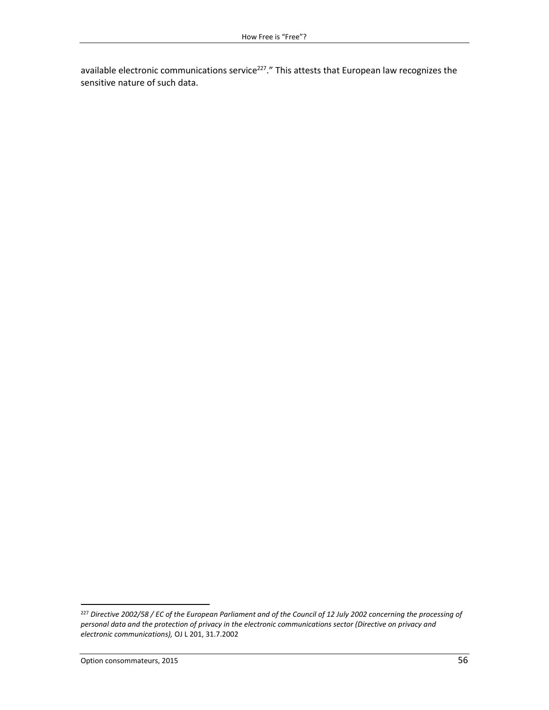available electronic communications service<sup>227</sup>." This attests that European law recognizes the sensitive nature of such data.

<sup>227</sup> *Directive 2002/58 / EC of the European Parliament and of the Council of 12 July 2002 concerning the processing of personal data and the protection of privacy in the electronic communications sector (Directive on privacy and electronic communications),* OJ L 201, 31.7.2002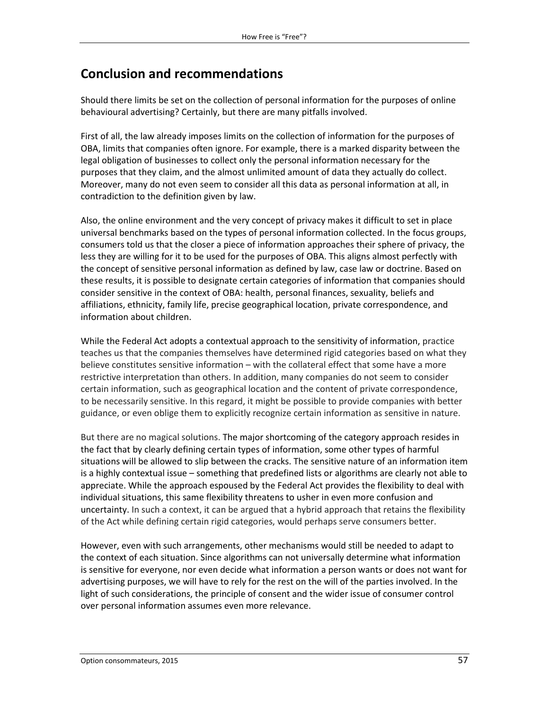# **Conclusion and recommendations**

Should there limits be set on the collection of personal information for the purposes of online behavioural advertising? Certainly, but there are many pitfalls involved.

First of all, the law already imposes limits on the collection of information for the purposes of OBA, limits that companies often ignore. For example, there is a marked disparity between the legal obligation of businesses to collect only the personal information necessary for the purposes that they claim, and the almost unlimited amount of data they actually do collect. Moreover, many do not even seem to consider all this data as personal information at all, in contradiction to the definition given by law.

Also, the online environment and the very concept of privacy makes it difficult to set in place universal benchmarks based on the types of personal information collected. In the focus groups, consumers told us that the closer a piece of information approaches their sphere of privacy, the less they are willing for it to be used for the purposes of OBA. This aligns almost perfectly with the concept of sensitive personal information as defined by law, case law or doctrine. Based on these results, it is possible to designate certain categories of information that companies should consider sensitive in the context of OBA: health, personal finances, sexuality, beliefs and affiliations, ethnicity, family life, precise geographical location, private correspondence, and information about children.

While the Federal Act adopts a contextual approach to the sensitivity of information, practice teaches us that the companies themselves have determined rigid categories based on what they believe constitutes sensitive information – with the collateral effect that some have a more restrictive interpretation than others. In addition, many companies do not seem to consider certain information, such as geographical location and the content of private correspondence, to be necessarily sensitive. In this regard, it might be possible to provide companies with better guidance, or even oblige them to explicitly recognize certain information as sensitive in nature.

But there are no magical solutions. The major shortcoming of the category approach resides in the fact that by clearly defining certain types of information, some other types of harmful situations will be allowed to slip between the cracks. The sensitive nature of an information item is a highly contextual issue – something that predefined lists or algorithms are clearly not able to appreciate. While the approach espoused by the Federal Act provides the flexibility to deal with individual situations, this same flexibility threatens to usher in even more confusion and uncertainty. In such a context, it can be argued that a hybrid approach that retains the flexibility of the Act while defining certain rigid categories, would perhaps serve consumers better.

However, even with such arrangements, other mechanisms would still be needed to adapt to the context of each situation. Since algorithms can not universally determine what information is sensitive for everyone, nor even decide what information a person wants or does not want for advertising purposes, we will have to rely for the rest on the will of the parties involved. In the light of such considerations, the principle of consent and the wider issue of consumer control over personal information assumes even more relevance.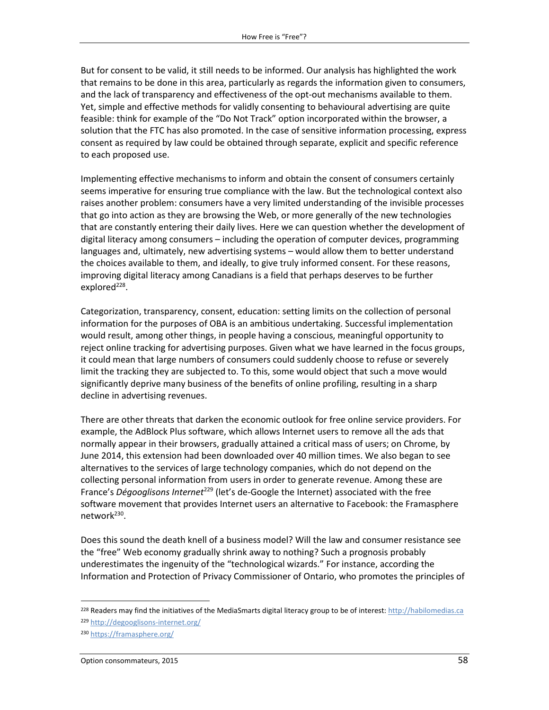But for consent to be valid, it still needs to be informed. Our analysis has highlighted the work that remains to be done in this area, particularly as regards the information given to consumers, and the lack of transparency and effectiveness of the opt-out mechanisms available to them. Yet, simple and effective methods for validly consenting to behavioural advertising are quite feasible: think for example of the "Do Not Track" option incorporated within the browser, a solution that the FTC has also promoted. In the case of sensitive information processing, express consent as required by law could be obtained through separate, explicit and specific reference to each proposed use.

Implementing effective mechanisms to inform and obtain the consent of consumers certainly seems imperative for ensuring true compliance with the law. But the technological context also raises another problem: consumers have a very limited understanding of the invisible processes that go into action as they are browsing the Web, or more generally of the new technologies that are constantly entering their daily lives. Here we can question whether the development of digital literacy among consumers – including the operation of computer devices, programming languages and, ultimately, new advertising systems – would allow them to better understand the choices available to them, and ideally, to give truly informed consent. For these reasons, improving digital literacy among Canadians is a field that perhaps deserves to be further explored<sup>228</sup>.

Categorization, transparency, consent, education: setting limits on the collection of personal information for the purposes of OBA is an ambitious undertaking. Successful implementation would result, among other things, in people having a conscious, meaningful opportunity to reject online tracking for advertising purposes. Given what we have learned in the focus groups, it could mean that large numbers of consumers could suddenly choose to refuse or severely limit the tracking they are subjected to. To this, some would object that such a move would significantly deprive many business of the benefits of online profiling, resulting in a sharp decline in advertising revenues.

There are other threats that darken the economic outlook for free online service providers. For example, the AdBlock Plus software, which allows Internet users to remove all the ads that normally appear in their browsers, gradually attained a critical mass of users; on Chrome, by June 2014, this extension had been downloaded over 40 million times. We also began to see alternatives to the services of large technology companies, which do not depend on the collecting personal information from users in order to generate revenue. Among these are France's *Dégooglisons Internet<sup>229</sup>* (let's de-Google the Internet) associated with the free software movement that provides Internet users an alternative to Facebook: the Framasphere network<sup>230</sup>.

Does this sound the death knell of a business model? Will the law and consumer resistance see the "free" Web economy gradually shrink away to nothing? Such a prognosis probably underestimates the ingenuity of the "technological wizards." For instance, according the Information and Protection of Privacy Commissioner of Ontario, who promotes the principles of

<sup>&</sup>lt;sup>228</sup> Readers may find the initiatives of the MediaSmarts digital literacy group to be of interest[: http://habilomedias.ca](http://habilomedias.ca/) <sup>229</sup> <http://degooglisons-internet.org/>

<sup>230</sup> <https://framasphere.org/>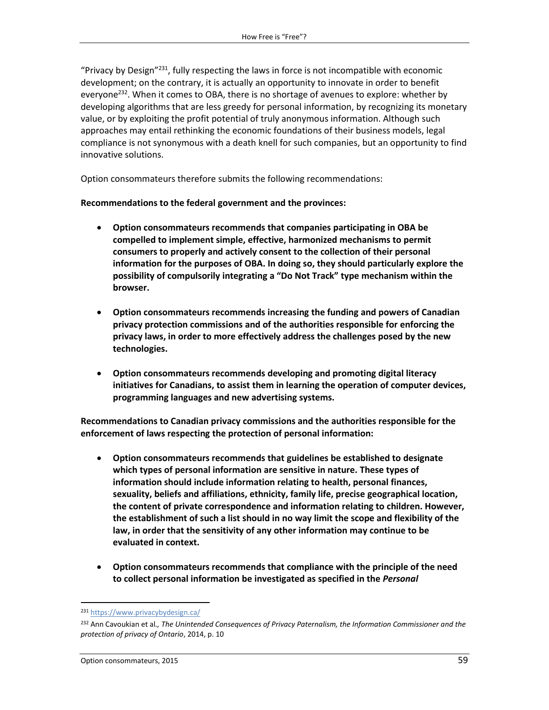"Privacy by Design"<sup>231</sup>, fully respecting the laws in force is not incompatible with economic development; on the contrary, it is actually an opportunity to innovate in order to benefit everyone<sup>232</sup>. When it comes to OBA, there is no shortage of avenues to explore: whether by developing algorithms that are less greedy for personal information, by recognizing its monetary value, or by exploiting the profit potential of truly anonymous information. Although such approaches may entail rethinking the economic foundations of their business models, legal compliance is not synonymous with a death knell for such companies, but an opportunity to find innovative solutions.

Option consommateurs therefore submits the following recommendations:

**Recommendations to the federal government and the provinces:**

- **Option consommateurs recommends that companies participating in OBA be compelled to implement simple, effective, harmonized mechanisms to permit consumers to properly and actively consent to the collection of their personal information for the purposes of OBA. In doing so, they should particularly explore the possibility of compulsorily integrating a "Do Not Track" type mechanism within the browser.**
- **Option consommateurs recommends increasing the funding and powers of Canadian privacy protection commissions and of the authorities responsible for enforcing the privacy laws, in order to more effectively address the challenges posed by the new technologies.**
- **Option consommateurs recommends developing and promoting digital literacy initiatives for Canadians, to assist them in learning the operation of computer devices, programming languages and new advertising systems.**

**Recommendations to Canadian privacy commissions and the authorities responsible for the enforcement of laws respecting the protection of personal information:**

- **Option consommateurs recommends that guidelines be established to designate which types of personal information are sensitive in nature. These types of information should include information relating to health, personal finances, sexuality, beliefs and affiliations, ethnicity, family life, precise geographical location, the content of private correspondence and information relating to children. However, the establishment of such a list should in no way limit the scope and flexibility of the law, in order that the sensitivity of any other information may continue to be evaluated in context.**
- **Option consommateurs recommends that compliance with the principle of the need to collect personal information be investigated as specified in the** *Personal*

l

<sup>231</sup> <https://www.privacybydesign.ca/>

<sup>232</sup> Ann Cavoukian et al*., The Unintended Consequences of Privacy Paternalism, the Information Commissioner and the protection of privacy of Ontario*, 2014, p. 10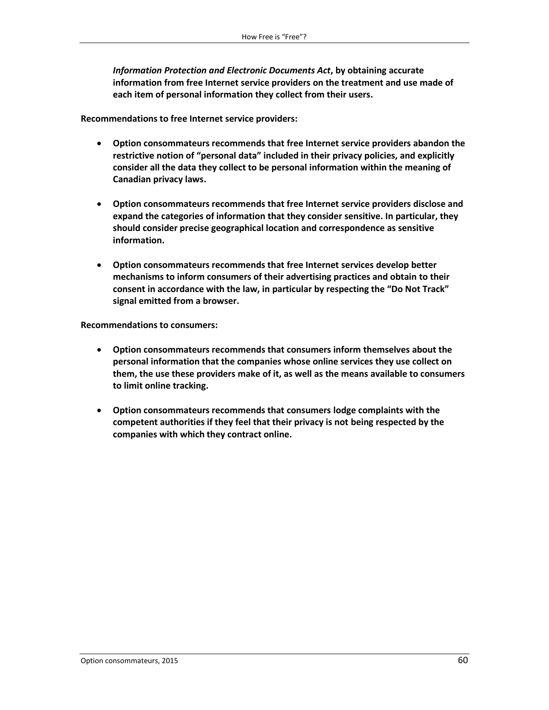*Information Protection and Electronic Documents Act***, by obtaining accurate information from free Internet service providers on the treatment and use made of each item of personal information they collect from their users.**

**Recommendations to free Internet service providers:**

- **Option consommateurs recommends that free Internet service providers abandon the restrictive notion of "personal data" included in their privacy policies, and explicitly consider all the data they collect to be personal information within the meaning of Canadian privacy laws.**
- **Option consommateurs recommends that free Internet service providers disclose and expand the categories of information that they consider sensitive. In particular, they should consider precise geographical location and correspondence as sensitive information.**
- **Option consommateurs recommends that free Internet services develop better mechanisms to inform consumers of their advertising practices and obtain to their consent in accordance with the law, in particular by respecting the "Do Not Track" signal emitted from a browser.**

**Recommendations to consumers:**

- **Option consommateurs recommends that consumers inform themselves about the personal information that the companies whose online services they use collect on them, the use these providers make of it, as well as the means available to consumers to limit online tracking.**
- **Option consommateurs recommends that consumers lodge complaints with the competent authorities if they feel that their privacy is not being respected by the companies with which they contract online.**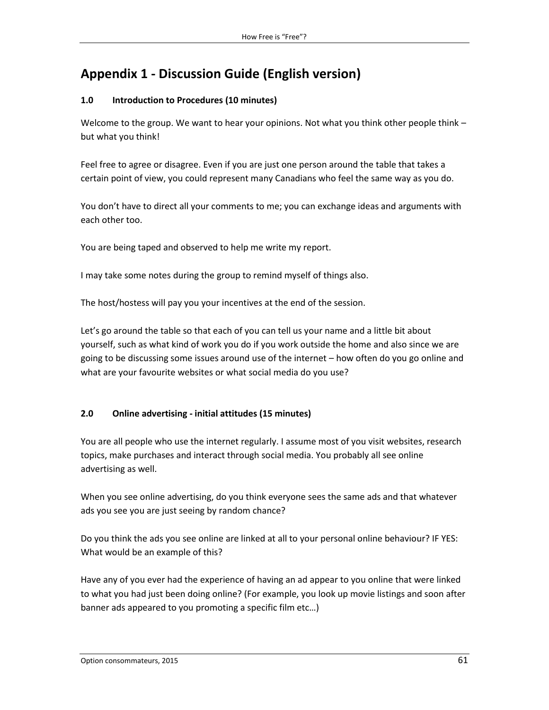# **Appendix 1 - Discussion Guide (English version)**

## **1.0 Introduction to Procedures (10 minutes)**

Welcome to the group. We want to hear your opinions. Not what you think other people think but what you think!

Feel free to agree or disagree. Even if you are just one person around the table that takes a certain point of view, you could represent many Canadians who feel the same way as you do.

You don't have to direct all your comments to me; you can exchange ideas and arguments with each other too.

You are being taped and observed to help me write my report.

I may take some notes during the group to remind myself of things also.

The host/hostess will pay you your incentives at the end of the session.

Let's go around the table so that each of you can tell us your name and a little bit about yourself, such as what kind of work you do if you work outside the home and also since we are going to be discussing some issues around use of the internet – how often do you go online and what are your favourite websites or what social media do you use?

## **2.0 Online advertising - initial attitudes (15 minutes)**

You are all people who use the internet regularly. I assume most of you visit websites, research topics, make purchases and interact through social media. You probably all see online advertising as well.

When you see online advertising, do you think everyone sees the same ads and that whatever ads you see you are just seeing by random chance?

Do you think the ads you see online are linked at all to your personal online behaviour? IF YES: What would be an example of this?

Have any of you ever had the experience of having an ad appear to you online that were linked to what you had just been doing online? (For example, you look up movie listings and soon after banner ads appeared to you promoting a specific film etc…)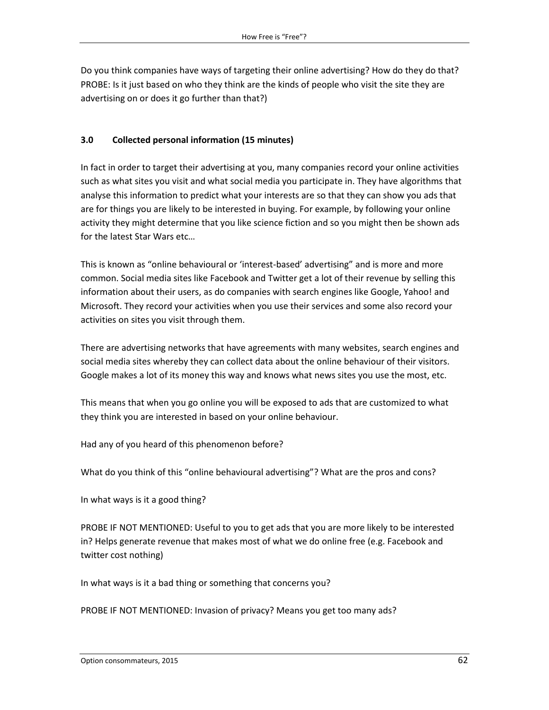Do you think companies have ways of targeting their online advertising? How do they do that? PROBE: Is it just based on who they think are the kinds of people who visit the site they are advertising on or does it go further than that?)

## **3.0 Collected personal information (15 minutes)**

In fact in order to target their advertising at you, many companies record your online activities such as what sites you visit and what social media you participate in. They have algorithms that analyse this information to predict what your interests are so that they can show you ads that are for things you are likely to be interested in buying. For example, by following your online activity they might determine that you like science fiction and so you might then be shown ads for the latest Star Wars etc…

This is known as "online behavioural or 'interest-based' advertising" and is more and more common. Social media sites like Facebook and Twitter get a lot of their revenue by selling this information about their users, as do companies with search engines like Google, Yahoo! and Microsoft. They record your activities when you use their services and some also record your activities on sites you visit through them.

There are advertising networks that have agreements with many websites, search engines and social media sites whereby they can collect data about the online behaviour of their visitors. Google makes a lot of its money this way and knows what news sites you use the most, etc.

This means that when you go online you will be exposed to ads that are customized to what they think you are interested in based on your online behaviour.

Had any of you heard of this phenomenon before?

What do you think of this "online behavioural advertising"? What are the pros and cons?

In what ways is it a good thing?

PROBE IF NOT MENTIONED: Useful to you to get ads that you are more likely to be interested in? Helps generate revenue that makes most of what we do online free (e.g. Facebook and twitter cost nothing)

In what ways is it a bad thing or something that concerns you?

PROBE IF NOT MENTIONED: Invasion of privacy? Means you get too many ads?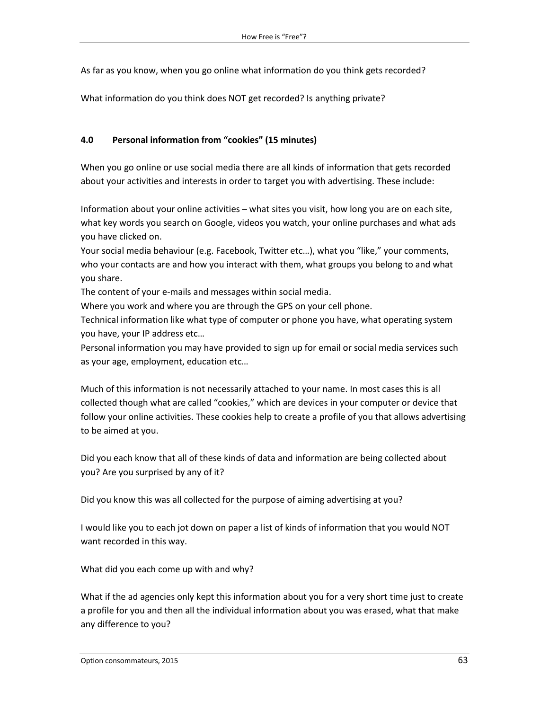As far as you know, when you go online what information do you think gets recorded?

What information do you think does NOT get recorded? Is anything private?

#### **4.0 Personal information from "cookies" (15 minutes)**

When you go online or use social media there are all kinds of information that gets recorded about your activities and interests in order to target you with advertising. These include:

Information about your online activities – what sites you visit, how long you are on each site, what key words you search on Google, videos you watch, your online purchases and what ads you have clicked on.

Your social media behaviour (e.g. Facebook, Twitter etc…), what you "like," your comments, who your contacts are and how you interact with them, what groups you belong to and what you share.

The content of your e-mails and messages within social media.

Where you work and where you are through the GPS on your cell phone.

Technical information like what type of computer or phone you have, what operating system you have, your IP address etc…

Personal information you may have provided to sign up for email or social media services such as your age, employment, education etc…

Much of this information is not necessarily attached to your name. In most cases this is all collected though what are called "cookies," which are devices in your computer or device that follow your online activities. These cookies help to create a profile of you that allows advertising to be aimed at you.

Did you each know that all of these kinds of data and information are being collected about you? Are you surprised by any of it?

Did you know this was all collected for the purpose of aiming advertising at you?

I would like you to each jot down on paper a list of kinds of information that you would NOT want recorded in this way.

What did you each come up with and why?

What if the ad agencies only kept this information about you for a very short time just to create a profile for you and then all the individual information about you was erased, what that make any difference to you?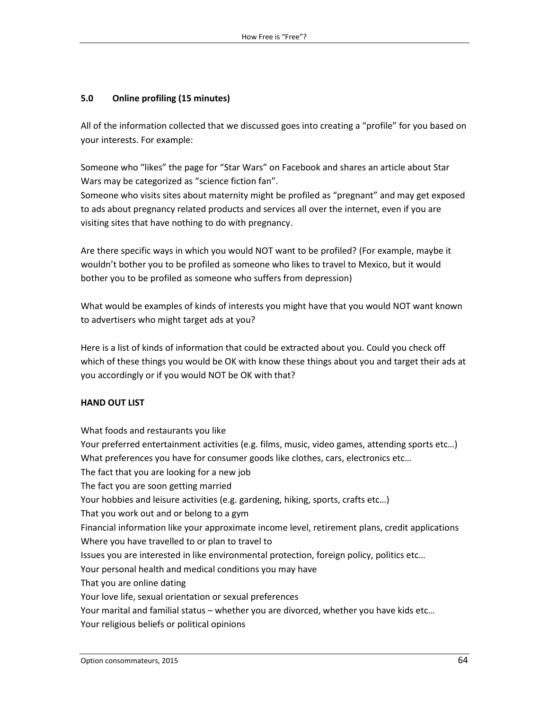#### **5.0 Online profiling (15 minutes)**

All of the information collected that we discussed goes into creating a "profile" for you based on your interests. For example:

Someone who "likes" the page for "Star Wars" on Facebook and shares an article about Star Wars may be categorized as "science fiction fan".

Someone who visits sites about maternity might be profiled as "pregnant" and may get exposed to ads about pregnancy related products and services all over the internet, even if you are visiting sites that have nothing to do with pregnancy.

Are there specific ways in which you would NOT want to be profiled? (For example, maybe it wouldn't bother you to be profiled as someone who likes to travel to Mexico, but it would bother you to be profiled as someone who suffers from depression)

What would be examples of kinds of interests you might have that you would NOT want known to advertisers who might target ads at you?

Here is a list of kinds of information that could be extracted about you. Could you check off which of these things you would be OK with know these things about you and target their ads at you accordingly or if you would NOT be OK with that?

#### **HAND OUT LIST**

What foods and restaurants you like Your preferred entertainment activities (e.g. films, music, video games, attending sports etc…) What preferences you have for consumer goods like clothes, cars, electronics etc... The fact that you are looking for a new job The fact you are soon getting married Your hobbies and leisure activities (e.g. gardening, hiking, sports, crafts etc…) That you work out and or belong to a gym Financial information like your approximate income level, retirement plans, credit applications Where you have travelled to or plan to travel to Issues you are interested in like environmental protection, foreign policy, politics etc… Your personal health and medical conditions you may have That you are online dating Your love life, sexual orientation or sexual preferences Your marital and familial status – whether you are divorced, whether you have kids etc… Your religious beliefs or political opinions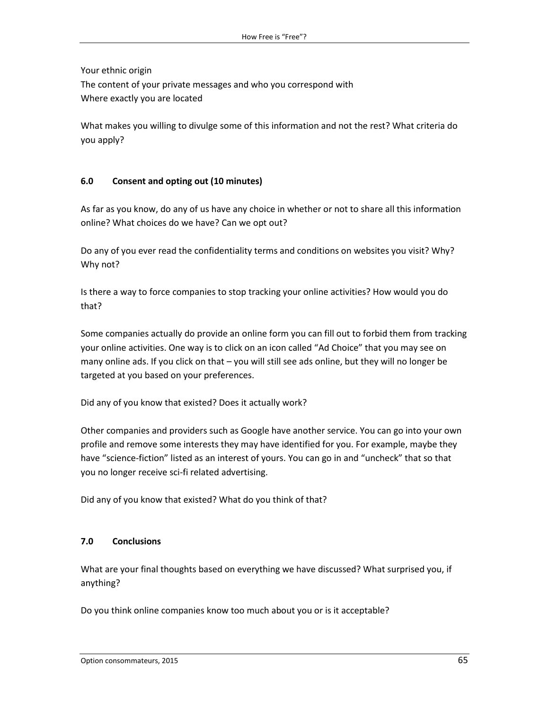Your ethnic origin

The content of your private messages and who you correspond with Where exactly you are located

What makes you willing to divulge some of this information and not the rest? What criteria do you apply?

## **6.0 Consent and opting out (10 minutes)**

As far as you know, do any of us have any choice in whether or not to share all this information online? What choices do we have? Can we opt out?

Do any of you ever read the confidentiality terms and conditions on websites you visit? Why? Why not?

Is there a way to force companies to stop tracking your online activities? How would you do that?

Some companies actually do provide an online form you can fill out to forbid them from tracking your online activities. One way is to click on an icon called "Ad Choice" that you may see on many online ads. If you click on that – you will still see ads online, but they will no longer be targeted at you based on your preferences.

Did any of you know that existed? Does it actually work?

Other companies and providers such as Google have another service. You can go into your own profile and remove some interests they may have identified for you. For example, maybe they have "science-fiction" listed as an interest of yours. You can go in and "uncheck" that so that you no longer receive sci-fi related advertising.

Did any of you know that existed? What do you think of that?

## **7.0 Conclusions**

What are your final thoughts based on everything we have discussed? What surprised you, if anything?

Do you think online companies know too much about you or is it acceptable?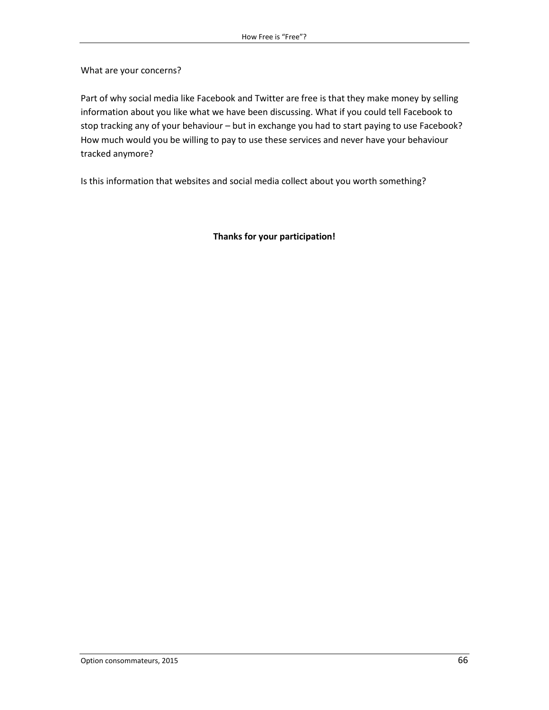What are your concerns?

Part of why social media like Facebook and Twitter are free is that they make money by selling information about you like what we have been discussing. What if you could tell Facebook to stop tracking any of your behaviour – but in exchange you had to start paying to use Facebook? How much would you be willing to pay to use these services and never have your behaviour tracked anymore?

Is this information that websites and social media collect about you worth something?

**Thanks for your participation!**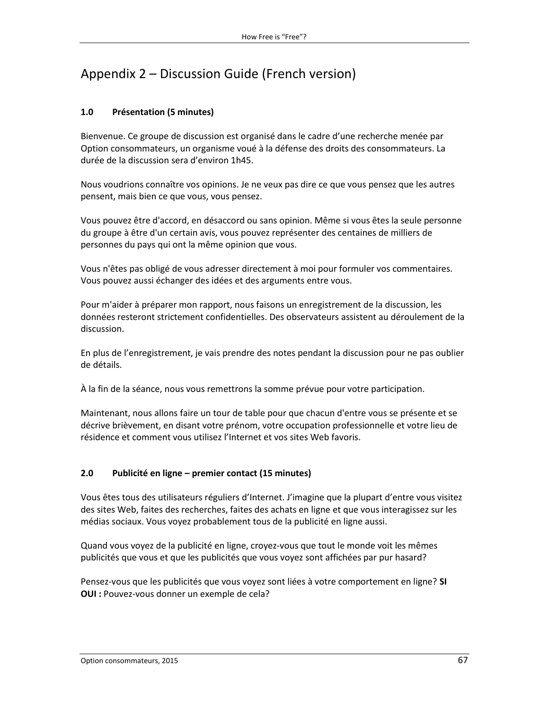# Appendix 2 – Discussion Guide (French version)

## **1.0 Présentation (5 minutes)**

Bienvenue. Ce groupe de discussion est organisé dans le cadre d'une recherche menée par Option consommateurs, un organisme voué à la défense des droits des consommateurs. La durée de la discussion sera d'environ 1h45.

Nous voudrions connaître vos opinions. Je ne veux pas dire ce que vous pensez que les autres pensent, mais bien ce que vous, vous pensez.

Vous pouvez être d'accord, en désaccord ou sans opinion. Même si vous êtes la seule personne du groupe à être d'un certain avis, vous pouvez représenter des centaines de milliers de personnes du pays qui ont la même opinion que vous.

Vous n'êtes pas obligé de vous adresser directement à moi pour formuler vos commentaires. Vous pouvez aussi échanger des idées et des arguments entre vous.

Pour m'aider à préparer mon rapport, nous faisons un enregistrement de la discussion, les données resteront strictement confidentielles. Des observateurs assistent au déroulement de la discussion.

En plus de l'enregistrement, je vais prendre des notes pendant la discussion pour ne pas oublier de détails.

À la fin de la séance, nous vous remettrons la somme prévue pour votre participation.

Maintenant, nous allons faire un tour de table pour que chacun d'entre vous se présente et se décrive brièvement, en disant votre prénom, votre occupation professionnelle et votre lieu de résidence et comment vous utilisez l'Internet et vos sites Web favoris.

## **2.0 Publicité en ligne – premier contact (15 minutes)**

Vous êtes tous des utilisateurs réguliers d'Internet. J'imagine que la plupart d'entre vous visitez des sites Web, faites des recherches, faites des achats en ligne et que vous interagissez sur les médias sociaux. Vous voyez probablement tous de la publicité en ligne aussi.

Quand vous voyez de la publicité en ligne, croyez-vous que tout le monde voit les mêmes publicités que vous et que les publicités que vous voyez sont affichées par pur hasard?

Pensez-vous que les publicités que vous voyez sont liées à votre comportement en ligne? **SI OUI :** Pouvez-vous donner un exemple de cela?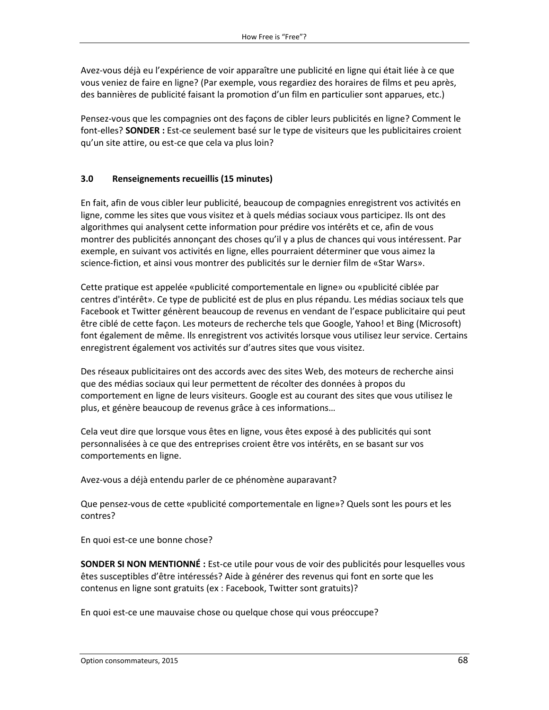Avez-vous déjà eu l'expérience de voir apparaître une publicité en ligne qui était liée à ce que vous veniez de faire en ligne? (Par exemple, vous regardiez des horaires de films et peu après, des bannières de publicité faisant la promotion d'un film en particulier sont apparues, etc.)

Pensez-vous que les compagnies ont des façons de cibler leurs publicités en ligne? Comment le font-elles? **SONDER :** Est-ce seulement basé sur le type de visiteurs que les publicitaires croient qu'un site attire, ou est-ce que cela va plus loin?

#### **3.0 Renseignements recueillis (15 minutes)**

En fait, afin de vous cibler leur publicité, beaucoup de compagnies enregistrent vos activités en ligne, comme les sites que vous visitez et à quels médias sociaux vous participez. Ils ont des algorithmes qui analysent cette information pour prédire vos intérêts et ce, afin de vous montrer des publicités annonçant des choses qu'il y a plus de chances qui vous intéressent. Par exemple, en suivant vos activités en ligne, elles pourraient déterminer que vous aimez la science-fiction, et ainsi vous montrer des publicités sur le dernier film de «Star Wars».

Cette pratique est appelée «publicité comportementale en ligne» ou «publicité ciblée par centres d'intérêt». Ce type de publicité est de plus en plus répandu. Les médias sociaux tels que Facebook et Twitter génèrent beaucoup de revenus en vendant de l'espace publicitaire qui peut être ciblé de cette façon. Les moteurs de recherche tels que Google, Yahoo! et Bing (Microsoft) font également de même. Ils enregistrent vos activités lorsque vous utilisez leur service. Certains enregistrent également vos activités sur d'autres sites que vous visitez.

Des réseaux publicitaires ont des accords avec des sites Web, des moteurs de recherche ainsi que des médias sociaux qui leur permettent de récolter des données à propos du comportement en ligne de leurs visiteurs. Google est au courant des sites que vous utilisez le plus, et génère beaucoup de revenus grâce à ces informations…

Cela veut dire que lorsque vous êtes en ligne, vous êtes exposé à des publicités qui sont personnalisées à ce que des entreprises croient être vos intérêts, en se basant sur vos comportements en ligne.

Avez-vous a déjà entendu parler de ce phénomène auparavant?

Que pensez-vous de cette «publicité comportementale en ligne»? Quels sont les pours et les contres?

En quoi est-ce une bonne chose?

**SONDER SI NON MENTIONNÉ :** Est-ce utile pour vous de voir des publicités pour lesquelles vous êtes susceptibles d'être intéressés? Aide à générer des revenus qui font en sorte que les contenus en ligne sont gratuits (ex : Facebook, Twitter sont gratuits)?

En quoi est-ce une mauvaise chose ou quelque chose qui vous préoccupe?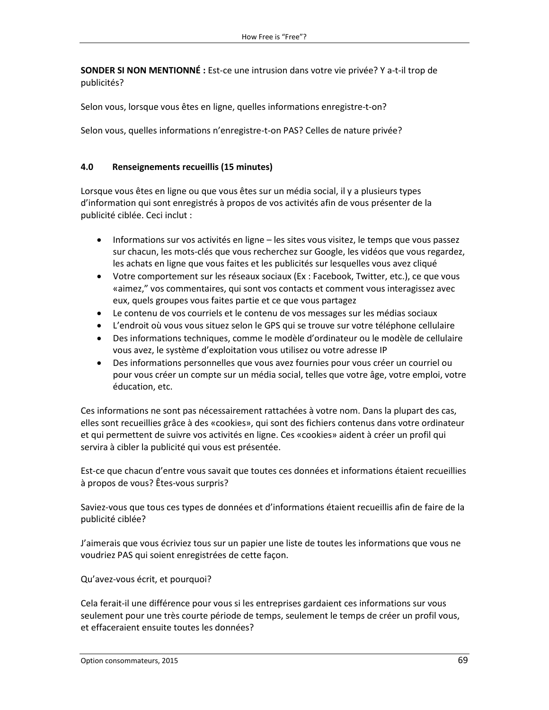**SONDER SI NON MENTIONNÉ :** Est-ce une intrusion dans votre vie privée? Y a-t-il trop de publicités?

Selon vous, lorsque vous êtes en ligne, quelles informations enregistre-t-on?

Selon vous, quelles informations n'enregistre-t-on PAS? Celles de nature privée?

#### **4.0 Renseignements recueillis (15 minutes)**

Lorsque vous êtes en ligne ou que vous êtes sur un média social, il y a plusieurs types d'information qui sont enregistrés à propos de vos activités afin de vous présenter de la publicité ciblée. Ceci inclut :

- Informations sur vos activités en ligne les sites vous visitez, le temps que vous passez sur chacun, les mots-clés que vous recherchez sur Google, les vidéos que vous regardez, les achats en ligne que vous faites et les publicités sur lesquelles vous avez cliqué
- Votre comportement sur les réseaux sociaux (Ex : Facebook, Twitter, etc.), ce que vous «aimez," vos commentaires, qui sont vos contacts et comment vous interagissez avec eux, quels groupes vous faites partie et ce que vous partagez
- Le contenu de vos courriels et le contenu de vos messages sur les médias sociaux
- L'endroit où vous vous situez selon le GPS qui se trouve sur votre téléphone cellulaire
- Des informations techniques, comme le modèle d'ordinateur ou le modèle de cellulaire vous avez, le système d'exploitation vous utilisez ou votre adresse IP
- Des informations personnelles que vous avez fournies pour vous créer un courriel ou pour vous créer un compte sur un média social, telles que votre âge, votre emploi, votre éducation, etc.

Ces informations ne sont pas nécessairement rattachées à votre nom. Dans la plupart des cas, elles sont recueillies grâce à des «cookies», qui sont des fichiers contenus dans votre ordinateur et qui permettent de suivre vos activités en ligne. Ces «cookies» aident à créer un profil qui servira à cibler la publicité qui vous est présentée.

Est-ce que chacun d'entre vous savait que toutes ces données et informations étaient recueillies à propos de vous? Êtes-vous surpris?

Saviez-vous que tous ces types de données et d'informations étaient recueillis afin de faire de la publicité ciblée?

J'aimerais que vous écriviez tous sur un papier une liste de toutes les informations que vous ne voudriez PAS qui soient enregistrées de cette façon.

Qu'avez-vous écrit, et pourquoi?

Cela ferait-il une différence pour vous si les entreprises gardaient ces informations sur vous seulement pour une très courte période de temps, seulement le temps de créer un profil vous, et effaceraient ensuite toutes les données?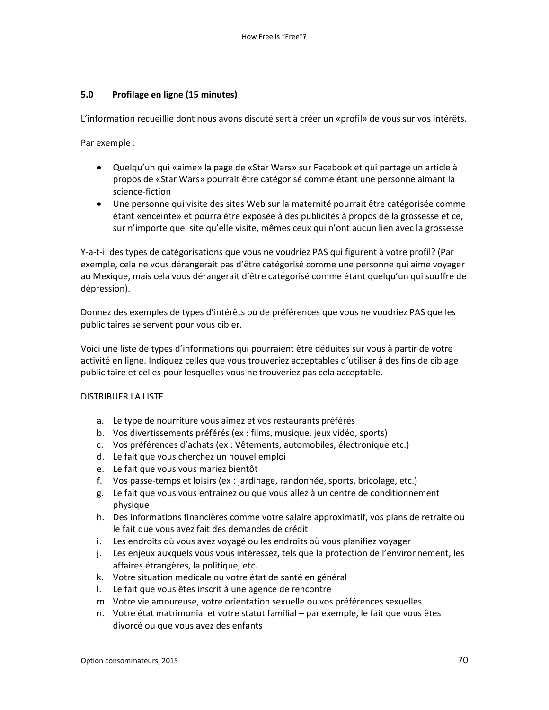#### **5.0 Profilage en ligne (15 minutes)**

L'information recueillie dont nous avons discuté sert à créer un «profil» de vous sur vos intérêts.

Par exemple :

- Quelqu'un qui «aime» la page de «Star Wars» sur Facebook et qui partage un article à propos de «Star Wars» pourrait être catégorisé comme étant une personne aimant la science-fiction
- Une personne qui visite des sites Web sur la maternité pourrait être catégorisée comme étant «enceinte» et pourra être exposée à des publicités à propos de la grossesse et ce, sur n'importe quel site qu'elle visite, mêmes ceux qui n'ont aucun lien avec la grossesse

Y-a-t-il des types de catégorisations que vous ne voudriez PAS qui figurent à votre profil? (Par exemple, cela ne vous dérangerait pas d'être catégorisé comme une personne qui aime voyager au Mexique, mais cela vous dérangerait d'être catégorisé comme étant quelqu'un qui souffre de dépression).

Donnez des exemples de types d'intérêts ou de préférences que vous ne voudriez PAS que les publicitaires se servent pour vous cibler.

Voici une liste de types d'informations qui pourraient être déduites sur vous à partir de votre activité en ligne. Indiquez celles que vous trouveriez acceptables d'utiliser à des fins de ciblage publicitaire et celles pour lesquelles vous ne trouveriez pas cela acceptable.

#### DISTRIBUER LA LISTE

- a. Le type de nourriture vous aimez et vos restaurants préférés
- b. Vos divertissements préférés (ex : films, musique, jeux vidéo, sports)
- c. Vos préférences d'achats (ex : Vêtements, automobiles, électronique etc.)
- d. Le fait que vous cherchez un nouvel emploi
- e. Le fait que vous vous mariez bientôt
- f. Vos passe-temps et loisirs (ex : jardinage, randonnée, sports, bricolage, etc.)
- g. Le fait que vous vous entrainez ou que vous allez à un centre de conditionnement physique
- h. Des informations financières comme votre salaire approximatif, vos plans de retraite ou le fait que vous avez fait des demandes de crédit
- i. Les endroits où vous avez voyagé ou les endroits où vous planifiez voyager
- j. Les enjeux auxquels vous vous intéressez, tels que la protection de l'environnement, les affaires étrangères, la politique, etc.
- k. Votre situation médicale ou votre état de santé en général
- l. Le fait que vous êtes inscrit à une agence de rencontre
- m. Votre vie amoureuse, votre orientation sexuelle ou vos préférences sexuelles
- n. Votre état matrimonial et votre statut familial par exemple, le fait que vous êtes divorcé ou que vous avez des enfants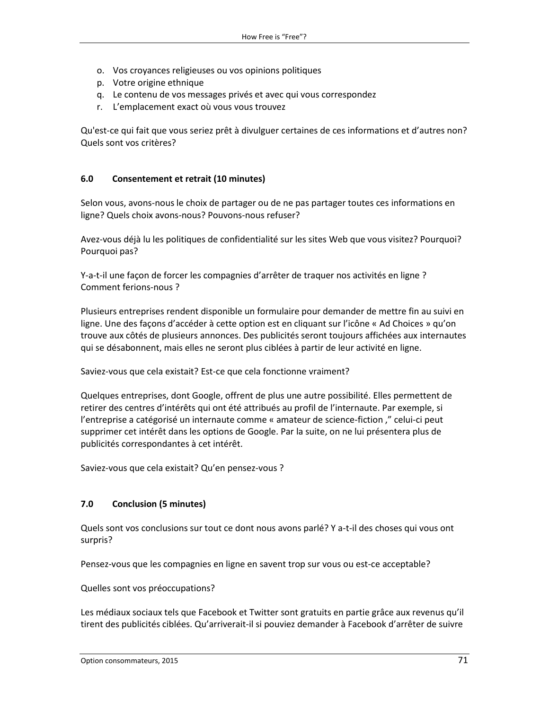- o. Vos croyances religieuses ou vos opinions politiques
- p. Votre origine ethnique
- q. Le contenu de vos messages privés et avec qui vous correspondez
- r. L'emplacement exact où vous vous trouvez

Qu'est-ce qui fait que vous seriez prêt à divulguer certaines de ces informations et d'autres non? Quels sont vos critères?

#### **6.0 Consentement et retrait (10 minutes)**

Selon vous, avons-nous le choix de partager ou de ne pas partager toutes ces informations en ligne? Quels choix avons-nous? Pouvons-nous refuser?

Avez-vous déjà lu les politiques de confidentialité sur les sites Web que vous visitez? Pourquoi? Pourquoi pas?

Y-a-t-il une façon de forcer les compagnies d'arrêter de traquer nos activités en ligne ? Comment ferions-nous ?

Plusieurs entreprises rendent disponible un formulaire pour demander de mettre fin au suivi en ligne. Une des façons d'accéder à cette option est en cliquant sur l'icône « Ad Choices » qu'on trouve aux côtés de plusieurs annonces. Des publicités seront toujours affichées aux internautes qui se désabonnent, mais elles ne seront plus ciblées à partir de leur activité en ligne.

Saviez-vous que cela existait? Est-ce que cela fonctionne vraiment?

Quelques entreprises, dont Google, offrent de plus une autre possibilité. Elles permettent de retirer des centres d'intérêts qui ont été attribués au profil de l'internaute. Par exemple, si l'entreprise a catégorisé un internaute comme « amateur de science-fiction ," celui-ci peut supprimer cet intérêt dans les options de Google. Par la suite, on ne lui présentera plus de publicités correspondantes à cet intérêt.

Saviez-vous que cela existait? Qu'en pensez-vous ?

## **7.0 Conclusion (5 minutes)**

Quels sont vos conclusions sur tout ce dont nous avons parlé? Y a-t-il des choses qui vous ont surpris?

Pensez-vous que les compagnies en ligne en savent trop sur vous ou est-ce acceptable?

Quelles sont vos préoccupations?

Les médiaux sociaux tels que Facebook et Twitter sont gratuits en partie grâce aux revenus qu'il tirent des publicités ciblées. Qu'arriverait-il si pouviez demander à Facebook d'arrêter de suivre